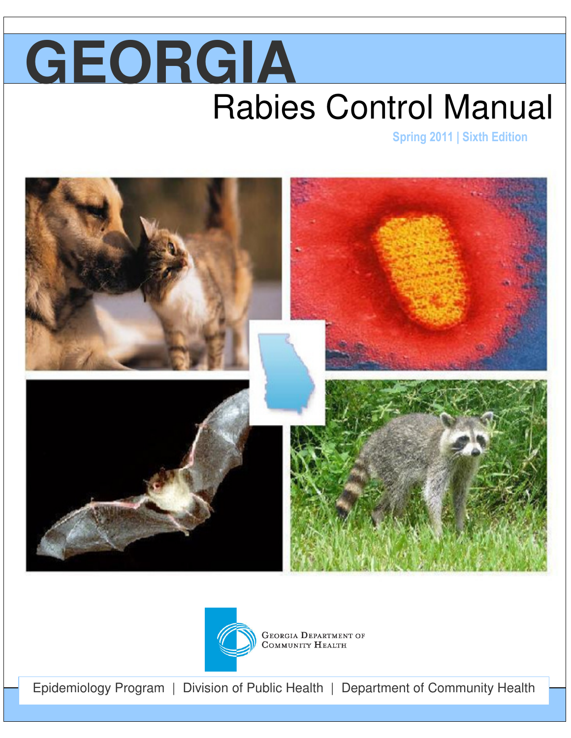

Spring 2011 | Sixth Edition





**GEORGIA DEPARTMENT OF** COMMUNITY HEALTH

Epidemiology Program | Division of Public Health | Department of Community Health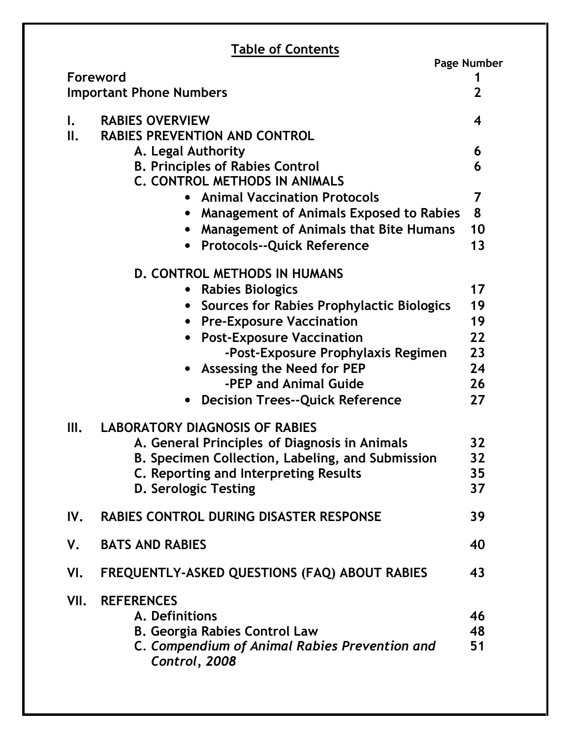|           |                                                                | Page Number |  |
|-----------|----------------------------------------------------------------|-------------|--|
|           | Foreword                                                       |             |  |
|           | <b>Important Phone Numbers</b>                                 | 2           |  |
| l.<br>II. | <b>RABIES OVERVIEW</b><br><b>RABIES PREVENTION AND CONTROL</b> | 4           |  |
|           | A. Legal Authority                                             | 6           |  |
|           | <b>B. Principles of Rabies Control</b>                         | 6           |  |
|           | <b>C. CONTROL METHODS IN ANIMALS</b>                           |             |  |
|           | <b>Animal Vaccination Protocols</b>                            | 7           |  |
|           | <b>Management of Animals Exposed to Rabies</b>                 | 8           |  |
|           | <b>Management of Animals that Bite Humans</b><br>$\bullet$     | 10          |  |
|           | <b>Protocols--Quick Reference</b><br>$\bullet$                 | 13          |  |
|           | <b>D. CONTROL METHODS IN HUMANS</b>                            |             |  |
|           | <b>Rabies Biologics</b><br>$\bullet$                           | 17          |  |
|           | <b>Sources for Rabies Prophylactic Biologics</b><br>$\bullet$  | 19          |  |
|           | <b>Pre-Exposure Vaccination</b>                                | 19          |  |
|           | <b>Post-Exposure Vaccination</b><br>$\bullet$                  | 22          |  |
|           | -Post-Exposure Prophylaxis Regimen                             | 23          |  |
|           | Assessing the Need for PEP<br>$\bullet$                        | 24          |  |
|           | -PEP and Animal Guide                                          | 26          |  |
|           | <b>Decision Trees--Quick Reference</b><br>$\bullet$            | 27          |  |
| III.      | <b>LABORATORY DIAGNOSIS OF RABIES</b>                          |             |  |
|           | A. General Principles of Diagnosis in Animals                  | 32          |  |
|           | B. Specimen Collection, Labeling, and Submission               | 32          |  |
|           | C. Reporting and Interpreting Results                          | 35          |  |
|           | <b>D. Serologic Testing</b>                                    | 37          |  |
| IV.       | <b>RABIES CONTROL DURING DISASTER RESPONSE</b>                 | 39          |  |
| ٧.        | <b>BATS AND RABIES</b>                                         | 40          |  |
| VI.       | FREQUENTLY-ASKED QUESTIONS (FAQ) ABOUT RABIES                  | 43          |  |
| VII.      | <b>REFERENCES</b><br>A. Definitions                            | 46          |  |
|           | <b>B. Georgia Rabies Control Law</b>                           | 48          |  |
|           | C. Compendium of Animal Rabies Prevention and<br>Control, 2008 | 51          |  |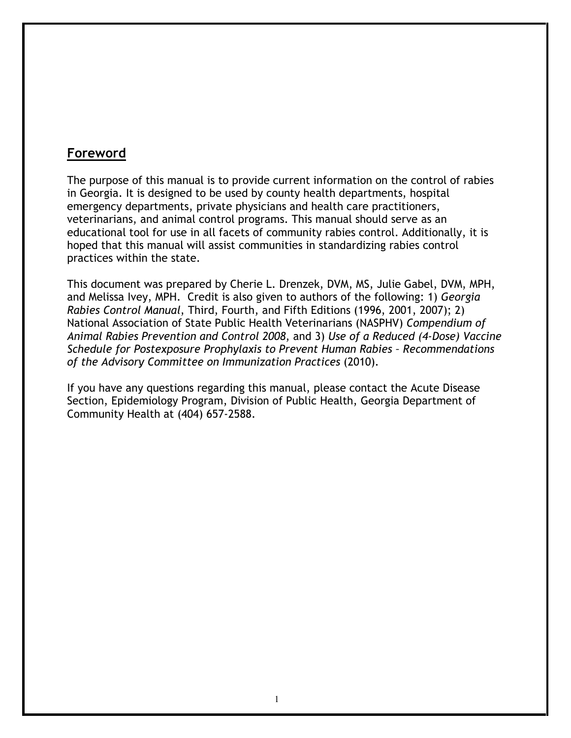# Foreword

The purpose of this manual is to provide current information on the control of rabies in Georgia. It is designed to be used by county health departments, hospital emergency departments, private physicians and health care practitioners, veterinarians, and animal control programs. This manual should serve as an educational tool for use in all facets of community rabies control. Additionally, it is hoped that this manual will assist communities in standardizing rabies control practices within the state.

This document was prepared by Cherie L. Drenzek, DVM, MS, Julie Gabel, DVM, MPH, and Melissa Ivey, MPH. Credit is also given to authors of the following: 1) Georgia Rabies Control Manual, Third, Fourth, and Fifth Editions (1996, 2001, 2007); 2) National Association of State Public Health Veterinarians (NASPHV) Compendium of Animal Rabies Prevention and Control 2008, and 3) Use of a Reduced (4-Dose) Vaccine Schedule for Postexposure Prophylaxis to Prevent Human Rabies – Recommendations of the Advisory Committee on Immunization Practices (2010).

If you have any questions regarding this manual, please contact the Acute Disease Section, Epidemiology Program, Division of Public Health, Georgia Department of Community Health at (404) 657-2588.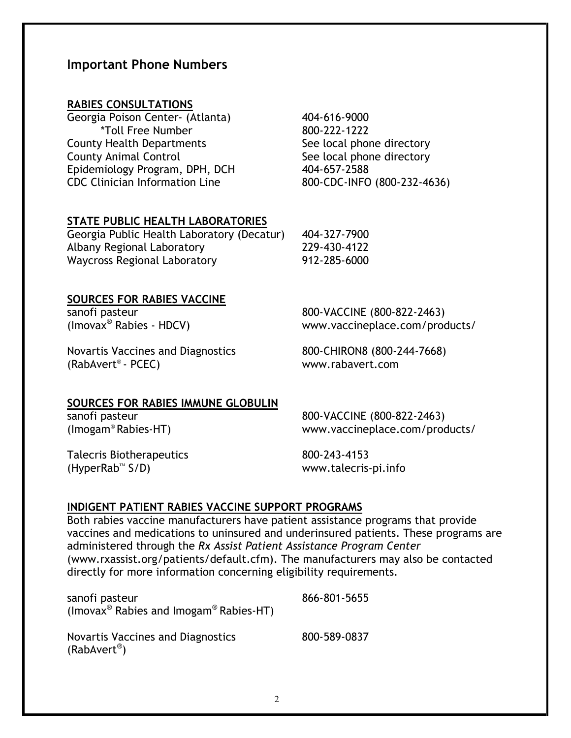## Important Phone Numbers

#### RABIES CONSULTATIONS

| 404-616-9000                |
|-----------------------------|
| 800-222-1222                |
| See local phone directory   |
| See local phone directory   |
| 404-657-2588                |
| 800-CDC-INFO (800-232-4636) |
|                             |

#### STATE PUBLIC HEALTH LABORATORIES

| Georgia Public Health Laboratory (Decatur) | 404-327-7900 |
|--------------------------------------------|--------------|
| Albany Regional Laboratory                 | 229-430-4122 |
| Waycross Regional Laboratory               | 912-285-6000 |

#### SOURCES FOR RABIES VACCINE

(Imovax<sup>®</sup> Rabies - HDCV)

Novartis Vaccines and Diagnostics 800-CHIRON8 (800-244-7668) (RabAvert® - PCEC) www.rabavert.com

sanofi pasteur 800-VACCINE (800-822-2463) www.vaccineplace.com/products/

#### SOURCES FOR RABIES IMMUNE GLOBULIN

sanofi pasteur 800-VACCINE (800-822-2463) (Imogam® Rabies-HT) www.vaccineplace.com/products/

Talecris Biotherapeutics 800-243-4153 (HyperRab™ S/D) www.talecris-pi.info

## INDIGENT PATIENT RABIES VACCINE SUPPORT PROGRAMS

Both rabies vaccine manufacturers have patient assistance programs that provide vaccines and medications to uninsured and underinsured patients. These programs are administered through the Rx Assist Patient Assistance Program Center (www.rxassist.org/patients/default.cfm). The manufacturers may also be contacted directly for more information concerning eligibility requirements.

| sanofi pasteur<br>(Imovax <sup>®</sup> Rabies and Imogam <sup>®</sup> Rabies-HT) | 866-801-5655 |
|----------------------------------------------------------------------------------|--------------|
| Novartis Vaccines and Diagnostics<br>$(RabAvert^{\circledR})$                    | 800-589-0837 |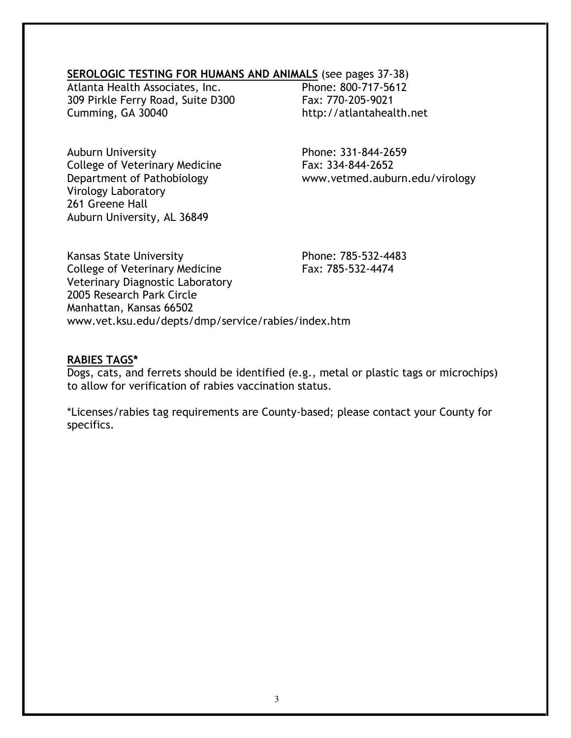#### SEROLOGIC TESTING FOR HUMANS AND ANIMALS (see pages 37-38)

Atlanta Health Associates, Inc. Phone: 800-717-5612 309 Pirkle Ferry Road, Suite D300 Fax: 770-205-9021 Cumming, GA 30040 http://atlantahealth.net

Auburn University **Phone: 331-844-2659** College of Veterinary Medicine Fax: 334-844-2652 Virology Laboratory 261 Greene Hall Auburn University, AL 36849

Department of Pathobiology www.vetmed.auburn.edu/virology

Kansas State University **Phone: 785-532-4483** College of Veterinary Medicine Fax: 785-532-4474 Veterinary Diagnostic Laboratory 2005 Research Park Circle Manhattan, Kansas 66502 www.vet.ksu.edu/depts/dmp/service/rabies/index.htm

#### RABIES TAGS\*

Dogs, cats, and ferrets should be identified (e.g., metal or plastic tags or microchips) to allow for verification of rabies vaccination status.

\*Licenses/rabies tag requirements are County-based; please contact your County for specifics.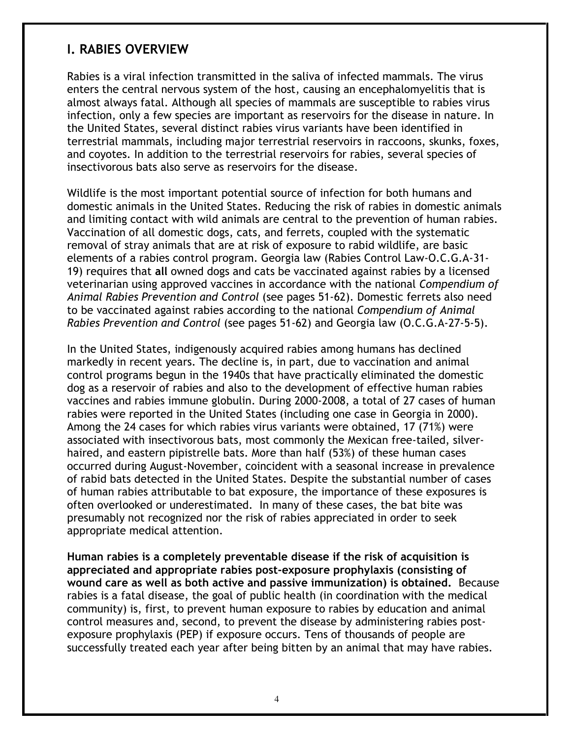# I. RABIES OVERVIEW

Rabies is a viral infection transmitted in the saliva of infected mammals. The virus enters the central nervous system of the host, causing an encephalomyelitis that is almost always fatal. Although all species of mammals are susceptible to rabies virus infection, only a few species are important as reservoirs for the disease in nature. In the United States, several distinct rabies virus variants have been identified in terrestrial mammals, including major terrestrial reservoirs in raccoons, skunks, foxes, and coyotes. In addition to the terrestrial reservoirs for rabies, several species of insectivorous bats also serve as reservoirs for the disease.

Wildlife is the most important potential source of infection for both humans and domestic animals in the United States. Reducing the risk of rabies in domestic animals and limiting contact with wild animals are central to the prevention of human rabies. Vaccination of all domestic dogs, cats, and ferrets, coupled with the systematic removal of stray animals that are at risk of exposure to rabid wildlife, are basic elements of a rabies control program. Georgia law (Rabies Control Law-O.C.G.A-31- 19) requires that all owned dogs and cats be vaccinated against rabies by a licensed veterinarian using approved vaccines in accordance with the national Compendium of Animal Rabies Prevention and Control (see pages 51-62). Domestic ferrets also need to be vaccinated against rabies according to the national Compendium of Animal Rabies Prevention and Control (see pages 51-62) and Georgia law (O.C.G.A-27-5-5).

In the United States, indigenously acquired rabies among humans has declined markedly in recent years. The decline is, in part, due to vaccination and animal control programs begun in the 1940s that have practically eliminated the domestic dog as a reservoir of rabies and also to the development of effective human rabies vaccines and rabies immune globulin. During 2000-2008, a total of 27 cases of human rabies were reported in the United States (including one case in Georgia in 2000). Among the 24 cases for which rabies virus variants were obtained, 17 (71%) were associated with insectivorous bats, most commonly the Mexican free-tailed, silverhaired, and eastern pipistrelle bats. More than half (53%) of these human cases occurred during August-November, coincident with a seasonal increase in prevalence of rabid bats detected in the United States. Despite the substantial number of cases of human rabies attributable to bat exposure, the importance of these exposures is often overlooked or underestimated. In many of these cases, the bat bite was presumably not recognized nor the risk of rabies appreciated in order to seek appropriate medical attention.

Human rabies is a completely preventable disease if the risk of acquisition is appreciated and appropriate rabies post-exposure prophylaxis (consisting of wound care as well as both active and passive immunization) is obtained. Because rabies is a fatal disease, the goal of public health (in coordination with the medical community) is, first, to prevent human exposure to rabies by education and animal control measures and, second, to prevent the disease by administering rabies postexposure prophylaxis (PEP) if exposure occurs. Tens of thousands of people are successfully treated each year after being bitten by an animal that may have rabies.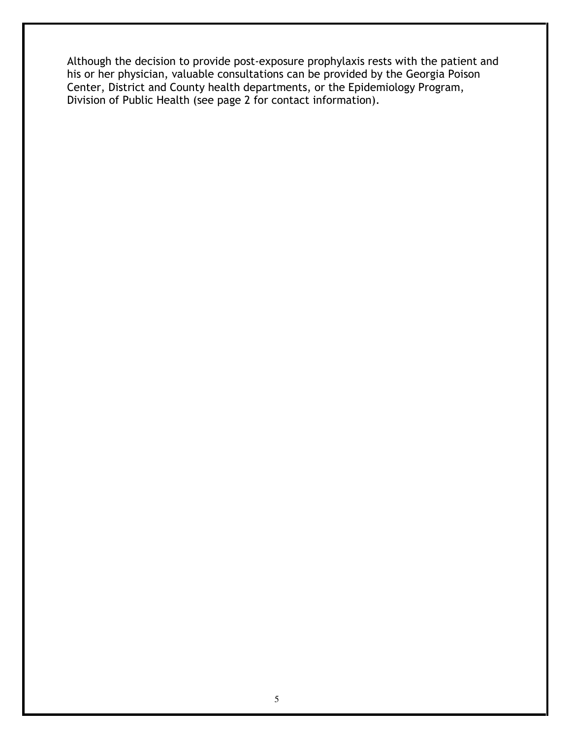Although the decision to provide post-exposure prophylaxis rests with the patient and his or her physician, valuable consultations can be provided by the Georgia Poison Center, District and County health departments, or the Epidemiology Program, Division of Public Health (see page 2 for contact information).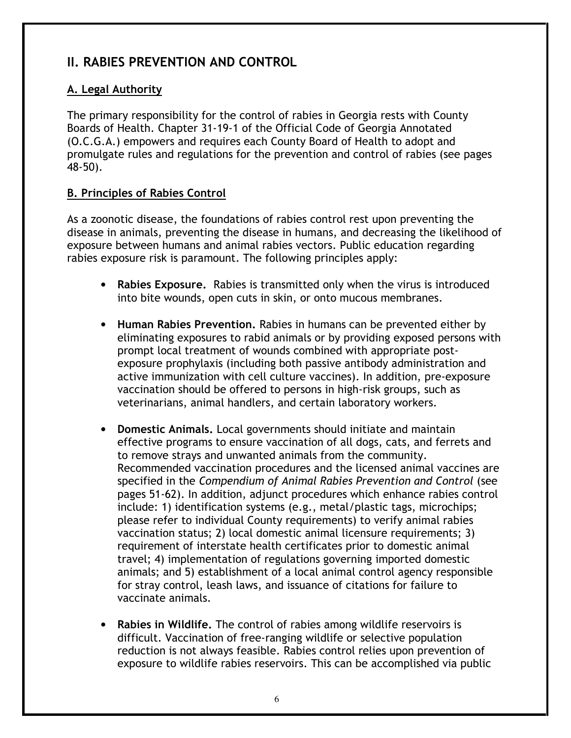# II. RABIES PREVENTION AND CONTROL

## A. Legal Authority

The primary responsibility for the control of rabies in Georgia rests with County Boards of Health. Chapter 31-19-1 of the Official Code of Georgia Annotated (O.C.G.A.) empowers and requires each County Board of Health to adopt and promulgate rules and regulations for the prevention and control of rabies (see pages 48-50).

## B. Principles of Rabies Control

As a zoonotic disease, the foundations of rabies control rest upon preventing the disease in animals, preventing the disease in humans, and decreasing the likelihood of exposure between humans and animal rabies vectors. Public education regarding rabies exposure risk is paramount. The following principles apply:

- Rabies Exposure. Rabies is transmitted only when the virus is introduced into bite wounds, open cuts in skin, or onto mucous membranes.
- Human Rabies Prevention. Rabies in humans can be prevented either by eliminating exposures to rabid animals or by providing exposed persons with prompt local treatment of wounds combined with appropriate postexposure prophylaxis (including both passive antibody administration and active immunization with cell culture vaccines). In addition, pre-exposure vaccination should be offered to persons in high-risk groups, such as veterinarians, animal handlers, and certain laboratory workers.
- Domestic Animals. Local governments should initiate and maintain effective programs to ensure vaccination of all dogs, cats, and ferrets and to remove strays and unwanted animals from the community. Recommended vaccination procedures and the licensed animal vaccines are specified in the Compendium of Animal Rabies Prevention and Control (see pages 51-62). In addition, adjunct procedures which enhance rabies control include: 1) identification systems (e.g., metal/plastic tags, microchips; please refer to individual County requirements) to verify animal rabies vaccination status; 2) local domestic animal licensure requirements; 3) requirement of interstate health certificates prior to domestic animal travel; 4) implementation of regulations governing imported domestic animals; and 5) establishment of a local animal control agency responsible for stray control, leash laws, and issuance of citations for failure to vaccinate animals.
- Rabies in Wildlife. The control of rabies among wildlife reservoirs is difficult. Vaccination of free-ranging wildlife or selective population reduction is not always feasible. Rabies control relies upon prevention of exposure to wildlife rabies reservoirs. This can be accomplished via public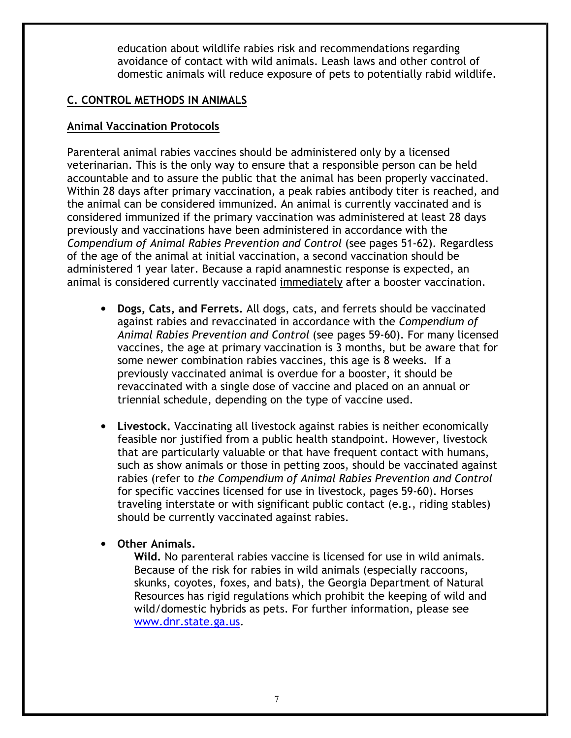education about wildlife rabies risk and recommendations regarding avoidance of contact with wild animals. Leash laws and other control of domestic animals will reduce exposure of pets to potentially rabid wildlife.

## C. CONTROL METHODS IN ANIMALS

#### Animal Vaccination Protocols

Parenteral animal rabies vaccines should be administered only by a licensed veterinarian. This is the only way to ensure that a responsible person can be held accountable and to assure the public that the animal has been properly vaccinated. Within 28 days after primary vaccination, a peak rabies antibody titer is reached, and the animal can be considered immunized. An animal is currently vaccinated and is considered immunized if the primary vaccination was administered at least 28 days previously and vaccinations have been administered in accordance with the Compendium of Animal Rabies Prevention and Control (see pages 51-62). Regardless of the age of the animal at initial vaccination, a second vaccination should be administered 1 year later. Because a rapid anamnestic response is expected, an animal is considered currently vaccinated immediately after a booster vaccination.

- Dogs, Cats, and Ferrets. All dogs, cats, and ferrets should be vaccinated against rabies and revaccinated in accordance with the Compendium of Animal Rabies Prevention and Control (see pages 59-60). For many licensed vaccines, the age at primary vaccination is 3 months, but be aware that for some newer combination rabies vaccines, this age is 8 weeks. If a previously vaccinated animal is overdue for a booster, it should be revaccinated with a single dose of vaccine and placed on an annual or triennial schedule, depending on the type of vaccine used.
- Livestock. Vaccinating all livestock against rabies is neither economically feasible nor justified from a public health standpoint. However, livestock that are particularly valuable or that have frequent contact with humans, such as show animals or those in petting zoos, should be vaccinated against rabies (refer to the Compendium of Animal Rabies Prevention and Control for specific vaccines licensed for use in livestock, pages 59-60). Horses traveling interstate or with significant public contact (e.g., riding stables) should be currently vaccinated against rabies.
- Other Animals.

Wild. No parenteral rabies vaccine is licensed for use in wild animals. Because of the risk for rabies in wild animals (especially raccoons, skunks, coyotes, foxes, and bats), the Georgia Department of Natural Resources has rigid regulations which prohibit the keeping of wild and wild/domestic hybrids as pets. For further information, please see www.dnr.state.ga.us.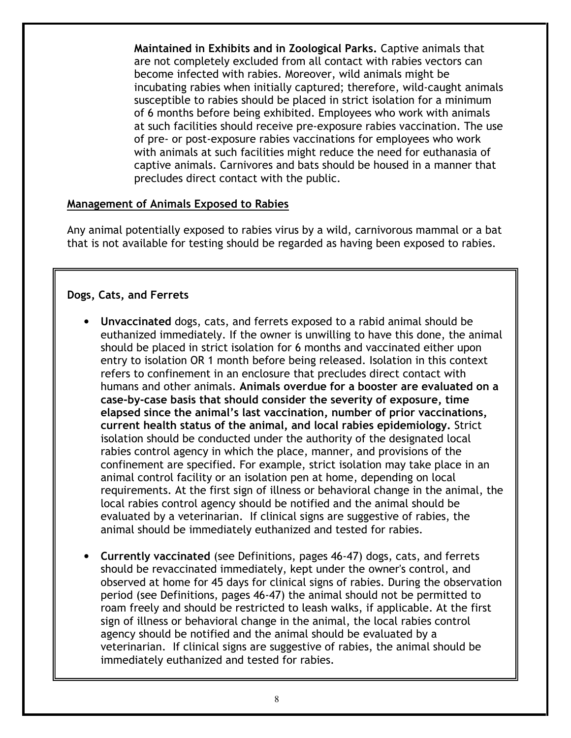Maintained in Exhibits and in Zoological Parks. Captive animals that are not completely excluded from all contact with rabies vectors can become infected with rabies. Moreover, wild animals might be incubating rabies when initially captured; therefore, wild-caught animals susceptible to rabies should be placed in strict isolation for a minimum of 6 months before being exhibited. Employees who work with animals at such facilities should receive pre-exposure rabies vaccination. The use of pre- or post-exposure rabies vaccinations for employees who work with animals at such facilities might reduce the need for euthanasia of captive animals. Carnivores and bats should be housed in a manner that precludes direct contact with the public.

#### Management of Animals Exposed to Rabies

Any animal potentially exposed to rabies virus by a wild, carnivorous mammal or a bat that is not available for testing should be regarded as having been exposed to rabies.

#### Dogs, Cats, and Ferrets

- Unvaccinated dogs, cats, and ferrets exposed to a rabid animal should be euthanized immediately. If the owner is unwilling to have this done, the animal should be placed in strict isolation for 6 months and vaccinated either upon entry to isolation OR 1 month before being released. Isolation in this context refers to confinement in an enclosure that precludes direct contact with humans and other animals. Animals overdue for a booster are evaluated on a case-by-case basis that should consider the severity of exposure, time elapsed since the animal's last vaccination, number of prior vaccinations, current health status of the animal, and local rabies epidemiology. Strict isolation should be conducted under the authority of the designated local rabies control agency in which the place, manner, and provisions of the confinement are specified. For example, strict isolation may take place in an animal control facility or an isolation pen at home, depending on local requirements. At the first sign of illness or behavioral change in the animal, the local rabies control agency should be notified and the animal should be evaluated by a veterinarian. If clinical signs are suggestive of rabies, the animal should be immediately euthanized and tested for rabies.
- Currently vaccinated (see Definitions, pages 46-47) dogs, cats, and ferrets should be revaccinated immediately, kept under the owner's control, and observed at home for 45 days for clinical signs of rabies. During the observation period (see Definitions, pages 46-47) the animal should not be permitted to roam freely and should be restricted to leash walks, if applicable. At the first sign of illness or behavioral change in the animal, the local rabies control agency should be notified and the animal should be evaluated by a veterinarian. If clinical signs are suggestive of rabies, the animal should be immediately euthanized and tested for rabies.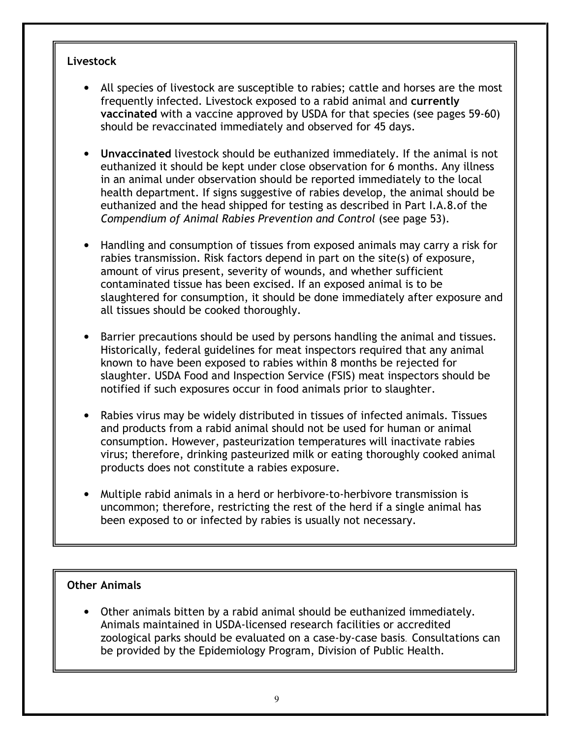## Livestock

- All species of livestock are susceptible to rabies; cattle and horses are the most frequently infected. Livestock exposed to a rabid animal and currently vaccinated with a vaccine approved by USDA for that species (see pages 59-60) should be revaccinated immediately and observed for 45 days.
- Unvaccinated livestock should be euthanized immediately. If the animal is not euthanized it should be kept under close observation for 6 months. Any illness in an animal under observation should be reported immediately to the local health department. If signs suggestive of rabies develop, the animal should be euthanized and the head shipped for testing as described in Part I.A.8.of the Compendium of Animal Rabies Prevention and Control (see page 53).
- Handling and consumption of tissues from exposed animals may carry a risk for rabies transmission. Risk factors depend in part on the site(s) of exposure, amount of virus present, severity of wounds, and whether sufficient contaminated tissue has been excised. If an exposed animal is to be slaughtered for consumption, it should be done immediately after exposure and all tissues should be cooked thoroughly.
- Barrier precautions should be used by persons handling the animal and tissues. Historically, federal guidelines for meat inspectors required that any animal known to have been exposed to rabies within 8 months be rejected for slaughter. USDA Food and Inspection Service (FSIS) meat inspectors should be notified if such exposures occur in food animals prior to slaughter.
- Rabies virus may be widely distributed in tissues of infected animals. Tissues and products from a rabid animal should not be used for human or animal consumption. However, pasteurization temperatures will inactivate rabies virus; therefore, drinking pasteurized milk or eating thoroughly cooked animal products does not constitute a rabies exposure.
- Multiple rabid animals in a herd or herbivore-to-herbivore transmission is uncommon; therefore, restricting the rest of the herd if a single animal has been exposed to or infected by rabies is usually not necessary.

## Other Animals

• Other animals bitten by a rabid animal should be euthanized immediately. Animals maintained in USDA-licensed research facilities or accredited zoological parks should be evaluated on a case-by-case basis. Consultations can be provided by the Epidemiology Program, Division of Public Health.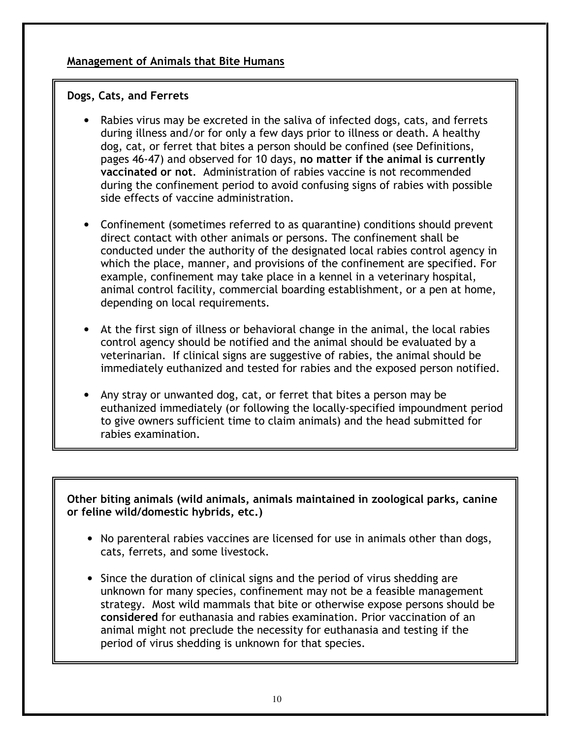#### Management of Animals that Bite Humans

#### Dogs, Cats, and Ferrets

- Rabies virus may be excreted in the saliva of infected dogs, cats, and ferrets during illness and/or for only a few days prior to illness or death. A healthy dog, cat, or ferret that bites a person should be confined (see Definitions, pages 46-47) and observed for 10 days, no matter if the animal is currently vaccinated or not. Administration of rabies vaccine is not recommended during the confinement period to avoid confusing signs of rabies with possible side effects of vaccine administration.
- Confinement (sometimes referred to as quarantine) conditions should prevent direct contact with other animals or persons. The confinement shall be conducted under the authority of the designated local rabies control agency in which the place, manner, and provisions of the confinement are specified. For example, confinement may take place in a kennel in a veterinary hospital, animal control facility, commercial boarding establishment, or a pen at home, depending on local requirements.
- At the first sign of illness or behavioral change in the animal, the local rabies control agency should be notified and the animal should be evaluated by a veterinarian. If clinical signs are suggestive of rabies, the animal should be immediately euthanized and tested for rabies and the exposed person notified.
- Any stray or unwanted dog, cat, or ferret that bites a person may be euthanized immediately (or following the locally-specified impoundment period to give owners sufficient time to claim animals) and the head submitted for rabies examination.

Other biting animals (wild animals, animals maintained in zoological parks, canine or feline wild/domestic hybrids, etc.)

- No parenteral rabies vaccines are licensed for use in animals other than dogs, cats, ferrets, and some livestock.
- Since the duration of clinical signs and the period of virus shedding are unknown for many species, confinement may not be a feasible management strategy. Most wild mammals that bite or otherwise expose persons should be considered for euthanasia and rabies examination. Prior vaccination of an animal might not preclude the necessity for euthanasia and testing if the period of virus shedding is unknown for that species.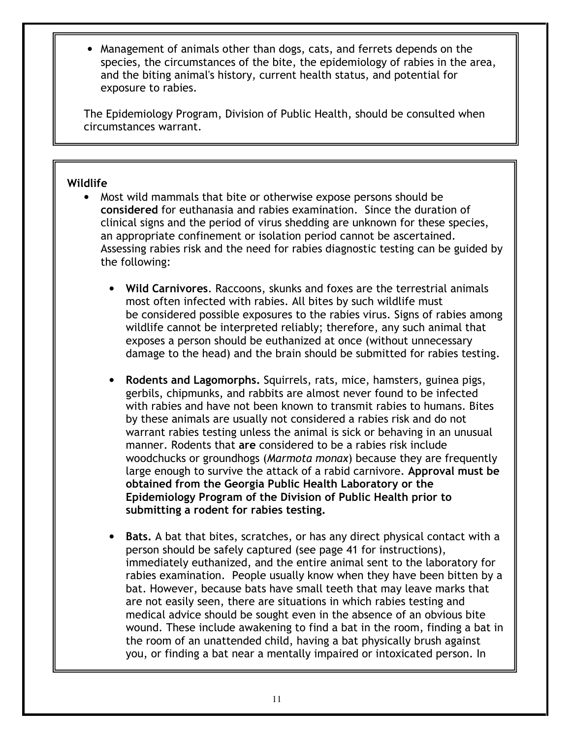• Management of animals other than dogs, cats, and ferrets depends on the species, the circumstances of the bite, the epidemiology of rabies in the area, and the biting animal's history, current health status, and potential for exposure to rabies.

The Epidemiology Program, Division of Public Health, should be consulted when circumstances warrant.

#### Wildlife

- Most wild mammals that bite or otherwise expose persons should be considered for euthanasia and rabies examination. Since the duration of clinical signs and the period of virus shedding are unknown for these species, an appropriate confinement or isolation period cannot be ascertained. Assessing rabies risk and the need for rabies diagnostic testing can be guided by the following:
	- Wild Carnivores. Raccoons, skunks and foxes are the terrestrial animals most often infected with rabies. All bites by such wildlife must be considered possible exposures to the rabies virus. Signs of rabies among wildlife cannot be interpreted reliably; therefore, any such animal that exposes a person should be euthanized at once (without unnecessary damage to the head) and the brain should be submitted for rabies testing.
	- Rodents and Lagomorphs. Squirrels, rats, mice, hamsters, guinea pigs, gerbils, chipmunks, and rabbits are almost never found to be infected with rabies and have not been known to transmit rabies to humans. Bites by these animals are usually not considered a rabies risk and do not warrant rabies testing unless the animal is sick or behaving in an unusual manner. Rodents that are considered to be a rabies risk include woodchucks or groundhogs (Marmota monax) because they are frequently large enough to survive the attack of a rabid carnivore. Approval must be obtained from the Georgia Public Health Laboratory or the Epidemiology Program of the Division of Public Health prior to submitting a rodent for rabies testing.
	- Bats. A bat that bites, scratches, or has any direct physical contact with a person should be safely captured (see page 41 for instructions), immediately euthanized, and the entire animal sent to the laboratory for rabies examination. People usually know when they have been bitten by a bat. However, because bats have small teeth that may leave marks that are not easily seen, there are situations in which rabies testing and medical advice should be sought even in the absence of an obvious bite wound. These include awakening to find a bat in the room, finding a bat in the room of an unattended child, having a bat physically brush against you, or finding a bat near a mentally impaired or intoxicated person. In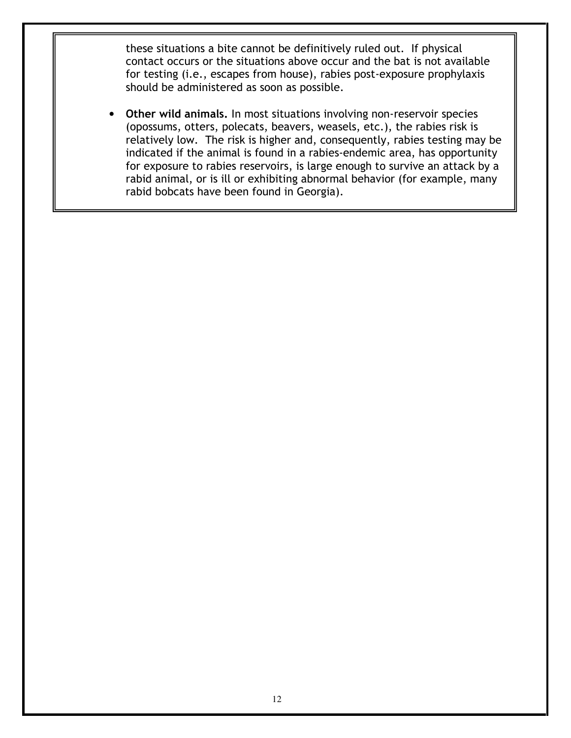these situations a bite cannot be definitively ruled out. If physical contact occurs or the situations above occur and the bat is not available for testing (i.e., escapes from house), rabies post-exposure prophylaxis should be administered as soon as possible.

• Other wild animals. In most situations involving non-reservoir species (opossums, otters, polecats, beavers, weasels, etc.), the rabies risk is relatively low. The risk is higher and, consequently, rabies testing may be indicated if the animal is found in a rabies-endemic area, has opportunity for exposure to rabies reservoirs, is large enough to survive an attack by a rabid animal, or is ill or exhibiting abnormal behavior (for example, many rabid bobcats have been found in Georgia).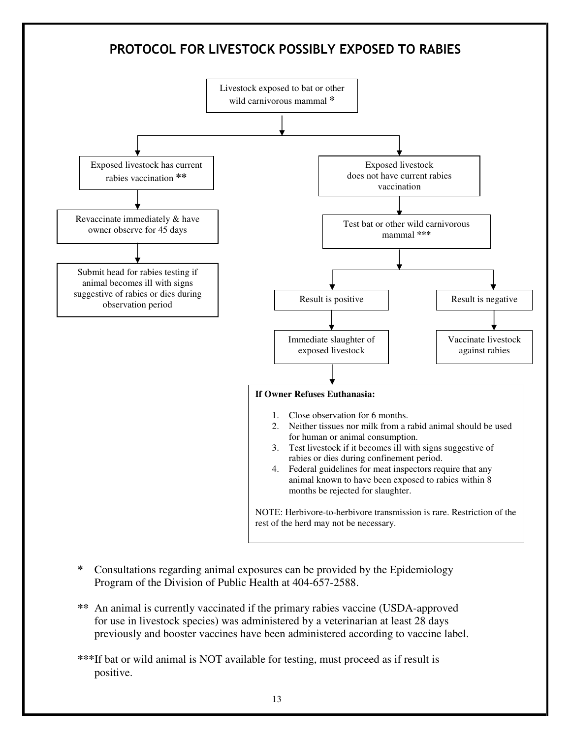# PROTOCOL FOR LIVESTOCK POSSIBLY EXPOSED TO RABIES



- **\*** Consultations regarding animal exposures can be provided by the Epidemiology Program of the Division of Public Health at 404-657-2588.
- **\*\*** An animal is currently vaccinated if the primary rabies vaccine (USDA-approved for use in livestock species) was administered by a veterinarian at least 28 days previously and booster vaccines have been administered according to vaccine label.
- **\*\*\***If bat or wild animal is NOT available for testing, must proceed as if result is positive.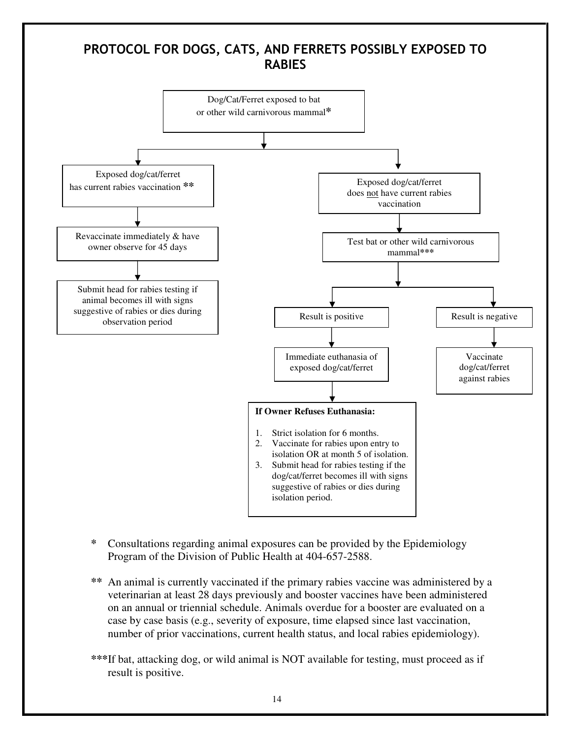# PROTOCOL FOR DOGS, CATS, AND FERRETS POSSIBLY EXPOSED TO RABIES



- **\*** Consultations regarding animal exposures can be provided by the Epidemiology Program of the Division of Public Health at 404-657-2588.
- **\*\*** An animal is currently vaccinated if the primary rabies vaccine was administered by a veterinarian at least 28 days previously and booster vaccines have been administered on an annual or triennial schedule. Animals overdue for a booster are evaluated on a case by case basis (e.g., severity of exposure, time elapsed since last vaccination, number of prior vaccinations, current health status, and local rabies epidemiology).
- **\*\*\***If bat, attacking dog, or wild animal is NOT available for testing, must proceed as if result is positive.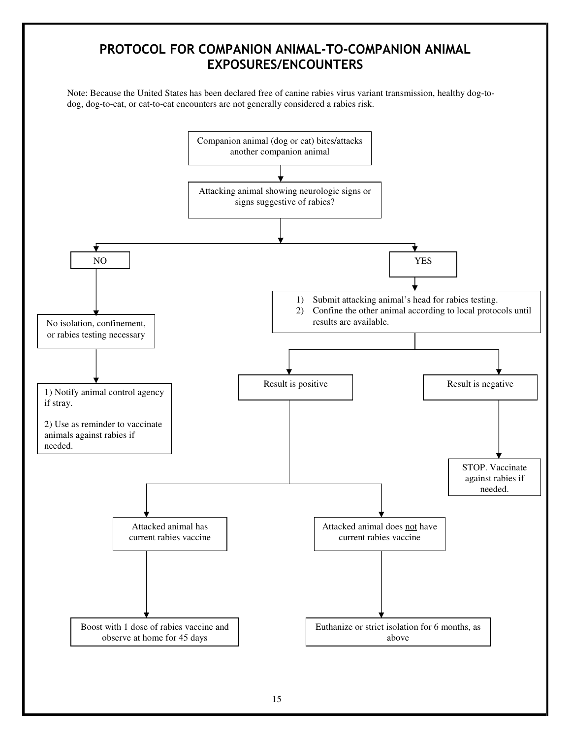# PROTOCOL FOR COMPANION ANIMAL-TO-COMPANION ANIMAL EXPOSURES/ENCOUNTERS

Note: Because the United States has been declared free of canine rabies virus variant transmission, healthy dog-todog, dog-to-cat, or cat-to-cat encounters are not generally considered a rabies risk.

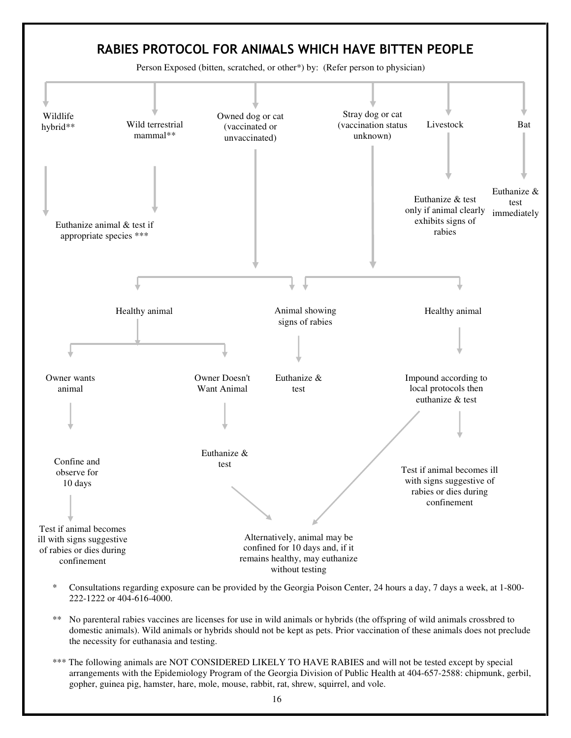

- \* Consultations regarding exposure can be provided by the Georgia Poison Center, 24 hours a day, 7 days a week, at 1-800- 222-1222 or 404-616-4000.
- \*\* No parenteral rabies vaccines are licenses for use in wild animals or hybrids (the offspring of wild animals crossbred to domestic animals). Wild animals or hybrids should not be kept as pets. Prior vaccination of these animals does not preclude the necessity for euthanasia and testing.
- \*\*\* The following animals are NOT CONSIDERED LIKELY TO HAVE RABIES and will not be tested except by special arrangements with the Epidemiology Program of the Georgia Division of Public Health at 404-657-2588: chipmunk, gerbil, gopher, guinea pig, hamster, hare, mole, mouse, rabbit, rat, shrew, squirrel, and vole.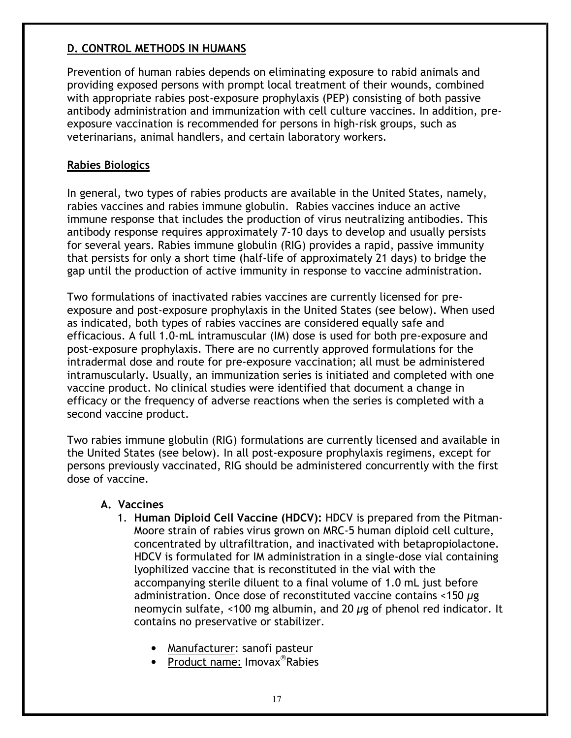## D. CONTROL METHODS IN HUMANS

Prevention of human rabies depends on eliminating exposure to rabid animals and providing exposed persons with prompt local treatment of their wounds, combined with appropriate rabies post-exposure prophylaxis (PEP) consisting of both passive antibody administration and immunization with cell culture vaccines. In addition, preexposure vaccination is recommended for persons in high-risk groups, such as veterinarians, animal handlers, and certain laboratory workers.

## Rabies Biologics

In general, two types of rabies products are available in the United States, namely, rabies vaccines and rabies immune globulin. Rabies vaccines induce an active immune response that includes the production of virus neutralizing antibodies. This antibody response requires approximately 7-10 days to develop and usually persists for several years. Rabies immune globulin (RIG) provides a rapid, passive immunity that persists for only a short time (half-life of approximately 21 days) to bridge the gap until the production of active immunity in response to vaccine administration.

Two formulations of inactivated rabies vaccines are currently licensed for preexposure and post-exposure prophylaxis in the United States (see below). When used as indicated, both types of rabies vaccines are considered equally safe and efficacious. A full 1.0-mL intramuscular (IM) dose is used for both pre-exposure and post-exposure prophylaxis. There are no currently approved formulations for the intradermal dose and route for pre-exposure vaccination; all must be administered intramuscularly. Usually, an immunization series is initiated and completed with one vaccine product. No clinical studies were identified that document a change in efficacy or the frequency of adverse reactions when the series is completed with a second vaccine product.

Two rabies immune globulin (RIG) formulations are currently licensed and available in the United States (see below). In all post-exposure prophylaxis regimens, except for persons previously vaccinated, RIG should be administered concurrently with the first dose of vaccine.

## A. Vaccines

- 1. Human Diploid Cell Vaccine (HDCV): HDCV is prepared from the Pitman-Moore strain of rabies virus grown on MRC-5 human diploid cell culture, concentrated by ultrafiltration, and inactivated with betapropiolactone. HDCV is formulated for IM administration in a single-dose vial containing lyophilized vaccine that is reconstituted in the vial with the accompanying sterile diluent to a final volume of 1.0 mL just before administration. Once dose of reconstituted vaccine contains <150 µg neomycin sulfate, <100 mg albumin, and 20 µg of phenol red indicator. It contains no preservative or stabilizer.
	- Manufacturer: sanofi pasteur
	- Product name: Imovax<sup>®</sup>Rabies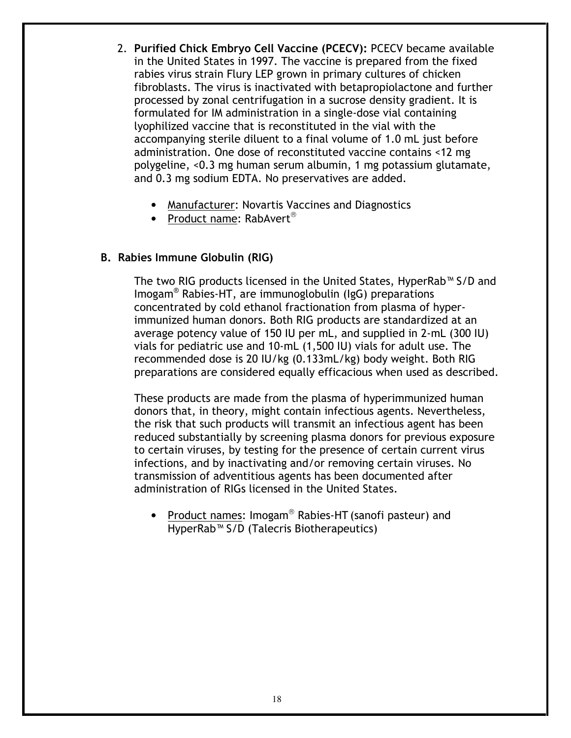- 2. Purified Chick Embryo Cell Vaccine (PCECV): PCECV became available in the United States in 1997. The vaccine is prepared from the fixed rabies virus strain Flury LEP grown in primary cultures of chicken fibroblasts. The virus is inactivated with betapropiolactone and further processed by zonal centrifugation in a sucrose density gradient. It is formulated for IM administration in a single-dose vial containing lyophilized vaccine that is reconstituted in the vial with the accompanying sterile diluent to a final volume of 1.0 mL just before administration. One dose of reconstituted vaccine contains <12 mg polygeline, <0.3 mg human serum albumin, 1 mg potassium glutamate, and 0.3 mg sodium EDTA. No preservatives are added.
	- Manufacturer: Novartis Vaccines and Diagnostics
	- Product name:  $RabAvert^{\circledR}$

## B. Rabies Immune Globulin (RIG)

The two RIG products licensed in the United States, HyperRab™ S/D and Imogam® Rabies-HT, are immunoglobulin (IgG) preparations concentrated by cold ethanol fractionation from plasma of hyperimmunized human donors. Both RIG products are standardized at an average potency value of 150 IU per mL, and supplied in 2-mL (300 IU) vials for pediatric use and 10-mL (1,500 IU) vials for adult use. The recommended dose is 20 IU/kg (0.133mL/kg) body weight. Both RIG preparations are considered equally efficacious when used as described.

These products are made from the plasma of hyperimmunized human donors that, in theory, might contain infectious agents. Nevertheless, the risk that such products will transmit an infectious agent has been reduced substantially by screening plasma donors for previous exposure to certain viruses, by testing for the presence of certain current virus infections, and by inactivating and/or removing certain viruses. No transmission of adventitious agents has been documented after administration of RIGs licensed in the United States.

• Product names: Imogam® Rabies-HT (sanofi pasteur) and HyperRab™ S/D (Talecris Biotherapeutics)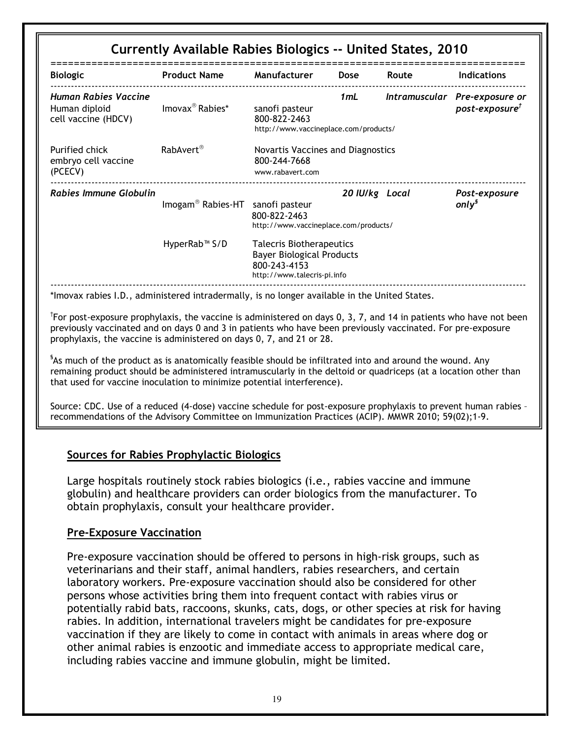|                                                                                                                               | Currently Available Rabies Biologics -- United States, 2010<br><b>Product Name</b> | Manufacturer                          |                |       | <b>Indications</b>                                          |
|-------------------------------------------------------------------------------------------------------------------------------|------------------------------------------------------------------------------------|---------------------------------------|----------------|-------|-------------------------------------------------------------|
| <b>Biologic</b>                                                                                                               |                                                                                    |                                       | Dose           | Route |                                                             |
| <b>Human Rabies Vaccine</b><br>Human diploid                                                                                  | Imovax <sup>®</sup> Rabies*                                                        | sanofi pasteur                        | 1mL            |       | Intramuscular Pre-exposure or<br>post-exposure <sup>†</sup> |
| cell vaccine (HDCV)                                                                                                           |                                                                                    | 800-822-2463                          |                |       |                                                             |
|                                                                                                                               |                                                                                    | http://www.vaccineplace.com/products/ |                |       |                                                             |
| Purified chick                                                                                                                | RabAvert <sup>®</sup>                                                              | Novartis Vaccines and Diagnostics     |                |       |                                                             |
| embryo cell vaccine                                                                                                           |                                                                                    | 800-244-7668                          |                |       |                                                             |
| (PCECV)                                                                                                                       |                                                                                    | www.rabavert.com                      |                |       |                                                             |
|                                                                                                                               |                                                                                    |                                       |                |       |                                                             |
| Rabies Immune Globulin                                                                                                        | Imogam <sup>®</sup> Rabies-HT                                                      | sanofi pasteur                        | 20 IU/kg Local |       | Post-exposure<br>only <sup>5</sup>                          |
|                                                                                                                               |                                                                                    | 800-822-2463                          |                |       |                                                             |
|                                                                                                                               |                                                                                    | http://www.vaccineplace.com/products/ |                |       |                                                             |
|                                                                                                                               | HyperRab <sup>™</sup> S/D                                                          | <b>Talecris Biotherapeutics</b>       |                |       |                                                             |
|                                                                                                                               |                                                                                    | <b>Bayer Biological Products</b>      |                |       |                                                             |
|                                                                                                                               |                                                                                    | 800-243-4153                          |                |       |                                                             |
|                                                                                                                               |                                                                                    | http://www.talecris-pi.info           |                |       |                                                             |
| *Imovax rabies I.D., administered intradermally, is no longer available in the United States.                                 |                                                                                    |                                       |                |       |                                                             |
| <sup>†</sup> For post-exposure prophylaxis, the vaccine is administered on days 0, 3, 7, and 14 in patients who have not been |                                                                                    |                                       |                |       |                                                             |
| previously vaccinated and on days 0 and 3 in patients who have been previously vaccinated. For pre-exposure                   |                                                                                    |                                       |                |       |                                                             |
| prophylaxis, the vaccine is administered on days 0, 7, and 21 or 28.                                                          |                                                                                    |                                       |                |       |                                                             |

§ As much of the product as is anatomically feasible should be infiltrated into and around the wound. Any remaining product should be administered intramuscularly in the deltoid or quadriceps (at a location other than that used for vaccine inoculation to minimize potential interference).

Source: CDC. Use of a reduced (4-dose) vaccine schedule for post-exposure prophylaxis to prevent human rabies – recommendations of the Advisory Committee on Immunization Practices (ACIP). MMWR 2010; 59(02);1-9.

## Sources for Rabies Prophylactic Biologics

Large hospitals routinely stock rabies biologics (i.e., rabies vaccine and immune globulin) and healthcare providers can order biologics from the manufacturer. To obtain prophylaxis, consult your healthcare provider.

#### Pre-Exposure Vaccination

Pre-exposure vaccination should be offered to persons in high-risk groups, such as veterinarians and their staff, animal handlers, rabies researchers, and certain laboratory workers. Pre-exposure vaccination should also be considered for other persons whose activities bring them into frequent contact with rabies virus or potentially rabid bats, raccoons, skunks, cats, dogs, or other species at risk for having rabies. In addition, international travelers might be candidates for pre-exposure vaccination if they are likely to come in contact with animals in areas where dog or other animal rabies is enzootic and immediate access to appropriate medical care, including rabies vaccine and immune globulin, might be limited.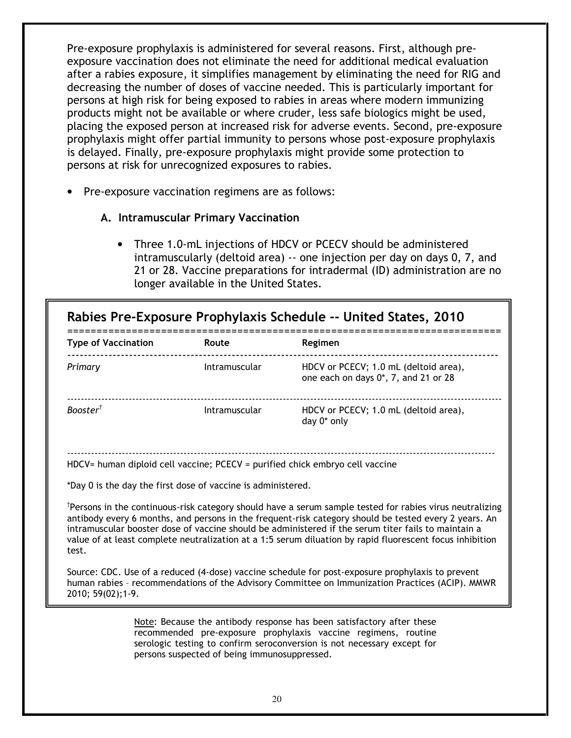Pre-exposure prophylaxis is administered for several reasons. First, although preexposure vaccination does not eliminate the need for additional medical evaluation after a rabies exposure, it simplifies management by eliminating the need for RIG and decreasing the number of doses of vaccine needed. This is particularly important for persons at high risk for being exposed to rabies in areas where modern immunizing products might not be available or where cruder, less safe biologics might be used, placing the exposed person at increased risk for adverse events. Second, pre-exposure prophylaxis might offer partial immunity to persons whose post-exposure prophylaxis is delayed. Finally, pre-exposure prophylaxis might provide some protection to persons at risk for unrecognized exposures to rabies.

• Pre-exposure vaccination regimens are as follows:

#### A. Intramuscular Primary Vaccination

• Three 1.0-mL injections of HDCV or PCECV should be administered intramuscularly (deltoid area) -- one injection per day on days 0, 7, and 21 or 28. Vaccine preparations for intradermal (ID) administration are no longer available in the United States.

| <b>Type of Vaccination</b>                                                                                                                                                                                                                                                                                                                                                                                                                                | Route         | Regimen                                                                                                                                                                                                            |
|-----------------------------------------------------------------------------------------------------------------------------------------------------------------------------------------------------------------------------------------------------------------------------------------------------------------------------------------------------------------------------------------------------------------------------------------------------------|---------------|--------------------------------------------------------------------------------------------------------------------------------------------------------------------------------------------------------------------|
| Primary                                                                                                                                                                                                                                                                                                                                                                                                                                                   | Intramuscular | HDCV or PCECV; 1.0 mL (deltoid area),<br>one each on days 0*, 7, and 21 or 28                                                                                                                                      |
| Booster <sup>†</sup>                                                                                                                                                                                                                                                                                                                                                                                                                                      | Intramuscular | HDCV or PCECV; 1.0 mL (deltoid area),<br>day 0* only                                                                                                                                                               |
| *Day 0 is the day the first dose of vaccine is administered.                                                                                                                                                                                                                                                                                                                                                                                              |               | HDCV= human diploid cell vaccine; PCECV = purified chick embryo cell vaccine                                                                                                                                       |
| <sup>T</sup> Persons in the continuous-risk category should have a serum sample tested for rabies virus neutralizing<br>antibody every 6 months, and persons in the frequent-risk category should be tested every 2 years. An<br>intramuscular booster dose of vaccine should be administered if the serum titer fails to maintain a<br>value of at least complete neutralization at a 1:5 serum diluation by rapid fluorescent focus inhibition<br>test. |               |                                                                                                                                                                                                                    |
| 2010; 59(02); 1-9.                                                                                                                                                                                                                                                                                                                                                                                                                                        |               | Source: CDC. Use of a reduced (4-dose) vaccine schedule for post-exposure prophylaxis to prevent<br>human rabies - recommendations of the Advisory Committee on Immunization Practices (ACIP). MMWR                |
|                                                                                                                                                                                                                                                                                                                                                                                                                                                           |               | Note: Because the antibody response has been satisfactory after these<br>recommended pre-exposure prophylaxis vaccine regimens, routine<br>serologic testing to confirm seroconversion is not necessary except for |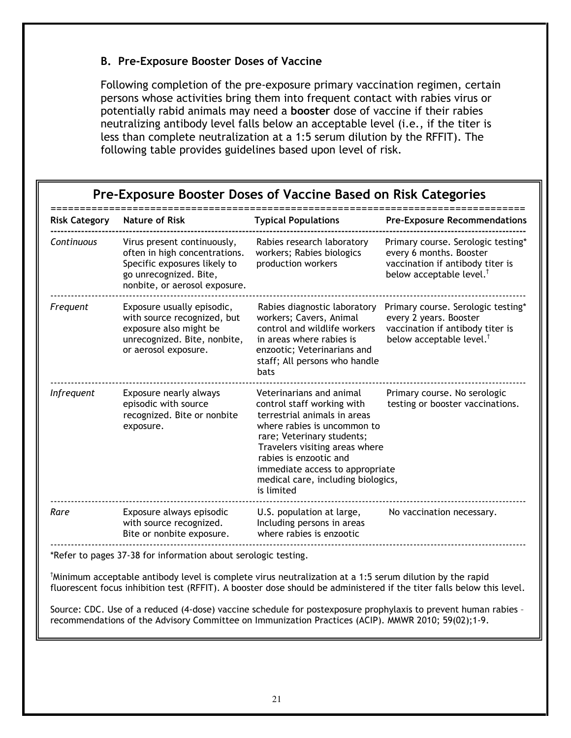## B. Pre-Exposure Booster Doses of Vaccine

Following completion of the pre-exposure primary vaccination regimen, certain persons whose activities bring them into frequent contact with rabies virus or potentially rabid animals may need a booster dose of vaccine if their rabies neutralizing antibody level falls below an acceptable level (i.e., if the titer is less than complete neutralization at a 1:5 serum dilution by the RFFIT). The following table provides guidelines based upon level of risk.

|                      | Pre-Exposure Booster Doses of Vaccine Based on Risk Categories                                                                                          |                                                                                                                                                                                                                                                                                                        |                                                                                                                                           |
|----------------------|---------------------------------------------------------------------------------------------------------------------------------------------------------|--------------------------------------------------------------------------------------------------------------------------------------------------------------------------------------------------------------------------------------------------------------------------------------------------------|-------------------------------------------------------------------------------------------------------------------------------------------|
| <b>Risk Category</b> | <b>Nature of Risk</b>                                                                                                                                   | <b>Typical Populations</b>                                                                                                                                                                                                                                                                             | <b>Pre-Exposure Recommendations</b>                                                                                                       |
| Continuous           | Virus present continuously,<br>often in high concentrations.<br>Specific exposures likely to<br>go unrecognized. Bite,<br>nonbite, or aerosol exposure. | Rabies research laboratory<br>workers; Rabies biologics<br>production workers                                                                                                                                                                                                                          | Primary course. Serologic testing*<br>every 6 months. Booster<br>vaccination if antibody titer is<br>below acceptable level. <sup>†</sup> |
| Frequent             | Exposure usually episodic,<br>with source recognized, but<br>exposure also might be<br>unrecognized. Bite, nonbite,<br>or aerosol exposure.             | Rabies diagnostic laboratory<br>workers; Cavers, Animal<br>control and wildlife workers<br>in areas where rabies is<br>enzootic; Veterinarians and<br>staff; All persons who handle<br>bats                                                                                                            | Primary course. Serologic testing*<br>every 2 years. Booster<br>vaccination if antibody titer is<br>below acceptable level. <sup>†</sup>  |
| Infrequent           | Exposure nearly always<br>episodic with source<br>recognized. Bite or nonbite<br>exposure.                                                              | Veterinarians and animal<br>control staff working with<br>terrestrial animals in areas<br>where rabies is uncommon to<br>rare; Veterinary students;<br>Travelers visiting areas where<br>rabies is enzootic and<br>immediate access to appropriate<br>medical care, including biologics,<br>is limited | Primary course. No serologic<br>testing or booster vaccinations.                                                                          |
| Rare                 | Exposure always episodic<br>with source recognized.<br>Bite or nonbite exposure.                                                                        | U.S. population at large,<br>Including persons in areas<br>where rabies is enzootic                                                                                                                                                                                                                    | No vaccination necessary.                                                                                                                 |
|                      |                                                                                                                                                         |                                                                                                                                                                                                                                                                                                        |                                                                                                                                           |

\*Refer to pages 37-38 for information about serologic testing.

 $\overline{a}$ 

†Minimum acceptable antibody level is complete virus neutralization at a 1:5 serum dilution by the rapid fluorescent focus inhibition test (RFFIT). A booster dose should be administered if the titer falls below this level.

Source: CDC. Use of a reduced (4-dose) vaccine schedule for postexposure prophylaxis to prevent human rabies – recommendations of the Advisory Committee on Immunization Practices (ACIP). MMWR 2010; 59(02);1-9.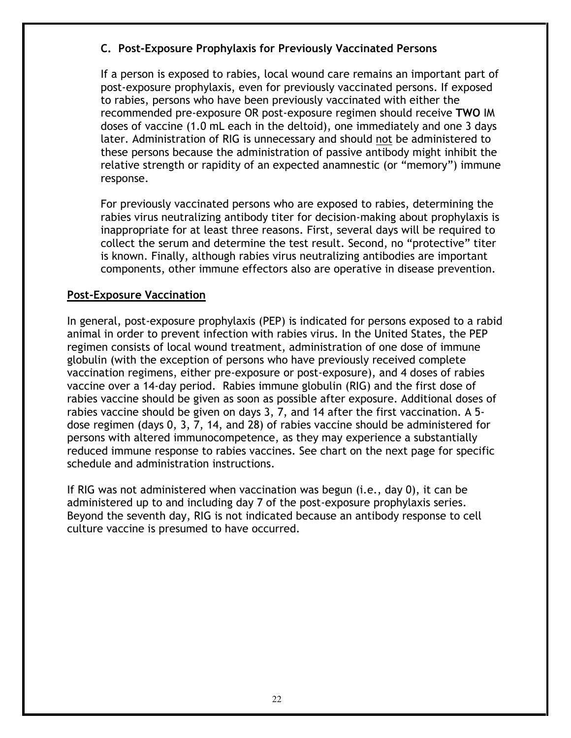## C. Post-Exposure Prophylaxis for Previously Vaccinated Persons

If a person is exposed to rabies, local wound care remains an important part of post-exposure prophylaxis, even for previously vaccinated persons. If exposed to rabies, persons who have been previously vaccinated with either the recommended pre-exposure OR post-exposure regimen should receive TWO IM doses of vaccine (1.0 mL each in the deltoid), one immediately and one 3 days later. Administration of RIG is unnecessary and should not be administered to these persons because the administration of passive antibody might inhibit the relative strength or rapidity of an expected anamnestic (or "memory") immune response.

For previously vaccinated persons who are exposed to rabies, determining the rabies virus neutralizing antibody titer for decision-making about prophylaxis is inappropriate for at least three reasons. First, several days will be required to collect the serum and determine the test result. Second, no "protective" titer is known. Finally, although rabies virus neutralizing antibodies are important components, other immune effectors also are operative in disease prevention.

## Post-Exposure Vaccination

In general, post-exposure prophylaxis (PEP) is indicated for persons exposed to a rabid animal in order to prevent infection with rabies virus. In the United States, the PEP regimen consists of local wound treatment, administration of one dose of immune globulin (with the exception of persons who have previously received complete vaccination regimens, either pre-exposure or post-exposure), and 4 doses of rabies vaccine over a 14-day period. Rabies immune globulin (RIG) and the first dose of rabies vaccine should be given as soon as possible after exposure. Additional doses of rabies vaccine should be given on days 3, 7, and 14 after the first vaccination. A 5 dose regimen (days 0, 3, 7, 14, and 28) of rabies vaccine should be administered for persons with altered immunocompetence, as they may experience a substantially reduced immune response to rabies vaccines. See chart on the next page for specific schedule and administration instructions.

If RIG was not administered when vaccination was begun (i.e., day 0), it can be administered up to and including day 7 of the post-exposure prophylaxis series. Beyond the seventh day, RIG is not indicated because an antibody response to cell culture vaccine is presumed to have occurred.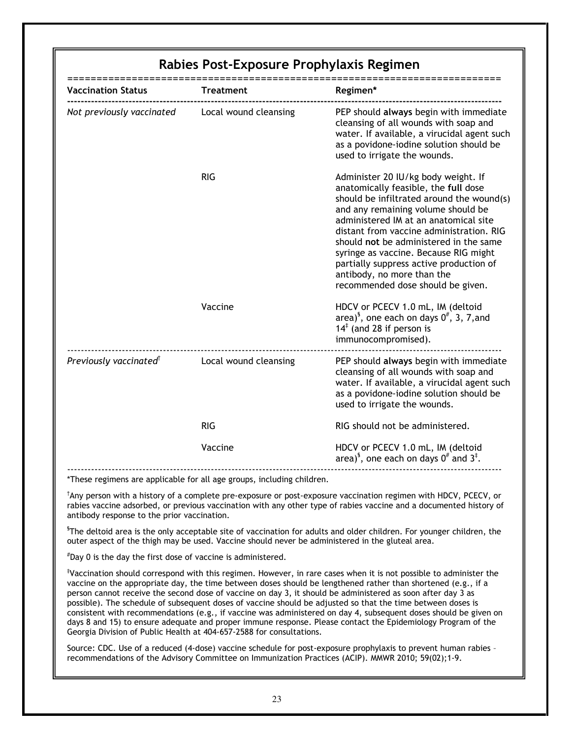| <b>Vaccination Status</b>                                    | <b>Treatment</b>                                                                                 | Regimen*                                                                                                                                                                                                                                                                                                                                                                                                                                                                                                                                                                                                                                                                                              |
|--------------------------------------------------------------|--------------------------------------------------------------------------------------------------|-------------------------------------------------------------------------------------------------------------------------------------------------------------------------------------------------------------------------------------------------------------------------------------------------------------------------------------------------------------------------------------------------------------------------------------------------------------------------------------------------------------------------------------------------------------------------------------------------------------------------------------------------------------------------------------------------------|
| Not previously vaccinated                                    | Local wound cleansing                                                                            | PEP should always begin with immediate<br>cleansing of all wounds with soap and<br>water. If available, a virucidal agent such<br>as a povidone-iodine solution should be<br>used to irrigate the wounds.                                                                                                                                                                                                                                                                                                                                                                                                                                                                                             |
|                                                              | <b>RIG</b>                                                                                       | Administer 20 IU/kg body weight. If<br>anatomically feasible, the full dose<br>should be infiltrated around the wound(s)<br>and any remaining volume should be<br>administered IM at an anatomical site<br>distant from vaccine administration. RIG<br>should not be administered in the same<br>syringe as vaccine. Because RIG might<br>partially suppress active production of<br>antibody, no more than the<br>recommended dose should be given.                                                                                                                                                                                                                                                  |
|                                                              | Vaccine                                                                                          | HDCV or PCECV 1.0 mL, IM (deltoid<br>area) <sup>5</sup> , one each on days $0^{\#}$ , 3, 7, and<br>$14‡$ (and 28 if person is<br>immunocompromised).                                                                                                                                                                                                                                                                                                                                                                                                                                                                                                                                                  |
| Previously vaccinated <sup>®</sup>                           | Local wound cleansing                                                                            | PEP should always begin with immediate<br>cleansing of all wounds with soap and<br>water. If available, a virucidal agent such<br>as a povidone-iodine solution should be<br>used to irrigate the wounds.                                                                                                                                                                                                                                                                                                                                                                                                                                                                                             |
|                                                              | <b>RIG</b>                                                                                       | RIG should not be administered.                                                                                                                                                                                                                                                                                                                                                                                                                                                                                                                                                                                                                                                                       |
|                                                              | Vaccine                                                                                          | HDCV or PCECV 1.0 mL, IM (deltoid<br>area) <sup>§</sup> , one each on days $0^{\#}$ and $3^{\#}$ .                                                                                                                                                                                                                                                                                                                                                                                                                                                                                                                                                                                                    |
|                                                              | *These regimens are applicable for all age groups, including children.                           |                                                                                                                                                                                                                                                                                                                                                                                                                                                                                                                                                                                                                                                                                                       |
| antibody response to the prior vaccination.                  |                                                                                                  | <sup>†</sup> Any person with a history of a complete pre-exposure or post-exposure vaccination regimen with HDCV, PCECV, or<br>rabies vaccine adsorbed, or previous vaccination with any other type of rabies vaccine and a documented history of                                                                                                                                                                                                                                                                                                                                                                                                                                                     |
|                                                              | outer aspect of the thigh may be used. Vaccine should never be administered in the gluteal area. | <sup>5</sup> The deltoid area is the only acceptable site of vaccination for adults and older children. For younger children, the                                                                                                                                                                                                                                                                                                                                                                                                                                                                                                                                                                     |
| "Day 0 is the day the first dose of vaccine is administered. |                                                                                                  |                                                                                                                                                                                                                                                                                                                                                                                                                                                                                                                                                                                                                                                                                                       |
|                                                              | Georgia Division of Public Health at 404-657-2588 for consultations.                             | *Vaccination should correspond with this regimen. However, in rare cases when it is not possible to administer the<br>vaccine on the appropriate day, the time between doses should be lengthened rather than shortened (e.g., if a<br>person cannot receive the second dose of vaccine on day 3, it should be administered as soon after day 3 as<br>possible). The schedule of subsequent doses of vaccine should be adjusted so that the time between doses is<br>consistent with recommendations (e.g., if vaccine was administered on day 4, subsequent doses should be given on<br>days 8 and 15) to ensure adequate and proper immune response. Please contact the Epidemiology Program of the |
|                                                              |                                                                                                  | Source: CDC. Use of a reduced (4-dose) vaccine schedule for post-exposure prophylaxis to prevent human rabies -<br>recommendations of the Advisory Committee on Immunization Practices (ACIP). MMWR 2010; 59(02);1-9.                                                                                                                                                                                                                                                                                                                                                                                                                                                                                 |

# Rabies Post-Exposure Prophylaxis Regimen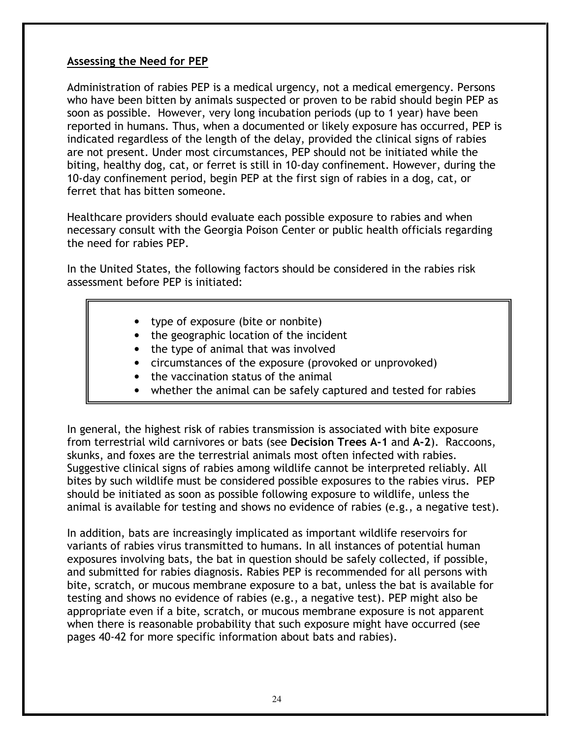#### Assessing the Need for PEP

Administration of rabies PEP is a medical urgency, not a medical emergency. Persons who have been bitten by animals suspected or proven to be rabid should begin PEP as soon as possible. However, very long incubation periods (up to 1 year) have been reported in humans. Thus, when a documented or likely exposure has occurred, PEP is indicated regardless of the length of the delay, provided the clinical signs of rabies are not present. Under most circumstances, PEP should not be initiated while the biting, healthy dog, cat, or ferret is still in 10-day confinement. However, during the 10-day confinement period, begin PEP at the first sign of rabies in a dog, cat, or ferret that has bitten someone.

Healthcare providers should evaluate each possible exposure to rabies and when necessary consult with the Georgia Poison Center or public health officials regarding the need for rabies PEP.

In the United States, the following factors should be considered in the rabies risk assessment before PEP is initiated:

- type of exposure (bite or nonbite)
- the geographic location of the incident
- the type of animal that was involved
- circumstances of the exposure (provoked or unprovoked)
- the vaccination status of the animal
- whether the animal can be safely captured and tested for rabies

In general, the highest risk of rabies transmission is associated with bite exposure from terrestrial wild carnivores or bats (see Decision Trees A-1 and A-2). Raccoons, skunks, and foxes are the terrestrial animals most often infected with rabies. Suggestive clinical signs of rabies among wildlife cannot be interpreted reliably. All bites by such wildlife must be considered possible exposures to the rabies virus. PEP should be initiated as soon as possible following exposure to wildlife, unless the animal is available for testing and shows no evidence of rabies (e.g., a negative test).

In addition, bats are increasingly implicated as important wildlife reservoirs for variants of rabies virus transmitted to humans. In all instances of potential human exposures involving bats, the bat in question should be safely collected, if possible, and submitted for rabies diagnosis. Rabies PEP is recommended for all persons with bite, scratch, or mucous membrane exposure to a bat, unless the bat is available for testing and shows no evidence of rabies (e.g., a negative test). PEP might also be appropriate even if a bite, scratch, or mucous membrane exposure is not apparent when there is reasonable probability that such exposure might have occurred (see pages 40-42 for more specific information about bats and rabies).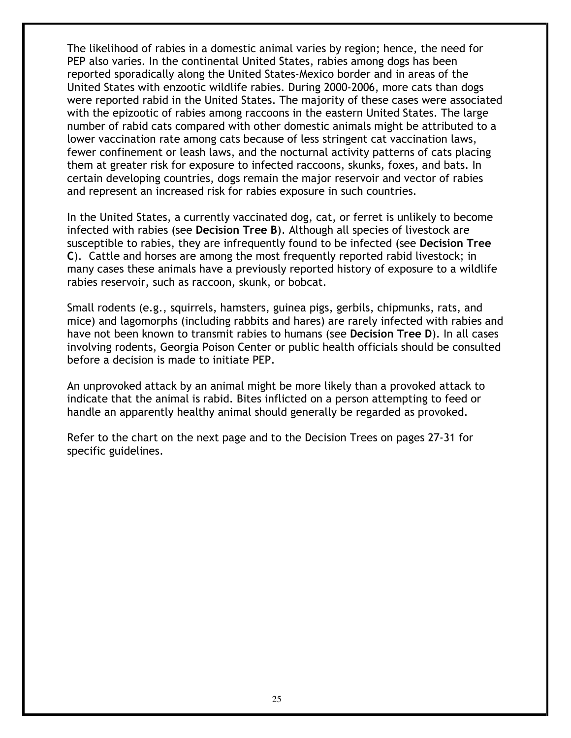The likelihood of rabies in a domestic animal varies by region; hence, the need for PEP also varies. In the continental United States, rabies among dogs has been reported sporadically along the United States-Mexico border and in areas of the United States with enzootic wildlife rabies. During 2000-2006, more cats than dogs were reported rabid in the United States. The majority of these cases were associated with the epizootic of rabies among raccoons in the eastern United States. The large number of rabid cats compared with other domestic animals might be attributed to a lower vaccination rate among cats because of less stringent cat vaccination laws, fewer confinement or leash laws, and the nocturnal activity patterns of cats placing them at greater risk for exposure to infected raccoons, skunks, foxes, and bats. In certain developing countries, dogs remain the major reservoir and vector of rabies and represent an increased risk for rabies exposure in such countries.

In the United States, a currently vaccinated dog, cat, or ferret is unlikely to become infected with rabies (see Decision Tree B). Although all species of livestock are susceptible to rabies, they are infrequently found to be infected (see Decision Tree C). Cattle and horses are among the most frequently reported rabid livestock; in many cases these animals have a previously reported history of exposure to a wildlife rabies reservoir, such as raccoon, skunk, or bobcat.

Small rodents (e.g., squirrels, hamsters, guinea pigs, gerbils, chipmunks, rats, and mice) and lagomorphs (including rabbits and hares) are rarely infected with rabies and have not been known to transmit rabies to humans (see Decision Tree D). In all cases involving rodents, Georgia Poison Center or public health officials should be consulted before a decision is made to initiate PEP.

An unprovoked attack by an animal might be more likely than a provoked attack to indicate that the animal is rabid. Bites inflicted on a person attempting to feed or handle an apparently healthy animal should generally be regarded as provoked.

Refer to the chart on the next page and to the Decision Trees on pages 27-31 for specific guidelines.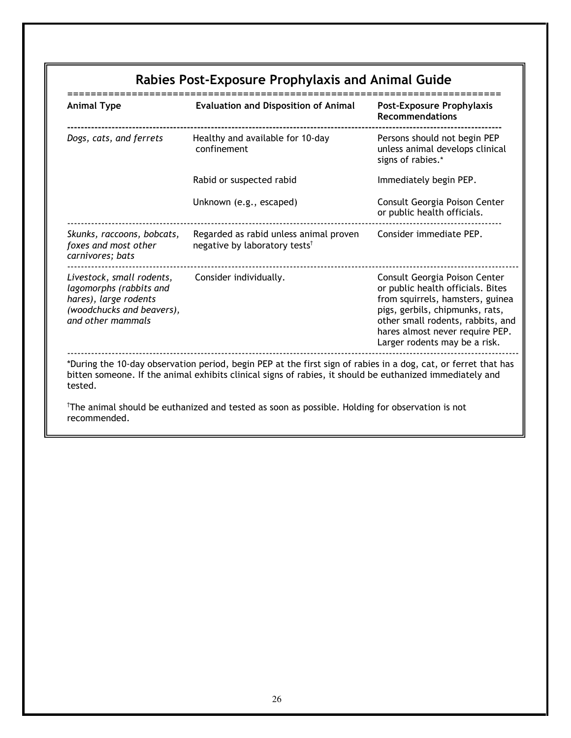# Rabies Post-Exposure Prophylaxis and Animal Guide

| <b>Animal Type</b>                                                                                                              | <b>Evaluation and Disposition of Animal</b>                                         | <b>Post-Exposure Prophylaxis</b><br><b>Recommendations</b>                                                                                                                                                                                         |
|---------------------------------------------------------------------------------------------------------------------------------|-------------------------------------------------------------------------------------|----------------------------------------------------------------------------------------------------------------------------------------------------------------------------------------------------------------------------------------------------|
| Dogs, cats, and ferrets                                                                                                         | Healthy and available for 10-day<br>confinement                                     | Persons should not begin PEP<br>unless animal develops clinical<br>signs of rabies.*                                                                                                                                                               |
|                                                                                                                                 | Rabid or suspected rabid                                                            | Immediately begin PEP.                                                                                                                                                                                                                             |
|                                                                                                                                 | Unknown (e.g., escaped)                                                             | Consult Georgia Poison Center<br>or public health officials.                                                                                                                                                                                       |
| Skunks, raccoons, bobcats,<br>foxes and most other<br>carnivores; bats                                                          | Regarded as rabid unless animal proven<br>negative by laboratory tests <sup>†</sup> | Consider immediate PEP.                                                                                                                                                                                                                            |
| Livestock, small rodents,<br>lagomorphs (rabbits and<br>hares), large rodents<br>(woodchucks and beavers),<br>and other mammals | Consider individually.                                                              | Consult Georgia Poison Center<br>or public health officials. Bites<br>from squirrels, hamsters, guinea<br>pigs, gerbils, chipmunks, rats,<br>other small rodents, rabbits, and<br>hares almost never require PEP.<br>Larger rodents may be a risk. |

† The animal should be euthanized and tested as soon as possible. Holding for observation is not recommended.

tested.

 $\overline{a}$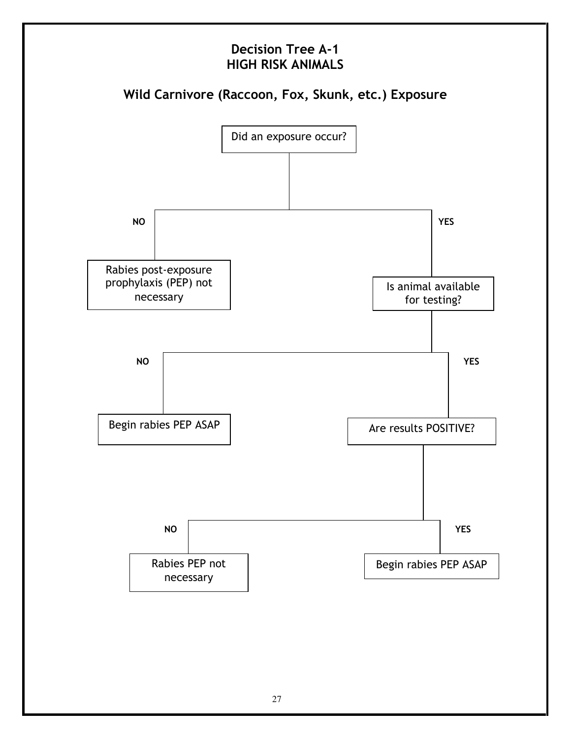# Decision Tree A-1 HIGH RISK ANIMALS Wild Carnivore (Raccoon, Fox, Skunk, etc.) Exposure Are results POSITIVE? Rabies PEP not necessary NO NO NO YES YES YES Did an exposure occur? Rabies post-exposure prophylaxis (PEP) not necessary Is animal available for testing? Begin rabies PEP ASAP Begin rabies PEP ASAP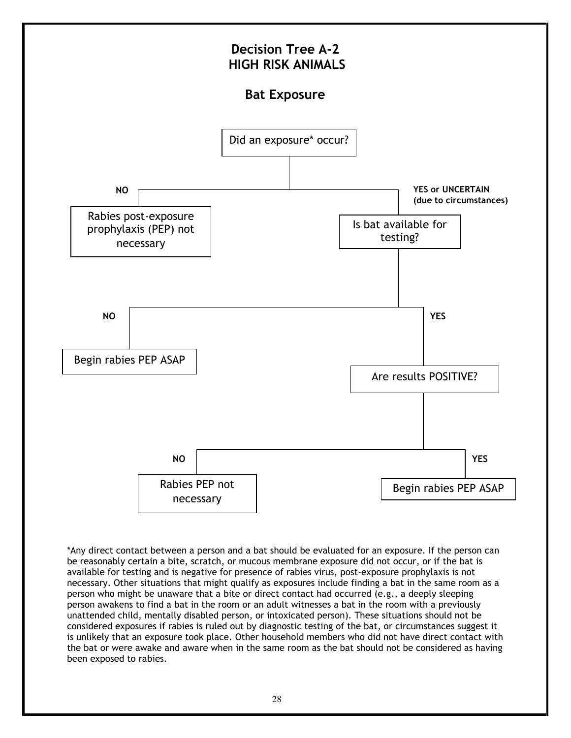

\*Any direct contact between a person and a bat should be evaluated for an exposure. If the person can be reasonably certain a bite, scratch, or mucous membrane exposure did not occur, or if the bat is available for testing and is negative for presence of rabies virus, post-exposure prophylaxis is not necessary. Other situations that might qualify as exposures include finding a bat in the same room as a person who might be unaware that a bite or direct contact had occurred (e.g., a deeply sleeping person awakens to find a bat in the room or an adult witnesses a bat in the room with a previously unattended child, mentally disabled person, or intoxicated person). These situations should not be considered exposures if rabies is ruled out by diagnostic testing of the bat, or circumstances suggest it is unlikely that an exposure took place. Other household members who did not have direct contact with the bat or were awake and aware when in the same room as the bat should not be considered as having been exposed to rabies.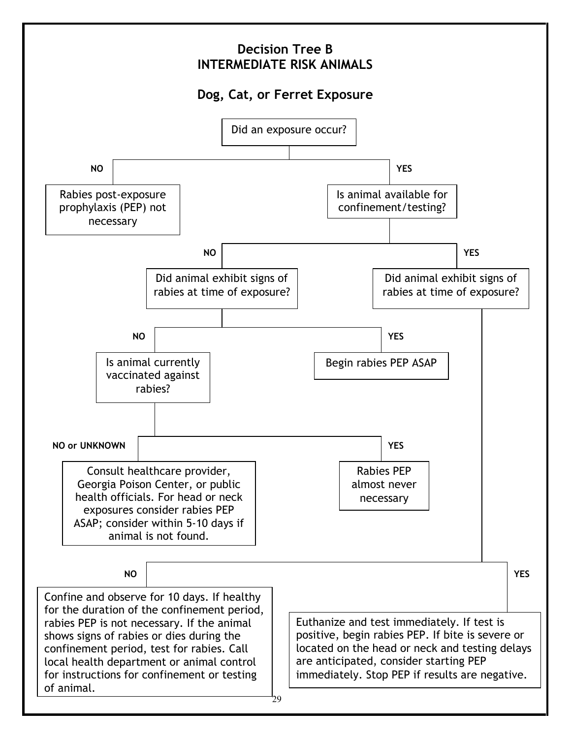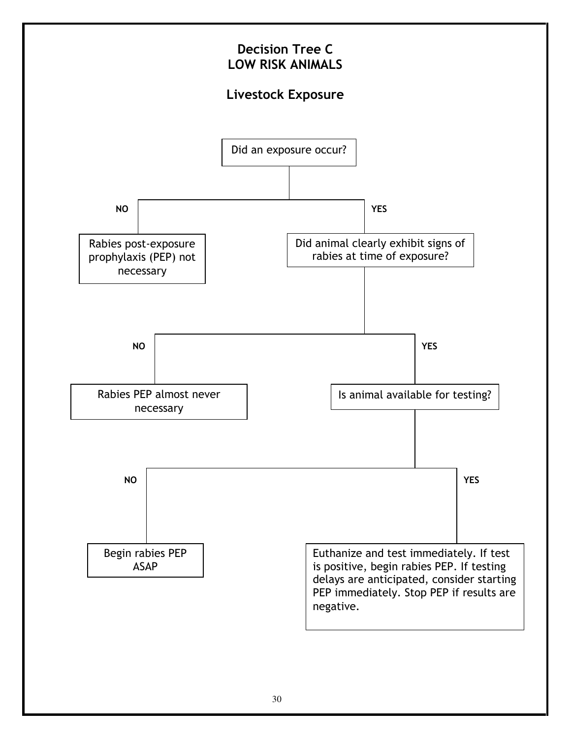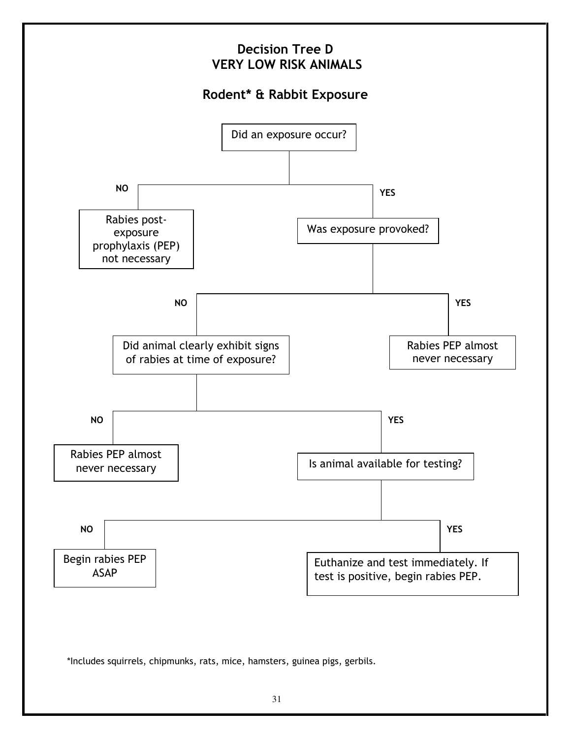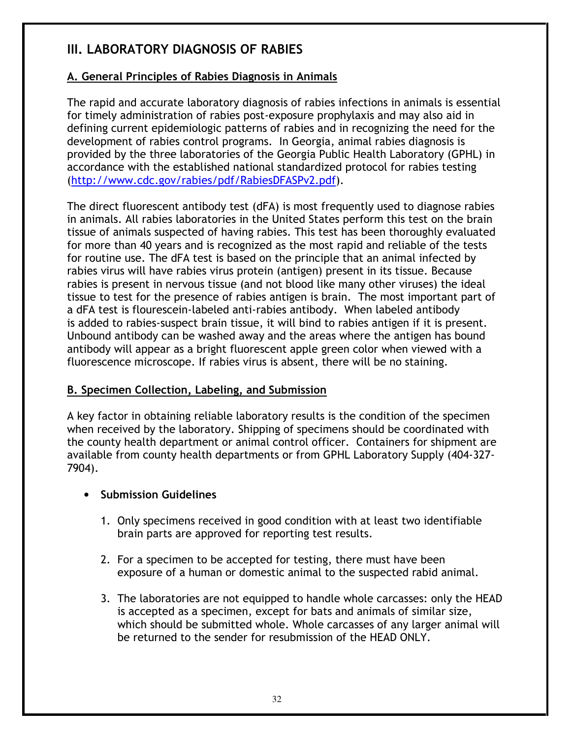# III. LABORATORY DIAGNOSIS OF RABIES

## A. General Principles of Rabies Diagnosis in Animals

The rapid and accurate laboratory diagnosis of rabies infections in animals is essential for timely administration of rabies post-exposure prophylaxis and may also aid in defining current epidemiologic patterns of rabies and in recognizing the need for the development of rabies control programs. In Georgia, animal rabies diagnosis is provided by the three laboratories of the Georgia Public Health Laboratory (GPHL) in accordance with the established national standardized protocol for rabies testing (http://www.cdc.gov/rabies/pdf/RabiesDFASPv2.pdf).

The direct fluorescent antibody test (dFA) is most frequently used to diagnose rabies in animals. All rabies laboratories in the United States perform this test on the brain tissue of animals suspected of having rabies. This test has been thoroughly evaluated for more than 40 years and is recognized as the most rapid and reliable of the tests for routine use. The dFA test is based on the principle that an animal infected by rabies virus will have rabies virus protein (antigen) present in its tissue. Because rabies is present in nervous tissue (and not blood like many other viruses) the ideal tissue to test for the presence of rabies antigen is brain. The most important part of a dFA test is flourescein-labeled anti-rabies antibody. When labeled antibody is added to rabies-suspect brain tissue, it will bind to rabies antigen if it is present. Unbound antibody can be washed away and the areas where the antigen has bound antibody will appear as a bright fluorescent apple green color when viewed with a fluorescence microscope. If rabies virus is absent, there will be no staining.

## B. Specimen Collection, Labeling, and Submission

A key factor in obtaining reliable laboratory results is the condition of the specimen when received by the laboratory. Shipping of specimens should be coordinated with the county health department or animal control officer. Containers for shipment are available from county health departments or from GPHL Laboratory Supply (404-327- 7904).

## • Submission Guidelines

- 1. Only specimens received in good condition with at least two identifiable brain parts are approved for reporting test results.
- 2. For a specimen to be accepted for testing, there must have been exposure of a human or domestic animal to the suspected rabid animal.
- 3. The laboratories are not equipped to handle whole carcasses: only the HEAD is accepted as a specimen, except for bats and animals of similar size, which should be submitted whole. Whole carcasses of any larger animal will be returned to the sender for resubmission of the HEAD ONLY.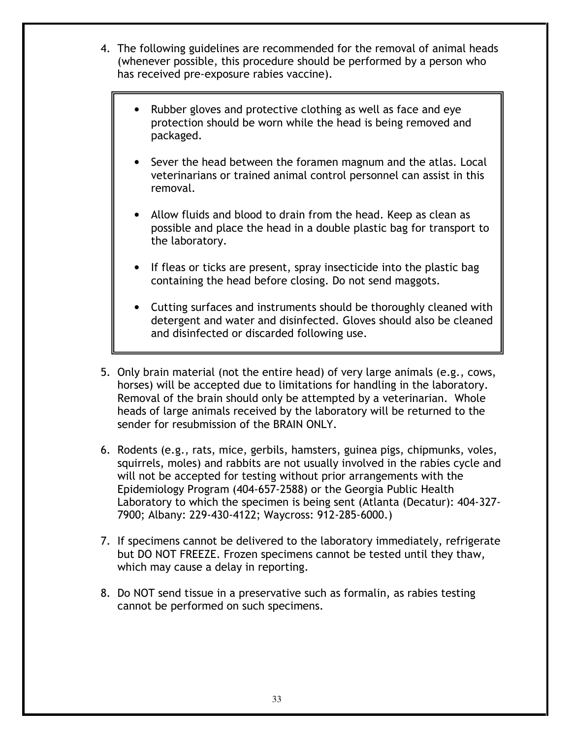- 4. The following guidelines are recommended for the removal of animal heads (whenever possible, this procedure should be performed by a person who has received pre-exposure rabies vaccine).
	- Rubber gloves and protective clothing as well as face and eye protection should be worn while the head is being removed and packaged.
	- Sever the head between the foramen magnum and the atlas. Local veterinarians or trained animal control personnel can assist in this removal.
	- Allow fluids and blood to drain from the head. Keep as clean as possible and place the head in a double plastic bag for transport to the laboratory.
	- If fleas or ticks are present, spray insecticide into the plastic bag containing the head before closing. Do not send maggots.
	- Cutting surfaces and instruments should be thoroughly cleaned with detergent and water and disinfected. Gloves should also be cleaned and disinfected or discarded following use.
- 5. Only brain material (not the entire head) of very large animals (e.g., cows, horses) will be accepted due to limitations for handling in the laboratory. Removal of the brain should only be attempted by a veterinarian. Whole heads of large animals received by the laboratory will be returned to the sender for resubmission of the BRAIN ONLY.
- 6. Rodents (e.g., rats, mice, gerbils, hamsters, guinea pigs, chipmunks, voles, squirrels, moles) and rabbits are not usually involved in the rabies cycle and will not be accepted for testing without prior arrangements with the Epidemiology Program (404-657-2588) or the Georgia Public Health Laboratory to which the specimen is being sent (Atlanta (Decatur): 404-327- 7900; Albany: 229-430-4122; Waycross: 912-285-6000.)
- 7. If specimens cannot be delivered to the laboratory immediately, refrigerate but DO NOT FREEZE. Frozen specimens cannot be tested until they thaw, which may cause a delay in reporting.
- 8. Do NOT send tissue in a preservative such as formalin, as rabies testing cannot be performed on such specimens.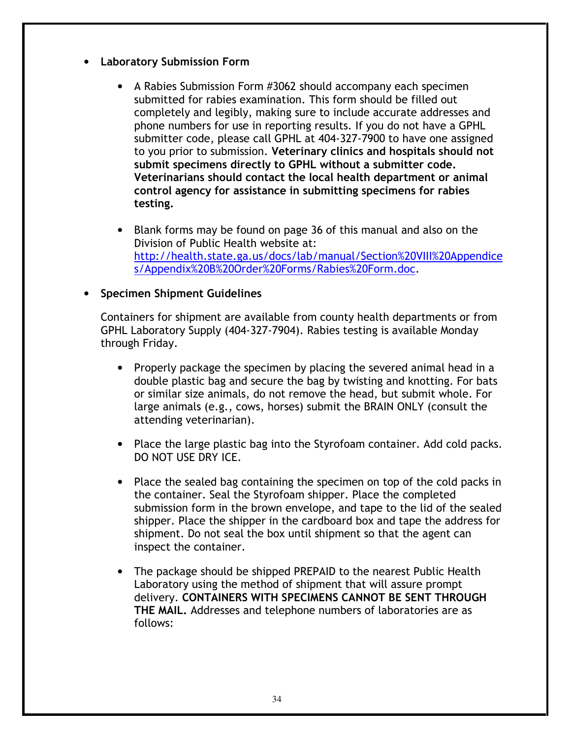- Laboratory Submission Form
	- A Rabies Submission Form #3062 should accompany each specimen submitted for rabies examination. This form should be filled out completely and legibly, making sure to include accurate addresses and phone numbers for use in reporting results. If you do not have a GPHL submitter code, please call GPHL at 404-327-7900 to have one assigned to you prior to submission. Veterinary clinics and hospitals should not submit specimens directly to GPHL without a submitter code. Veterinarians should contact the local health department or animal control agency for assistance in submitting specimens for rabies testing.
	- Blank forms may be found on page 36 of this manual and also on the Division of Public Health website at: http://health.state.ga.us/docs/lab/manual/Section%20VIII%20Appendice s/Appendix%20B%20Order%20Forms/Rabies%20Form.doc.

#### • Specimen Shipment Guidelines

Containers for shipment are available from county health departments or from GPHL Laboratory Supply (404-327-7904). Rabies testing is available Monday through Friday.

- Properly package the specimen by placing the severed animal head in a double plastic bag and secure the bag by twisting and knotting. For bats or similar size animals, do not remove the head, but submit whole. For large animals (e.g., cows, horses) submit the BRAIN ONLY (consult the attending veterinarian).
- Place the large plastic bag into the Styrofoam container. Add cold packs. DO NOT USE DRY ICE.
- Place the sealed bag containing the specimen on top of the cold packs in the container. Seal the Styrofoam shipper. Place the completed submission form in the brown envelope, and tape to the lid of the sealed shipper. Place the shipper in the cardboard box and tape the address for shipment. Do not seal the box until shipment so that the agent can inspect the container.
- The package should be shipped PREPAID to the nearest Public Health Laboratory using the method of shipment that will assure prompt delivery. CONTAINERS WITH SPECIMENS CANNOT BE SENT THROUGH THE MAIL. Addresses and telephone numbers of laboratories are as follows: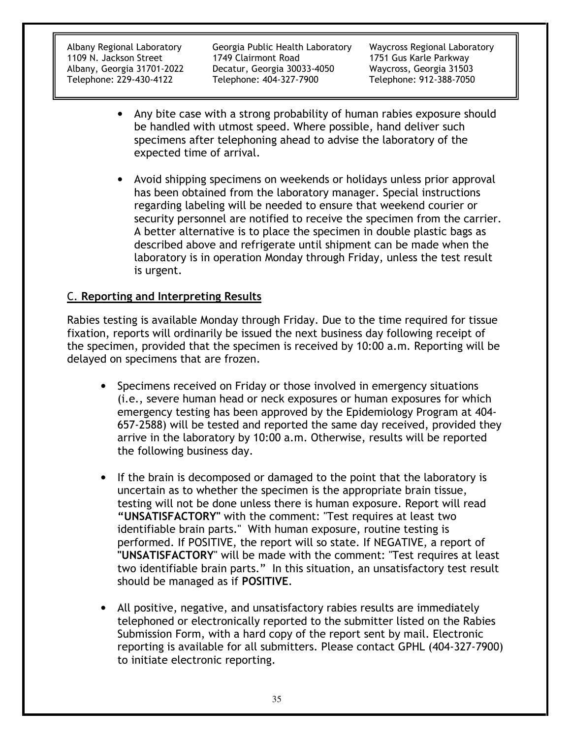Albany Regional Laboratory Georgia Public Health Laboratory Waycross Regional Laboratory<br>1709 N. Jackson Street 1749 Clairmont Road 1751 Gus Karle Parkway 1109 N. Jackson Street 1749 Clairmont Road 1751 Gus Karle Parkway Albany, Georgia 31701-2022 Decatur, Georgia 30033-4050 Waycross, Georgia 31503 Telephone: 229-430-4122 Telephone: 404-327-7900 Telephone: 912-388-7050

- Any bite case with a strong probability of human rabies exposure should be handled with utmost speed. Where possible, hand deliver such specimens after telephoning ahead to advise the laboratory of the expected time of arrival.
- Avoid shipping specimens on weekends or holidays unless prior approval has been obtained from the laboratory manager. Special instructions regarding labeling will be needed to ensure that weekend courier or security personnel are notified to receive the specimen from the carrier. A better alternative is to place the specimen in double plastic bags as described above and refrigerate until shipment can be made when the laboratory is in operation Monday through Friday, unless the test result is urgent.

## C. Reporting and Interpreting Results

Rabies testing is available Monday through Friday. Due to the time required for tissue fixation, reports will ordinarily be issued the next business day following receipt of the specimen, provided that the specimen is received by 10:00 a.m. Reporting will be delayed on specimens that are frozen.

- Specimens received on Friday or those involved in emergency situations (i.e., severe human head or neck exposures or human exposures for which emergency testing has been approved by the Epidemiology Program at 404- 657-2588) will be tested and reported the same day received, provided they arrive in the laboratory by 10:00 a.m. Otherwise, results will be reported the following business day.
- If the brain is decomposed or damaged to the point that the laboratory is uncertain as to whether the specimen is the appropriate brain tissue, testing will not be done unless there is human exposure. Report will read "UNSATISFACTORY" with the comment: "Test requires at least two identifiable brain parts." With human exposure, routine testing is performed. If POSITIVE, the report will so state. If NEGATIVE, a report of "UNSATISFACTORY" will be made with the comment: "Test requires at least two identifiable brain parts." In this situation, an unsatisfactory test result should be managed as if POSITIVE.
- All positive, negative, and unsatisfactory rabies results are immediately telephoned or electronically reported to the submitter listed on the Rabies Submission Form, with a hard copy of the report sent by mail. Electronic reporting is available for all submitters. Please contact GPHL (404-327-7900) to initiate electronic reporting.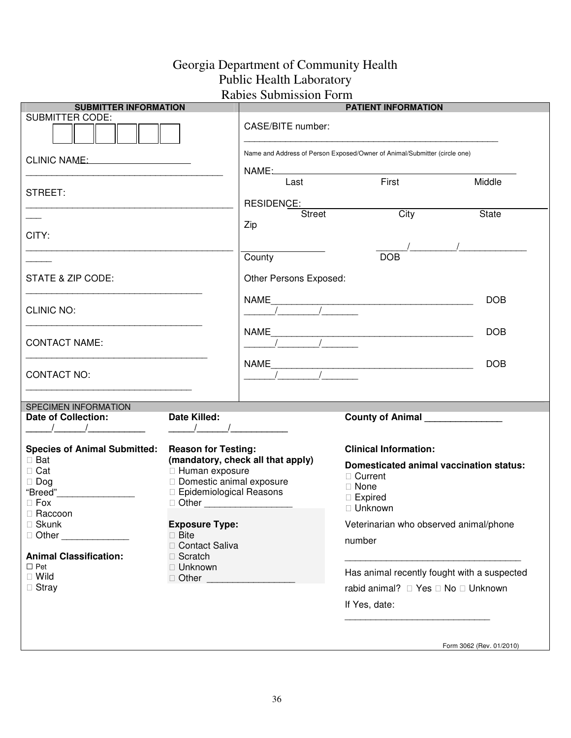## Georgia Department of Community Health Public Health Laboratory Rabies Submission Form

| <b>SUBMITTER INFORMATION</b>                                                                                                                                                                                                                                                                                                                                                    |                                                                                                                                                                                                                                                                                                                     | raoice baoilleann i chlif         | <b>PATIENT INFORMATION</b>                                                               |                          |
|---------------------------------------------------------------------------------------------------------------------------------------------------------------------------------------------------------------------------------------------------------------------------------------------------------------------------------------------------------------------------------|---------------------------------------------------------------------------------------------------------------------------------------------------------------------------------------------------------------------------------------------------------------------------------------------------------------------|-----------------------------------|------------------------------------------------------------------------------------------|--------------------------|
| <b>SUBMITTER CODE:</b>                                                                                                                                                                                                                                                                                                                                                          |                                                                                                                                                                                                                                                                                                                     | CASE/BITE number:                 |                                                                                          |                          |
| CLINIC NAME: 2008<br><u> 1989 - Johann Barbara, marka a shekara tsa 1989 - An tsa 1989 - An tsa 1989 - An tsa 1989 - An tsa 1989 - An</u>                                                                                                                                                                                                                                       |                                                                                                                                                                                                                                                                                                                     |                                   | Name and Address of Person Exposed/Owner of Animal/Submitter (circle one)<br>NAME: NAME: |                          |
| STREET:                                                                                                                                                                                                                                                                                                                                                                         |                                                                                                                                                                                                                                                                                                                     | Last<br>RESIDENCE:                | First                                                                                    | Middle                   |
|                                                                                                                                                                                                                                                                                                                                                                                 |                                                                                                                                                                                                                                                                                                                     | <b>Street</b><br>Zip              | City                                                                                     | State                    |
| CITY:                                                                                                                                                                                                                                                                                                                                                                           |                                                                                                                                                                                                                                                                                                                     | County                            | <b>DOB</b>                                                                               | $\sqrt{2}$               |
| STATE & ZIP CODE:                                                                                                                                                                                                                                                                                                                                                               |                                                                                                                                                                                                                                                                                                                     | Other Persons Exposed:            |                                                                                          |                          |
| <b>CLINIC NO:</b>                                                                                                                                                                                                                                                                                                                                                               |                                                                                                                                                                                                                                                                                                                     | NAME                              | $\overline{AB}$                                                                          | <b>DOB</b>               |
| <b>CONTACT NAME:</b>                                                                                                                                                                                                                                                                                                                                                            |                                                                                                                                                                                                                                                                                                                     |                                   | $\begin{array}{c c}\nNAME \hline\n\end{array}$                                           | <b>DOB</b>               |
| the control of the control of the control of the control of the control of the control of the control of the control of the control of the control of the control of the control of the control of the control of the control<br><b>CONTACT NO:</b><br>the control of the control of the control of the control of the control of the control of                                |                                                                                                                                                                                                                                                                                                                     |                                   |                                                                                          | <b>DOB</b>               |
|                                                                                                                                                                                                                                                                                                                                                                                 |                                                                                                                                                                                                                                                                                                                     |                                   |                                                                                          |                          |
| SPECIMEN INFORMATION<br>Date of Collection: Date Killed:<br>$\frac{1}{2}$ $\frac{1}{2}$ $\frac{1}{2}$ $\frac{1}{2}$ $\frac{1}{2}$ $\frac{1}{2}$ $\frac{1}{2}$ $\frac{1}{2}$ $\frac{1}{2}$ $\frac{1}{2}$ $\frac{1}{2}$ $\frac{1}{2}$ $\frac{1}{2}$ $\frac{1}{2}$ $\frac{1}{2}$ $\frac{1}{2}$ $\frac{1}{2}$ $\frac{1}{2}$ $\frac{1}{2}$ $\frac{1}{2}$ $\frac{1}{2}$ $\frac{1}{2}$ | $\frac{1}{2}$ $\frac{1}{2}$ $\frac{1}{2}$ $\frac{1}{2}$ $\frac{1}{2}$ $\frac{1}{2}$ $\frac{1}{2}$ $\frac{1}{2}$ $\frac{1}{2}$ $\frac{1}{2}$ $\frac{1}{2}$ $\frac{1}{2}$ $\frac{1}{2}$ $\frac{1}{2}$ $\frac{1}{2}$ $\frac{1}{2}$ $\frac{1}{2}$ $\frac{1}{2}$ $\frac{1}{2}$ $\frac{1}{2}$ $\frac{1}{2}$ $\frac{1}{2}$ |                                   | County of Animal                                                                         |                          |
| <b>Species of Animal Submitted:</b>                                                                                                                                                                                                                                                                                                                                             | <b>Reason for Testing:</b>                                                                                                                                                                                                                                                                                          |                                   | <b>Clinical Information:</b>                                                             |                          |
| Bat<br>Cat<br>Dog<br>"Breed"____________________<br>Fox<br>Raccoon                                                                                                                                                                                                                                                                                                              | Human exposure<br>Domestic animal exposure<br>Epidemiological Reasons                                                                                                                                                                                                                                               | (mandatory, check all that apply) | <b>Domesticated animal vaccination status:</b><br>Current<br>None<br>Expired<br>Unknown  |                          |
| <b>Skunk</b><br>Other<br><b>Animal Classification:</b>                                                                                                                                                                                                                                                                                                                          | <b>Exposure Type:</b><br><b>Bite</b><br><b>Contact Saliva</b><br>Scratch                                                                                                                                                                                                                                            |                                   | Veterinarian who observed animal/phone<br>number                                         |                          |
| Pet<br>Wild<br><b>Stray</b>                                                                                                                                                                                                                                                                                                                                                     | Unknown                                                                                                                                                                                                                                                                                                             |                                   | Has animal recently fought with a suspected<br>rabid animal?<br>Yes<br>If Yes, date:     | Unknown<br>No            |
|                                                                                                                                                                                                                                                                                                                                                                                 |                                                                                                                                                                                                                                                                                                                     |                                   |                                                                                          | Form 3062 (Rev. 01/2010) |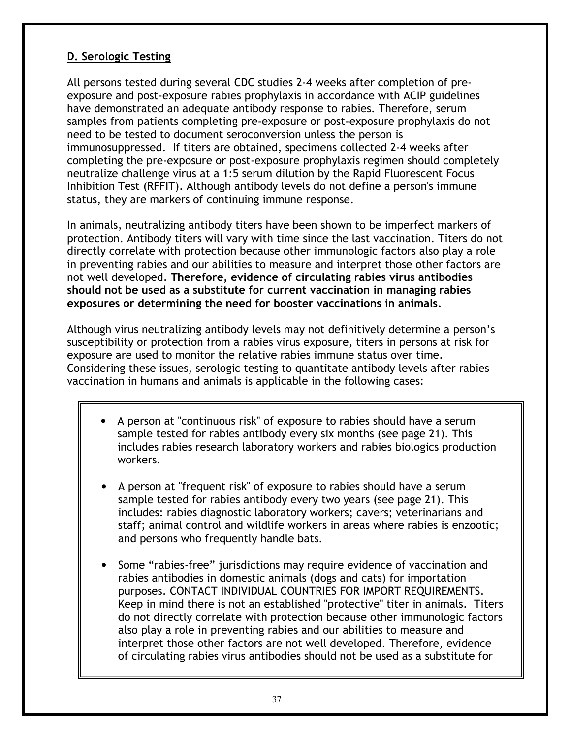## D. Serologic Testing

All persons tested during several CDC studies 2-4 weeks after completion of preexposure and post-exposure rabies prophylaxis in accordance with ACIP guidelines have demonstrated an adequate antibody response to rabies. Therefore, serum samples from patients completing pre-exposure or post-exposure prophylaxis do not need to be tested to document seroconversion unless the person is immunosuppressed. If titers are obtained, specimens collected 2-4 weeks after completing the pre-exposure or post-exposure prophylaxis regimen should completely neutralize challenge virus at a 1:5 serum dilution by the Rapid Fluorescent Focus Inhibition Test (RFFIT). Although antibody levels do not define a person's immune status, they are markers of continuing immune response.

In animals, neutralizing antibody titers have been shown to be imperfect markers of protection. Antibody titers will vary with time since the last vaccination. Titers do not directly correlate with protection because other immunologic factors also play a role in preventing rabies and our abilities to measure and interpret those other factors are not well developed. Therefore, evidence of circulating rabies virus antibodies should not be used as a substitute for current vaccination in managing rabies exposures or determining the need for booster vaccinations in animals.

Although virus neutralizing antibody levels may not definitively determine a person's susceptibility or protection from a rabies virus exposure, titers in persons at risk for exposure are used to monitor the relative rabies immune status over time. Considering these issues, serologic testing to quantitate antibody levels after rabies vaccination in humans and animals is applicable in the following cases:

- A person at "continuous risk" of exposure to rabies should have a serum sample tested for rabies antibody every six months (see page 21). This includes rabies research laboratory workers and rabies biologics production workers.
- A person at "frequent risk" of exposure to rabies should have a serum sample tested for rabies antibody every two years (see page 21). This includes: rabies diagnostic laboratory workers; cavers; veterinarians and staff; animal control and wildlife workers in areas where rabies is enzootic; and persons who frequently handle bats.
- Some "rabies-free" jurisdictions may require evidence of vaccination and rabies antibodies in domestic animals (dogs and cats) for importation purposes. CONTACT INDIVIDUAL COUNTRIES FOR IMPORT REQUIREMENTS. Keep in mind there is not an established "protective" titer in animals. Titers do not directly correlate with protection because other immunologic factors also play a role in preventing rabies and our abilities to measure and interpret those other factors are not well developed. Therefore, evidence of circulating rabies virus antibodies should not be used as a substitute for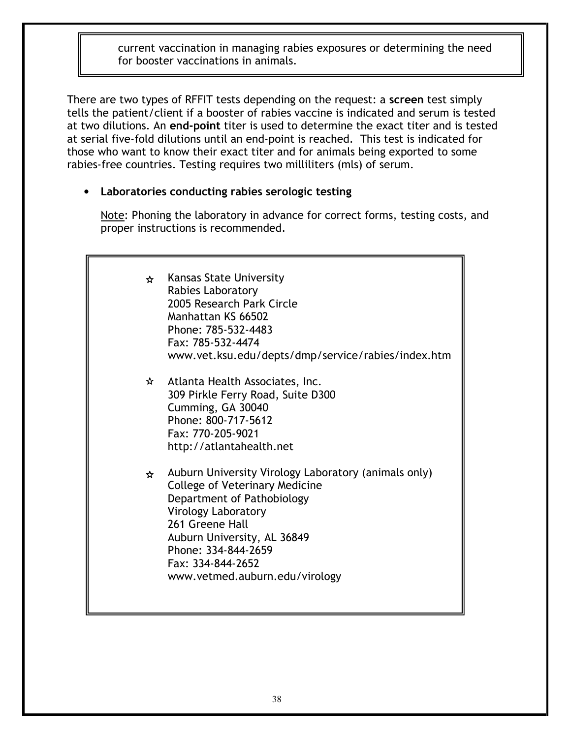current vaccination in managing rabies exposures or determining the need for booster vaccinations in animals.

There are two types of RFFIT tests depending on the request: a screen test simply tells the patient/client if a booster of rabies vaccine is indicated and serum is tested at two dilutions. An end-point titer is used to determine the exact titer and is tested at serial five-fold dilutions until an end-point is reached. This test is indicated for those who want to know their exact titer and for animals being exported to some rabies-free countries. Testing requires two milliliters (mls) of serum.

#### • Laboratories conducting rabies serologic testing

Note: Phoning the laboratory in advance for correct forms, testing costs, and proper instructions is recommended.

|   | $\mathbf{x}$ Kansas State University<br>Rabies Laboratory<br>2005 Research Park Circle<br>Manhattan KS 66502<br>Phone: 785-532-4483<br>Fax: 785-532-4474<br>www.vet.ksu.edu/depts/dmp/service/rabies/index.htm                                                                            |
|---|-------------------------------------------------------------------------------------------------------------------------------------------------------------------------------------------------------------------------------------------------------------------------------------------|
| ☆ | Atlanta Health Associates, Inc.<br>309 Pirkle Ferry Road, Suite D300<br>Cumming, GA 30040<br>Phone: 800-717-5612<br>Fax: 770-205-9021<br>http://atlantahealth.net                                                                                                                         |
| ☆ | Auburn University Virology Laboratory (animals only)<br><b>College of Veterinary Medicine</b><br>Department of Pathobiology<br><b>Virology Laboratory</b><br>261 Greene Hall<br>Auburn University, AL 36849<br>Phone: 334-844-2659<br>Fax: 334-844-2652<br>www.vetmed.auburn.edu/virology |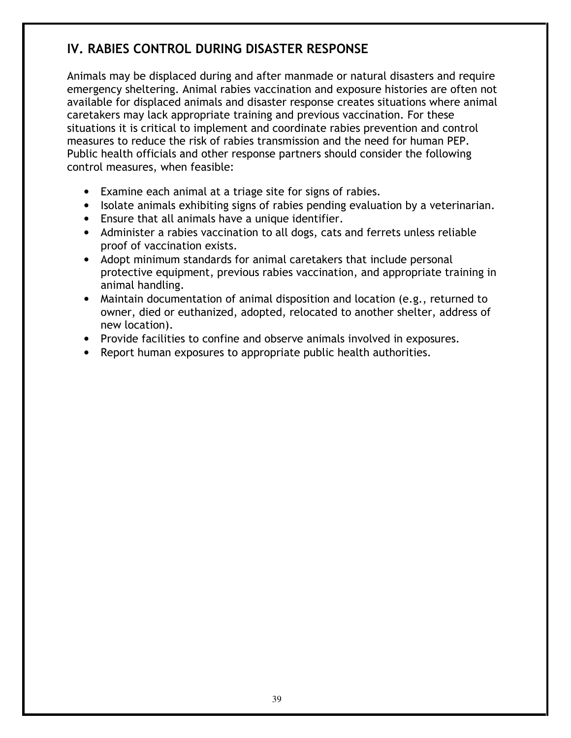# IV. RABIES CONTROL DURING DISASTER RESPONSE

Animals may be displaced during and after manmade or natural disasters and require emergency sheltering. Animal rabies vaccination and exposure histories are often not available for displaced animals and disaster response creates situations where animal caretakers may lack appropriate training and previous vaccination. For these situations it is critical to implement and coordinate rabies prevention and control measures to reduce the risk of rabies transmission and the need for human PEP. Public health officials and other response partners should consider the following control measures, when feasible:

- Examine each animal at a triage site for signs of rabies.
- Isolate animals exhibiting signs of rabies pending evaluation by a veterinarian.
- Ensure that all animals have a unique identifier.
- Administer a rabies vaccination to all dogs, cats and ferrets unless reliable proof of vaccination exists.
- Adopt minimum standards for animal caretakers that include personal protective equipment, previous rabies vaccination, and appropriate training in animal handling.
- Maintain documentation of animal disposition and location (e.g., returned to owner, died or euthanized, adopted, relocated to another shelter, address of new location).
- Provide facilities to confine and observe animals involved in exposures.
- Report human exposures to appropriate public health authorities.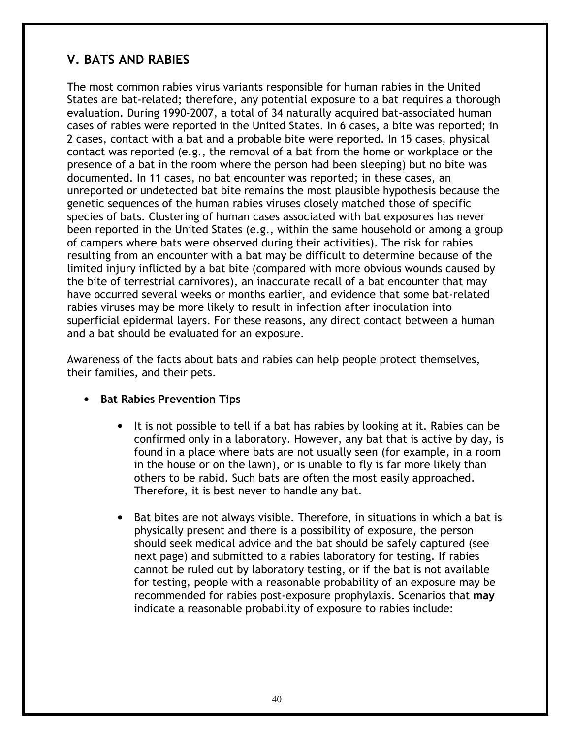# V. BATS AND RABIES

The most common rabies virus variants responsible for human rabies in the United States are bat-related; therefore, any potential exposure to a bat requires a thorough evaluation. During 1990-2007, a total of 34 naturally acquired bat-associated human cases of rabies were reported in the United States. In 6 cases, a bite was reported; in 2 cases, contact with a bat and a probable bite were reported. In 15 cases, physical contact was reported (e.g., the removal of a bat from the home or workplace or the presence of a bat in the room where the person had been sleeping) but no bite was documented. In 11 cases, no bat encounter was reported; in these cases, an unreported or undetected bat bite remains the most plausible hypothesis because the genetic sequences of the human rabies viruses closely matched those of specific species of bats. Clustering of human cases associated with bat exposures has never been reported in the United States (e.g., within the same household or among a group of campers where bats were observed during their activities). The risk for rabies resulting from an encounter with a bat may be difficult to determine because of the limited injury inflicted by a bat bite (compared with more obvious wounds caused by the bite of terrestrial carnivores), an inaccurate recall of a bat encounter that may have occurred several weeks or months earlier, and evidence that some bat-related rabies viruses may be more likely to result in infection after inoculation into superficial epidermal layers. For these reasons, any direct contact between a human and a bat should be evaluated for an exposure.

Awareness of the facts about bats and rabies can help people protect themselves, their families, and their pets.

- Bat Rabies Prevention Tips
	- It is not possible to tell if a bat has rabies by looking at it. Rabies can be confirmed only in a laboratory. However, any bat that is active by day, is found in a place where bats are not usually seen (for example, in a room in the house or on the lawn), or is unable to fly is far more likely than others to be rabid. Such bats are often the most easily approached. Therefore, it is best never to handle any bat.
	- Bat bites are not always visible. Therefore, in situations in which a bat is physically present and there is a possibility of exposure, the person should seek medical advice and the bat should be safely captured (see next page) and submitted to a rabies laboratory for testing. If rabies cannot be ruled out by laboratory testing, or if the bat is not available for testing, people with a reasonable probability of an exposure may be recommended for rabies post-exposure prophylaxis. Scenarios that may indicate a reasonable probability of exposure to rabies include: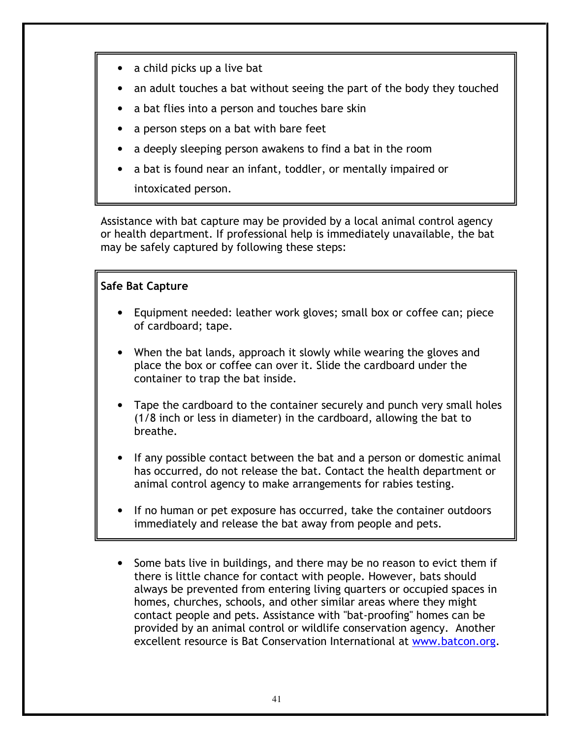- a child picks up a live bat
- an adult touches a bat without seeing the part of the body they touched
- a bat flies into a person and touches bare skin
- a person steps on a bat with bare feet
- a deeply sleeping person awakens to find a bat in the room
- a bat is found near an infant, toddler, or mentally impaired or intoxicated person.

Assistance with bat capture may be provided by a local animal control agency or health department. If professional help is immediately unavailable, the bat may be safely captured by following these steps:

## Safe Bat Capture

- Equipment needed: leather work gloves; small box or coffee can; piece of cardboard; tape.
- When the bat lands, approach it slowly while wearing the gloves and place the box or coffee can over it. Slide the cardboard under the container to trap the bat inside.
- Tape the cardboard to the container securely and punch very small holes (1/8 inch or less in diameter) in the cardboard, allowing the bat to breathe.
- If any possible contact between the bat and a person or domestic animal has occurred, do not release the bat. Contact the health department or animal control agency to make arrangements for rabies testing.
- If no human or pet exposure has occurred, take the container outdoors immediately and release the bat away from people and pets.
- Some bats live in buildings, and there may be no reason to evict them if there is little chance for contact with people. However, bats should always be prevented from entering living quarters or occupied spaces in homes, churches, schools, and other similar areas where they might contact people and pets. Assistance with "bat-proofing" homes can be provided by an animal control or wildlife conservation agency. Another excellent resource is Bat Conservation International at www.batcon.org.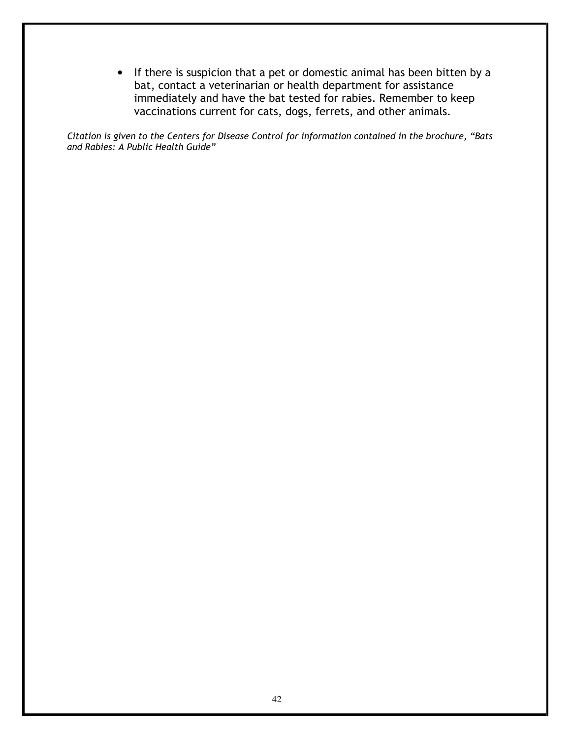• If there is suspicion that a pet or domestic animal has been bitten by a bat, contact a veterinarian or health department for assistance immediately and have the bat tested for rabies. Remember to keep vaccinations current for cats, dogs, ferrets, and other animals.

Citation is given to the Centers for Disease Control for information contained in the brochure, "Bats and Rabies: A Public Health Guide"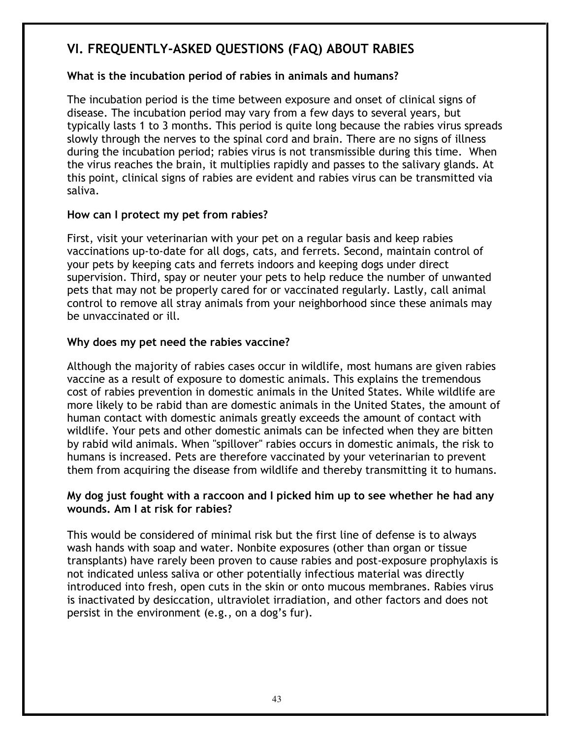# VI. FREQUENTLY-ASKED QUESTIONS (FAQ) ABOUT RABIES

## What is the incubation period of rabies in animals and humans?

The incubation period is the time between exposure and onset of clinical signs of disease. The incubation period may vary from a few days to several years, but typically lasts 1 to 3 months. This period is quite long because the rabies virus spreads slowly through the nerves to the spinal cord and brain. There are no signs of illness during the incubation period; rabies virus is not transmissible during this time. When the virus reaches the brain, it multiplies rapidly and passes to the salivary glands. At this point, clinical signs of rabies are evident and rabies virus can be transmitted via saliva.

#### How can I protect my pet from rabies?

First, visit your veterinarian with your pet on a regular basis and keep rabies vaccinations up-to-date for all dogs, cats, and ferrets. Second, maintain control of your pets by keeping cats and ferrets indoors and keeping dogs under direct supervision. Third, spay or neuter your pets to help reduce the number of unwanted pets that may not be properly cared for or vaccinated regularly. Lastly, call animal control to remove all stray animals from your neighborhood since these animals may be unvaccinated or ill.

## Why does my pet need the rabies vaccine?

Although the majority of rabies cases occur in wildlife, most humans are given rabies vaccine as a result of exposure to domestic animals. This explains the tremendous cost of rabies prevention in domestic animals in the United States. While wildlife are more likely to be rabid than are domestic animals in the United States, the amount of human contact with domestic animals greatly exceeds the amount of contact with wildlife. Your pets and other domestic animals can be infected when they are bitten by rabid wild animals. When "spillover" rabies occurs in domestic animals, the risk to humans is increased. Pets are therefore vaccinated by your veterinarian to prevent them from acquiring the disease from wildlife and thereby transmitting it to humans.

#### My dog just fought with a raccoon and I picked him up to see whether he had any wounds. Am I at risk for rabies?

This would be considered of minimal risk but the first line of defense is to always wash hands with soap and water. Nonbite exposures (other than organ or tissue transplants) have rarely been proven to cause rabies and post-exposure prophylaxis is not indicated unless saliva or other potentially infectious material was directly introduced into fresh, open cuts in the skin or onto mucous membranes. Rabies virus is inactivated by desiccation, ultraviolet irradiation, and other factors and does not persist in the environment (e.g., on a dog's fur).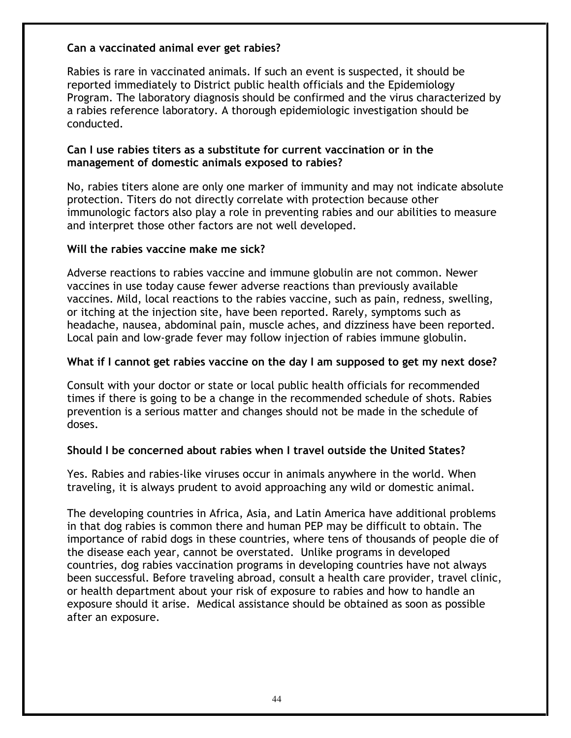#### Can a vaccinated animal ever get rabies?

Rabies is rare in vaccinated animals. If such an event is suspected, it should be reported immediately to District public health officials and the Epidemiology Program. The laboratory diagnosis should be confirmed and the virus characterized by a rabies reference laboratory. A thorough epidemiologic investigation should be conducted.

#### Can I use rabies titers as a substitute for current vaccination or in the management of domestic animals exposed to rabies?

No, rabies titers alone are only one marker of immunity and may not indicate absolute protection. Titers do not directly correlate with protection because other immunologic factors also play a role in preventing rabies and our abilities to measure and interpret those other factors are not well developed.

#### Will the rabies vaccine make me sick?

Adverse reactions to rabies vaccine and immune globulin are not common. Newer vaccines in use today cause fewer adverse reactions than previously available vaccines. Mild, local reactions to the rabies vaccine, such as pain, redness, swelling, or itching at the injection site, have been reported. Rarely, symptoms such as headache, nausea, abdominal pain, muscle aches, and dizziness have been reported. Local pain and low-grade fever may follow injection of rabies immune globulin.

#### What if I cannot get rabies vaccine on the day I am supposed to get my next dose?

Consult with your doctor or state or local public health officials for recommended times if there is going to be a change in the recommended schedule of shots. Rabies prevention is a serious matter and changes should not be made in the schedule of doses.

## Should I be concerned about rabies when I travel outside the United States?

Yes. Rabies and rabies-like viruses occur in animals anywhere in the world. When traveling, it is always prudent to avoid approaching any wild or domestic animal.

The developing countries in Africa, Asia, and Latin America have additional problems in that dog rabies is common there and human PEP may be difficult to obtain. The importance of rabid dogs in these countries, where tens of thousands of people die of the disease each year, cannot be overstated. Unlike programs in developed countries, dog rabies vaccination programs in developing countries have not always been successful. Before traveling abroad, consult a health care provider, travel clinic, or health department about your risk of exposure to rabies and how to handle an exposure should it arise. Medical assistance should be obtained as soon as possible after an exposure.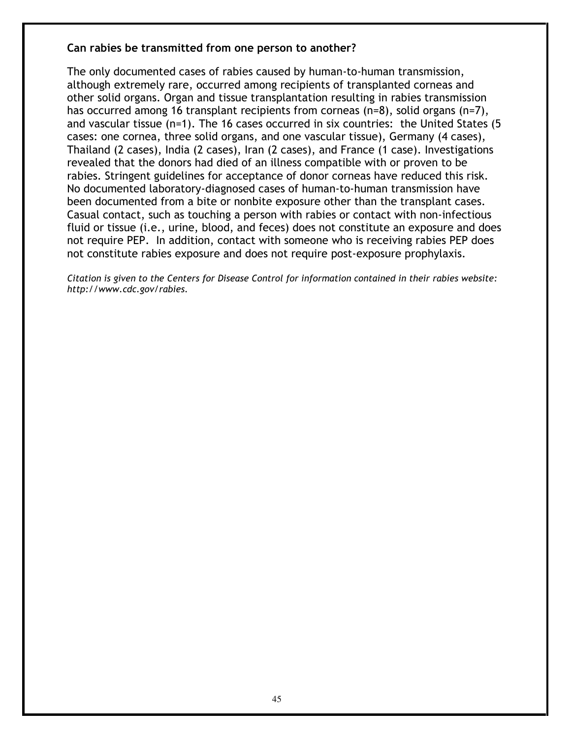#### Can rabies be transmitted from one person to another?

The only documented cases of rabies caused by human-to-human transmission, although extremely rare, occurred among recipients of transplanted corneas and other solid organs. Organ and tissue transplantation resulting in rabies transmission has occurred among 16 transplant recipients from corneas (n=8), solid organs (n=7), and vascular tissue (n=1). The 16 cases occurred in six countries: the United States (5 cases: one cornea, three solid organs, and one vascular tissue), Germany (4 cases), Thailand (2 cases), India (2 cases), Iran (2 cases), and France (1 case). Investigations revealed that the donors had died of an illness compatible with or proven to be rabies. Stringent guidelines for acceptance of donor corneas have reduced this risk. No documented laboratory-diagnosed cases of human-to-human transmission have been documented from a bite or nonbite exposure other than the transplant cases. Casual contact, such as touching a person with rabies or contact with non-infectious fluid or tissue (i.e., urine, blood, and feces) does not constitute an exposure and does not require PEP. In addition, contact with someone who is receiving rabies PEP does not constitute rabies exposure and does not require post-exposure prophylaxis.

Citation is given to the Centers for Disease Control for information contained in their rabies website: http://www.cdc.gov/rabies.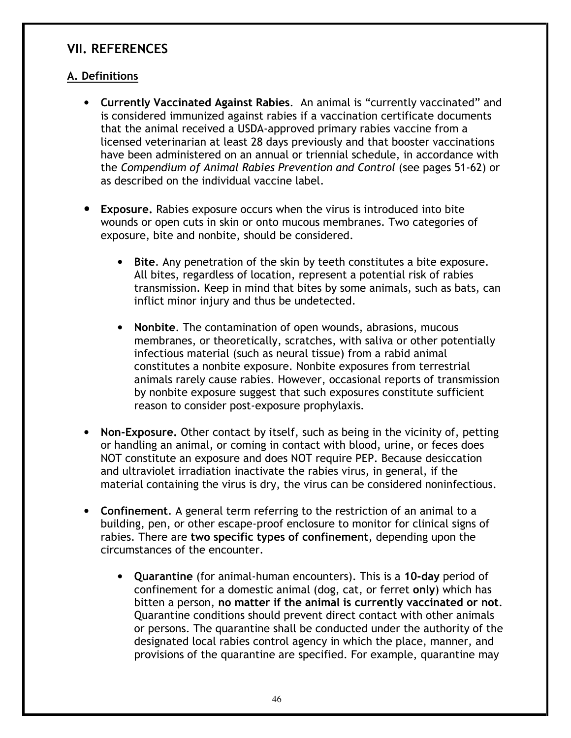# VII. REFERENCES

## A. Definitions

- Currently Vaccinated Against Rabies. An animal is "currently vaccinated" and is considered immunized against rabies if a vaccination certificate documents that the animal received a USDA-approved primary rabies vaccine from a licensed veterinarian at least 28 days previously and that booster vaccinations have been administered on an annual or triennial schedule, in accordance with the Compendium of Animal Rabies Prevention and Control (see pages 51-62) or as described on the individual vaccine label.
- Exposure. Rabies exposure occurs when the virus is introduced into bite wounds or open cuts in skin or onto mucous membranes. Two categories of exposure, bite and nonbite, should be considered.
	- Bite. Any penetration of the skin by teeth constitutes a bite exposure. All bites, regardless of location, represent a potential risk of rabies transmission. Keep in mind that bites by some animals, such as bats, can inflict minor injury and thus be undetected.
	- Nonbite. The contamination of open wounds, abrasions, mucous membranes, or theoretically, scratches, with saliva or other potentially infectious material (such as neural tissue) from a rabid animal constitutes a nonbite exposure. Nonbite exposures from terrestrial animals rarely cause rabies. However, occasional reports of transmission by nonbite exposure suggest that such exposures constitute sufficient reason to consider post-exposure prophylaxis.
- Non-Exposure. Other contact by itself, such as being in the vicinity of, petting or handling an animal, or coming in contact with blood, urine, or feces does NOT constitute an exposure and does NOT require PEP. Because desiccation and ultraviolet irradiation inactivate the rabies virus, in general, if the material containing the virus is dry, the virus can be considered noninfectious.
- Confinement. A general term referring to the restriction of an animal to a building, pen, or other escape-proof enclosure to monitor for clinical signs of rabies. There are two specific types of confinement, depending upon the circumstances of the encounter.
	- Quarantine (for animal-human encounters). This is a 10-day period of confinement for a domestic animal (dog, cat, or ferret only) which has bitten a person, no matter if the animal is currently vaccinated or not. Quarantine conditions should prevent direct contact with other animals or persons. The quarantine shall be conducted under the authority of the designated local rabies control agency in which the place, manner, and provisions of the quarantine are specified. For example, quarantine may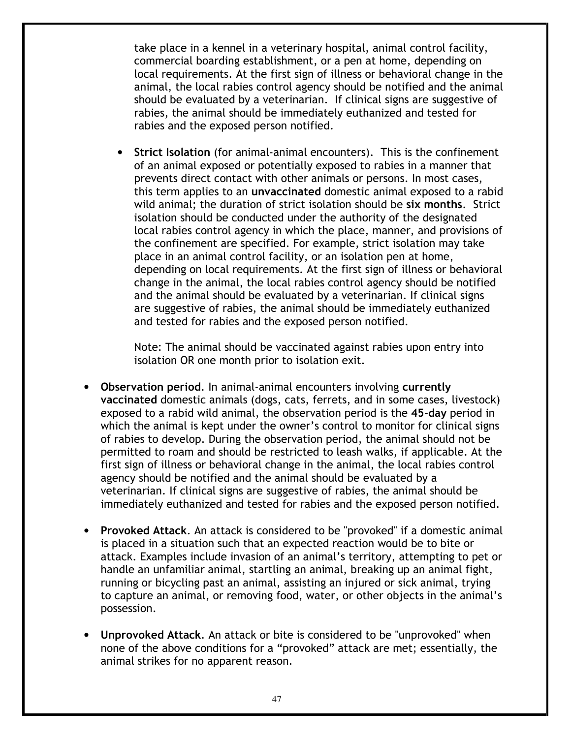take place in a kennel in a veterinary hospital, animal control facility, commercial boarding establishment, or a pen at home, depending on local requirements. At the first sign of illness or behavioral change in the animal, the local rabies control agency should be notified and the animal should be evaluated by a veterinarian. If clinical signs are suggestive of rabies, the animal should be immediately euthanized and tested for rabies and the exposed person notified.

• Strict Isolation (for animal-animal encounters). This is the confinement of an animal exposed or potentially exposed to rabies in a manner that prevents direct contact with other animals or persons. In most cases, this term applies to an unvaccinated domestic animal exposed to a rabid wild animal; the duration of strict isolation should be six months. Strict isolation should be conducted under the authority of the designated local rabies control agency in which the place, manner, and provisions of the confinement are specified. For example, strict isolation may take place in an animal control facility, or an isolation pen at home, depending on local requirements. At the first sign of illness or behavioral change in the animal, the local rabies control agency should be notified and the animal should be evaluated by a veterinarian. If clinical signs are suggestive of rabies, the animal should be immediately euthanized and tested for rabies and the exposed person notified.

Note: The animal should be vaccinated against rabies upon entry into isolation OR one month prior to isolation exit.

- Observation period. In animal-animal encounters involving currently vaccinated domestic animals (dogs, cats, ferrets, and in some cases, livestock) exposed to a rabid wild animal, the observation period is the 45-day period in which the animal is kept under the owner's control to monitor for clinical signs of rabies to develop. During the observation period, the animal should not be permitted to roam and should be restricted to leash walks, if applicable. At the first sign of illness or behavioral change in the animal, the local rabies control agency should be notified and the animal should be evaluated by a veterinarian. If clinical signs are suggestive of rabies, the animal should be immediately euthanized and tested for rabies and the exposed person notified.
- Provoked Attack. An attack is considered to be "provoked" if a domestic animal is placed in a situation such that an expected reaction would be to bite or attack. Examples include invasion of an animal's territory, attempting to pet or handle an unfamiliar animal, startling an animal, breaking up an animal fight, running or bicycling past an animal, assisting an injured or sick animal, trying to capture an animal, or removing food, water, or other objects in the animal's possession.
- Unprovoked Attack. An attack or bite is considered to be "unprovoked" when none of the above conditions for a "provoked" attack are met; essentially, the animal strikes for no apparent reason.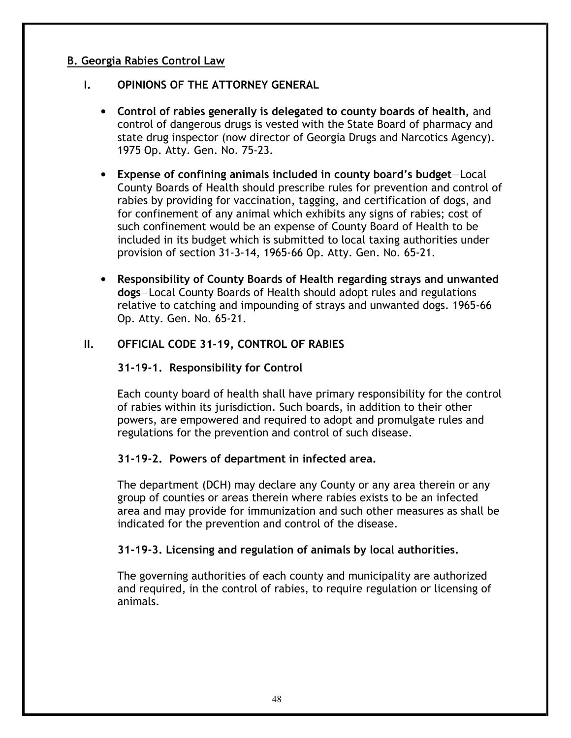## B. Georgia Rabies Control Law

- I. OPINIONS OF THE ATTORNEY GENERAL
	- Control of rabies generally is delegated to county boards of health, and control of dangerous drugs is vested with the State Board of pharmacy and state drug inspector (now director of Georgia Drugs and Narcotics Agency). 1975 Op. Atty. Gen. No. 75-23.
	- Expense of confining animals included in county board's budget—Local County Boards of Health should prescribe rules for prevention and control of rabies by providing for vaccination, tagging, and certification of dogs, and for confinement of any animal which exhibits any signs of rabies; cost of such confinement would be an expense of County Board of Health to be included in its budget which is submitted to local taxing authorities under provision of section 31-3-14, 1965-66 Op. Atty. Gen. No. 65-21.
	- Responsibility of County Boards of Health regarding strays and unwanted dogs—Local County Boards of Health should adopt rules and regulations relative to catching and impounding of strays and unwanted dogs. 1965-66 Op. Atty. Gen. No. 65-21.

#### II. OFFICIAL CODE 31-19, CONTROL OF RABIES

#### 31-19-1. Responsibility for Control

Each county board of health shall have primary responsibility for the control of rabies within its jurisdiction. Such boards, in addition to their other powers, are empowered and required to adopt and promulgate rules and regulations for the prevention and control of such disease.

#### 31-19-2. Powers of department in infected area.

The department (DCH) may declare any County or any area therein or any group of counties or areas therein where rabies exists to be an infected area and may provide for immunization and such other measures as shall be indicated for the prevention and control of the disease.

#### 31-19-3. Licensing and regulation of animals by local authorities.

The governing authorities of each county and municipality are authorized and required, in the control of rabies, to require regulation or licensing of animals.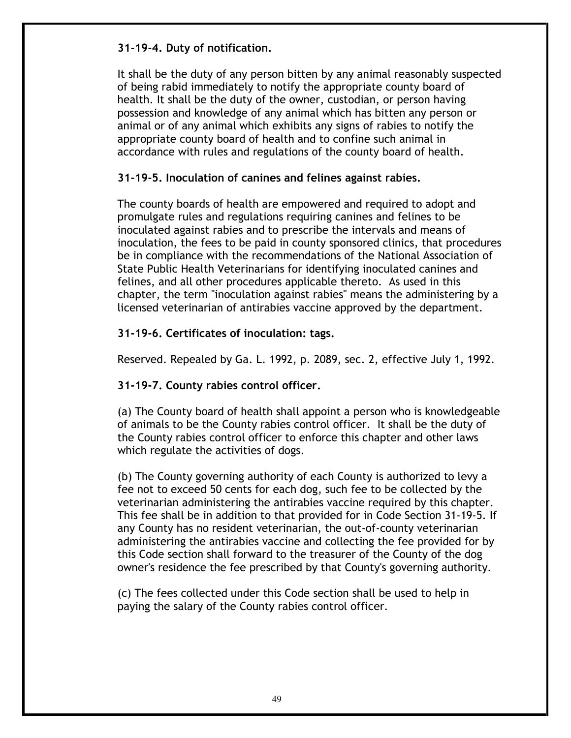#### 31-19-4. Duty of notification.

It shall be the duty of any person bitten by any animal reasonably suspected of being rabid immediately to notify the appropriate county board of health. It shall be the duty of the owner, custodian, or person having possession and knowledge of any animal which has bitten any person or animal or of any animal which exhibits any signs of rabies to notify the appropriate county board of health and to confine such animal in accordance with rules and regulations of the county board of health.

#### 31-19-5. Inoculation of canines and felines against rabies.

The county boards of health are empowered and required to adopt and promulgate rules and regulations requiring canines and felines to be inoculated against rabies and to prescribe the intervals and means of inoculation, the fees to be paid in county sponsored clinics, that procedures be in compliance with the recommendations of the National Association of State Public Health Veterinarians for identifying inoculated canines and felines, and all other procedures applicable thereto. As used in this chapter, the term "inoculation against rabies" means the administering by a licensed veterinarian of antirabies vaccine approved by the department.

#### 31-19-6. Certificates of inoculation: tags.

Reserved. Repealed by Ga. L. 1992, p. 2089, sec. 2, effective July 1, 1992.

#### 31-19-7. County rabies control officer.

(a) The County board of health shall appoint a person who is knowledgeable of animals to be the County rabies control officer. It shall be the duty of the County rabies control officer to enforce this chapter and other laws which regulate the activities of dogs.

(b) The County governing authority of each County is authorized to levy a fee not to exceed 50 cents for each dog, such fee to be collected by the veterinarian administering the antirabies vaccine required by this chapter. This fee shall be in addition to that provided for in Code Section 31-19-5. If any County has no resident veterinarian, the out-of-county veterinarian administering the antirabies vaccine and collecting the fee provided for by this Code section shall forward to the treasurer of the County of the dog owner's residence the fee prescribed by that County's governing authority.

(c) The fees collected under this Code section shall be used to help in paying the salary of the County rabies control officer.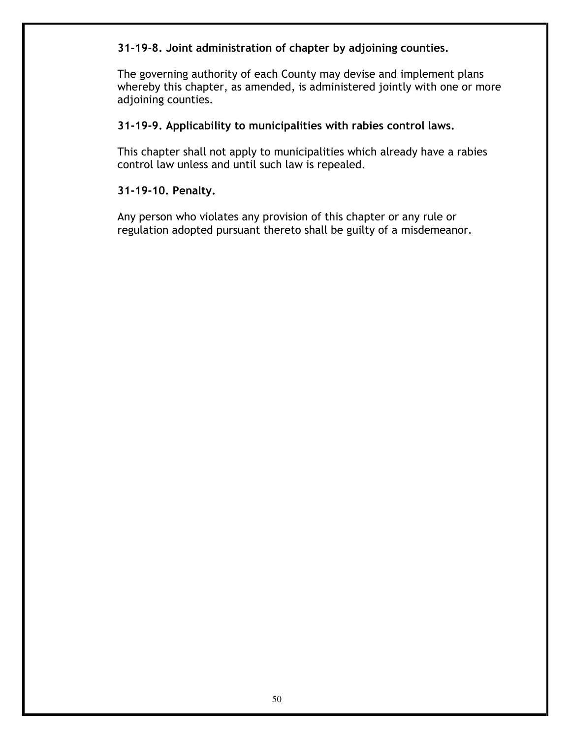## 31-19-8. Joint administration of chapter by adjoining counties.

The governing authority of each County may devise and implement plans whereby this chapter, as amended, is administered jointly with one or more adjoining counties.

#### 31-19-9. Applicability to municipalities with rabies control laws.

This chapter shall not apply to municipalities which already have a rabies control law unless and until such law is repealed.

## 31-19-10. Penalty.

Any person who violates any provision of this chapter or any rule or regulation adopted pursuant thereto shall be guilty of a misdemeanor.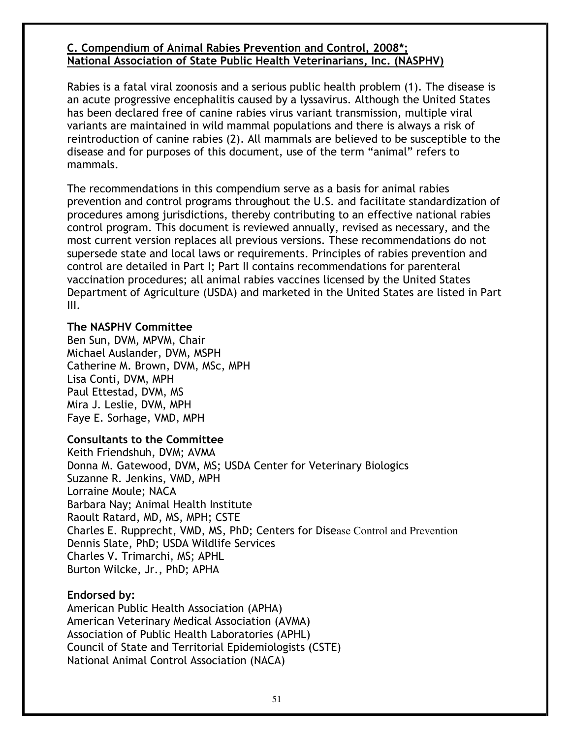#### C. Compendium of Animal Rabies Prevention and Control, 2008\*; National Association of State Public Health Veterinarians, Inc. (NASPHV)

Rabies is a fatal viral zoonosis and a serious public health problem (1). The disease is an acute progressive encephalitis caused by a lyssavirus. Although the United States has been declared free of canine rabies virus variant transmission, multiple viral variants are maintained in wild mammal populations and there is always a risk of reintroduction of canine rabies (2). All mammals are believed to be susceptible to the disease and for purposes of this document, use of the term "animal" refers to mammals.

The recommendations in this compendium serve as a basis for animal rabies prevention and control programs throughout the U.S. and facilitate standardization of procedures among jurisdictions, thereby contributing to an effective national rabies control program. This document is reviewed annually, revised as necessary, and the most current version replaces all previous versions. These recommendations do not supersede state and local laws or requirements. Principles of rabies prevention and control are detailed in Part I; Part II contains recommendations for parenteral vaccination procedures; all animal rabies vaccines licensed by the United States Department of Agriculture (USDA) and marketed in the United States are listed in Part III.

#### The NASPHV Committee

Ben Sun, DVM, MPVM, Chair Michael Auslander, DVM, MSPH Catherine M. Brown, DVM, MSc, MPH Lisa Conti, DVM, MPH Paul Ettestad, DVM, MS Mira J. Leslie, DVM, MPH Faye E. Sorhage, VMD, MPH

#### Consultants to the Committee

Keith Friendshuh, DVM; AVMA Donna M. Gatewood, DVM, MS; USDA Center for Veterinary Biologics Suzanne R. Jenkins, VMD, MPH Lorraine Moule; NACA Barbara Nay; Animal Health Institute Raoult Ratard, MD, MS, MPH; CSTE Charles E. Rupprecht, VMD, MS, PhD; Centers for Disease Control and Prevention Dennis Slate, PhD; USDA Wildlife Services Charles V. Trimarchi, MS; APHL Burton Wilcke, Jr., PhD; APHA

#### Endorsed by:

American Public Health Association (APHA) American Veterinary Medical Association (AVMA) Association of Public Health Laboratories (APHL) Council of State and Territorial Epidemiologists (CSTE) National Animal Control Association (NACA)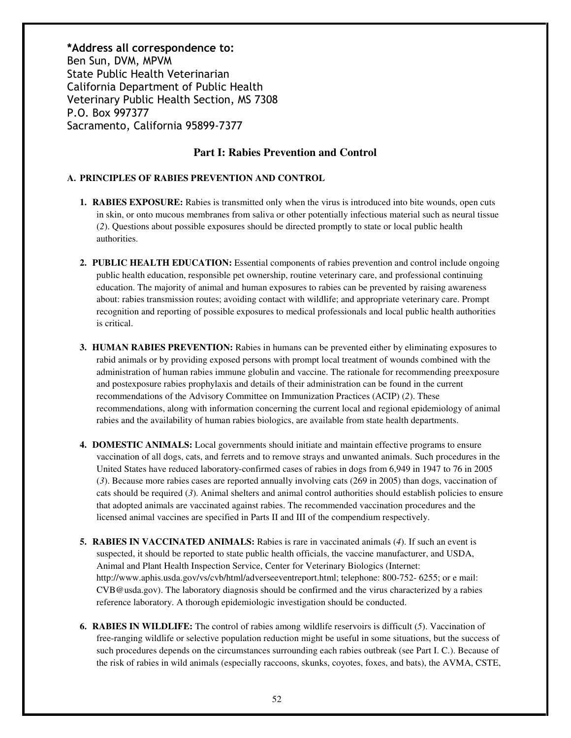\*Address all correspondence to: Ben Sun, DVM, MPVM State Public Health Veterinarian California Department of Public Health Veterinary Public Health Section, MS 7308 P.O. Box 997377 Sacramento, California 95899-7377

#### **Part I: Rabies Prevention and Control**

#### **A. PRINCIPLES OF RABIES PREVENTION AND CONTROL**

- **1. RABIES EXPOSURE:** Rabies is transmitted only when the virus is introduced into bite wounds, open cuts in skin, or onto mucous membranes from saliva or other potentially infectious material such as neural tissue (*2*). Questions about possible exposures should be directed promptly to state or local public health authorities.
- **2. PUBLIC HEALTH EDUCATION:** Essential components of rabies prevention and control include ongoing public health education, responsible pet ownership, routine veterinary care, and professional continuing education. The majority of animal and human exposures to rabies can be prevented by raising awareness about: rabies transmission routes; avoiding contact with wildlife; and appropriate veterinary care. Prompt recognition and reporting of possible exposures to medical professionals and local public health authorities is critical.
- **3. HUMAN RABIES PREVENTION:** Rabies in humans can be prevented either by eliminating exposures to rabid animals or by providing exposed persons with prompt local treatment of wounds combined with the administration of human rabies immune globulin and vaccine. The rationale for recommending preexposure and postexposure rabies prophylaxis and details of their administration can be found in the current recommendations of the Advisory Committee on Immunization Practices (ACIP) (*2*). These recommendations, along with information concerning the current local and regional epidemiology of animal rabies and the availability of human rabies biologics, are available from state health departments.
- **4. DOMESTIC ANIMALS:** Local governments should initiate and maintain effective programs to ensure vaccination of all dogs, cats, and ferrets and to remove strays and unwanted animals. Such procedures in the United States have reduced laboratory-confirmed cases of rabies in dogs from 6,949 in 1947 to 76 in 2005 (*3*). Because more rabies cases are reported annually involving cats (269 in 2005) than dogs, vaccination of cats should be required (*3*). Animal shelters and animal control authorities should establish policies to ensure that adopted animals are vaccinated against rabies. The recommended vaccination procedures and the licensed animal vaccines are specified in Parts II and III of the compendium respectively.
- **5. RABIES IN VACCINATED ANIMALS:** Rabies is rare in vaccinated animals (*4*). If such an event is suspected, it should be reported to state public health officials, the vaccine manufacturer, and USDA, Animal and Plant Health Inspection Service, Center for Veterinary Biologics (Internet: http://www.aphis.usda.gov/vs/cvb/html/adverseeventreport.html; telephone: 800-752- 6255; or e mail: CVB@usda.gov). The laboratory diagnosis should be confirmed and the virus characterized by a rabies reference laboratory. A thorough epidemiologic investigation should be conducted.
- **6. RABIES IN WILDLIFE:** The control of rabies among wildlife reservoirs is difficult (*5*). Vaccination of free-ranging wildlife or selective population reduction might be useful in some situations, but the success of such procedures depends on the circumstances surrounding each rabies outbreak (see Part I. C.). Because of the risk of rabies in wild animals (especially raccoons, skunks, coyotes, foxes, and bats), the AVMA, CSTE,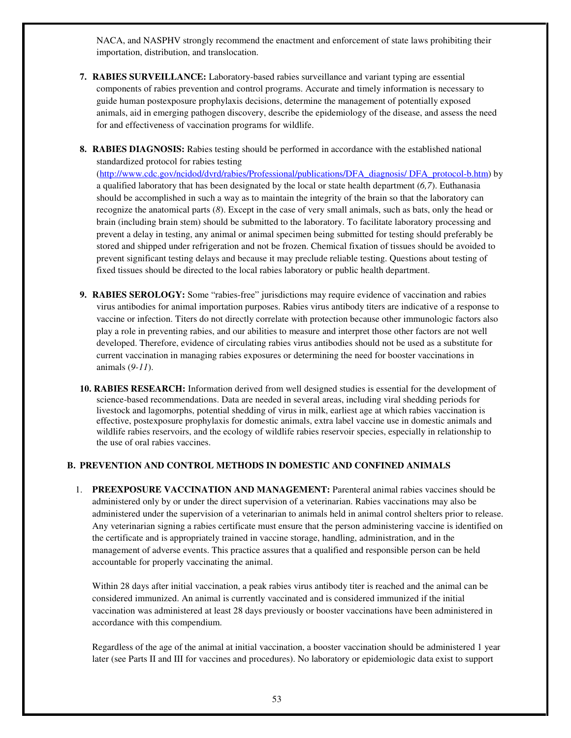NACA, and NASPHV strongly recommend the enactment and enforcement of state laws prohibiting their importation, distribution, and translocation.

- **7. RABIES SURVEILLANCE:** Laboratory-based rabies surveillance and variant typing are essential components of rabies prevention and control programs. Accurate and timely information is necessary to guide human postexposure prophylaxis decisions, determine the management of potentially exposed animals, aid in emerging pathogen discovery, describe the epidemiology of the disease, and assess the need for and effectiveness of vaccination programs for wildlife.
- **8. RABIES DIAGNOSIS:** Rabies testing should be performed in accordance with the established national standardized protocol for rabies testing

(http://www.cdc.gov/ncidod/dvrd/rabies/Professional/publications/DFA\_diagnosis/ DFA\_protocol-b.htm) by a qualified laboratory that has been designated by the local or state health department (*6,7*). Euthanasia should be accomplished in such a way as to maintain the integrity of the brain so that the laboratory can recognize the anatomical parts (*8*). Except in the case of very small animals, such as bats, only the head or brain (including brain stem) should be submitted to the laboratory. To facilitate laboratory processing and prevent a delay in testing, any animal or animal specimen being submitted for testing should preferably be stored and shipped under refrigeration and not be frozen. Chemical fixation of tissues should be avoided to prevent significant testing delays and because it may preclude reliable testing. Questions about testing of fixed tissues should be directed to the local rabies laboratory or public health department.

- **9. RABIES SEROLOGY:** Some "rabies-free" jurisdictions may require evidence of vaccination and rabies virus antibodies for animal importation purposes. Rabies virus antibody titers are indicative of a response to vaccine or infection. Titers do not directly correlate with protection because other immunologic factors also play a role in preventing rabies, and our abilities to measure and interpret those other factors are not well developed. Therefore, evidence of circulating rabies virus antibodies should not be used as a substitute for current vaccination in managing rabies exposures or determining the need for booster vaccinations in animals (*9-11*).
- **10. RABIES RESEARCH:** Information derived from well designed studies is essential for the development of science-based recommendations. Data are needed in several areas, including viral shedding periods for livestock and lagomorphs, potential shedding of virus in milk, earliest age at which rabies vaccination is effective, postexposure prophylaxis for domestic animals, extra label vaccine use in domestic animals and wildlife rabies reservoirs, and the ecology of wildlife rabies reservoir species, especially in relationship to the use of oral rabies vaccines.

#### **B. PREVENTION AND CONTROL METHODS IN DOMESTIC AND CONFINED ANIMALS**

1. **PREEXPOSURE VACCINATION AND MANAGEMENT:** Parenteral animal rabies vaccines should be administered only by or under the direct supervision of a veterinarian. Rabies vaccinations may also be administered under the supervision of a veterinarian to animals held in animal control shelters prior to release. Any veterinarian signing a rabies certificate must ensure that the person administering vaccine is identified on the certificate and is appropriately trained in vaccine storage, handling, administration, and in the management of adverse events. This practice assures that a qualified and responsible person can be held accountable for properly vaccinating the animal.

Within 28 days after initial vaccination, a peak rabies virus antibody titer is reached and the animal can be considered immunized. An animal is currently vaccinated and is considered immunized if the initial vaccination was administered at least 28 days previously or booster vaccinations have been administered in accordance with this compendium.

 Regardless of the age of the animal at initial vaccination, a booster vaccination should be administered 1 year later (see Parts II and III for vaccines and procedures). No laboratory or epidemiologic data exist to support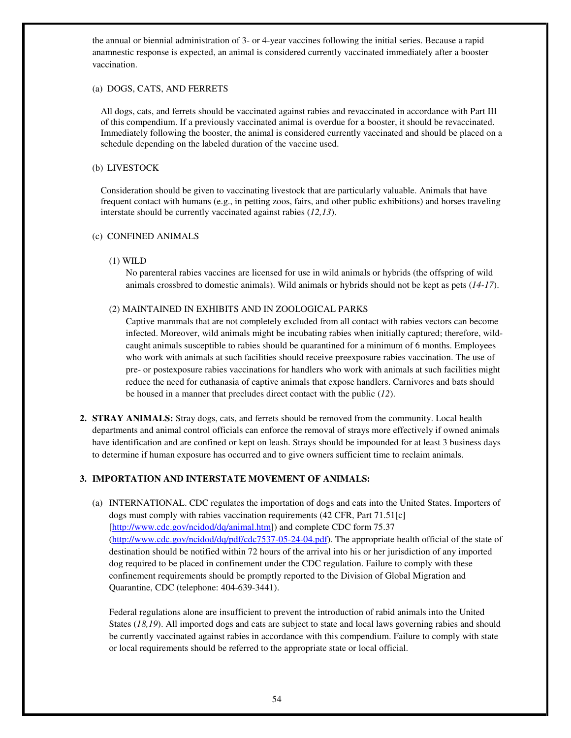the annual or biennial administration of 3- or 4-year vaccines following the initial series. Because a rapid anamnestic response is expected, an animal is considered currently vaccinated immediately after a booster vaccination.

#### (a) DOGS, CATS, AND FERRETS

All dogs, cats, and ferrets should be vaccinated against rabies and revaccinated in accordance with Part III of this compendium. If a previously vaccinated animal is overdue for a booster, it should be revaccinated. Immediately following the booster, the animal is considered currently vaccinated and should be placed on a schedule depending on the labeled duration of the vaccine used.

#### (b) LIVESTOCK

Consideration should be given to vaccinating livestock that are particularly valuable. Animals that have frequent contact with humans (e.g., in petting zoos, fairs, and other public exhibitions) and horses traveling interstate should be currently vaccinated against rabies (*12,13*).

#### (c) CONFINED ANIMALS

#### (1) WILD

 No parenteral rabies vaccines are licensed for use in wild animals or hybrids (the offspring of wild animals crossbred to domestic animals). Wild animals or hybrids should not be kept as pets (*14-17*).

#### (2) MAINTAINED IN EXHIBITS AND IN ZOOLOGICAL PARKS

 Captive mammals that are not completely excluded from all contact with rabies vectors can become infected. Moreover, wild animals might be incubating rabies when initially captured; therefore, wildcaught animals susceptible to rabies should be quarantined for a minimum of 6 months. Employees who work with animals at such facilities should receive preexposure rabies vaccination. The use of pre- or postexposure rabies vaccinations for handlers who work with animals at such facilities might reduce the need for euthanasia of captive animals that expose handlers. Carnivores and bats should be housed in a manner that precludes direct contact with the public (*12*).

**2. STRAY ANIMALS:** Stray dogs, cats, and ferrets should be removed from the community. Local health departments and animal control officials can enforce the removal of strays more effectively if owned animals have identification and are confined or kept on leash. Strays should be impounded for at least 3 business days to determine if human exposure has occurred and to give owners sufficient time to reclaim animals.

#### **3. IMPORTATION AND INTERSTATE MOVEMENT OF ANIMALS:**

(a) INTERNATIONAL. CDC regulates the importation of dogs and cats into the United States. Importers of dogs must comply with rabies vaccination requirements (42 CFR, Part 71.51[c] [http://www.cdc.gov/ncidod/dq/animal.htm]) and complete CDC form 75.37 (http://www.cdc.gov/ncidod/dq/pdf/cdc7537-05-24-04.pdf). The appropriate health official of the state of destination should be notified within 72 hours of the arrival into his or her jurisdiction of any imported dog required to be placed in confinement under the CDC regulation. Failure to comply with these confinement requirements should be promptly reported to the Division of Global Migration and Quarantine, CDC (telephone: 404-639-3441).

 Federal regulations alone are insufficient to prevent the introduction of rabid animals into the United States (*18,19*). All imported dogs and cats are subject to state and local laws governing rabies and should be currently vaccinated against rabies in accordance with this compendium. Failure to comply with state or local requirements should be referred to the appropriate state or local official.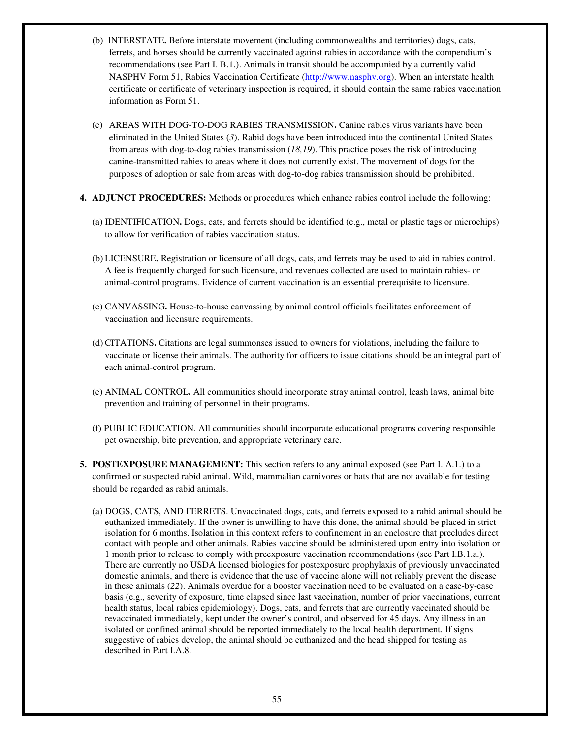- (b) INTERSTATE**.** Before interstate movement (including commonwealths and territories) dogs, cats, ferrets, and horses should be currently vaccinated against rabies in accordance with the compendium's recommendations (see Part I. B.1.). Animals in transit should be accompanied by a currently valid NASPHV Form 51, Rabies Vaccination Certificate (http://www.nasphv.org). When an interstate health certificate or certificate of veterinary inspection is required, it should contain the same rabies vaccination information as Form 51.
- (c) AREAS WITH DOG-TO-DOG RABIES TRANSMISSION**.** Canine rabies virus variants have been eliminated in the United States (*3*). Rabid dogs have been introduced into the continental United States from areas with dog-to-dog rabies transmission (*18,19*). This practice poses the risk of introducing canine-transmitted rabies to areas where it does not currently exist. The movement of dogs for the purposes of adoption or sale from areas with dog-to-dog rabies transmission should be prohibited.
- **4. ADJUNCT PROCEDURES:** Methods or procedures which enhance rabies control include the following:
	- (a) IDENTIFICATION**.** Dogs, cats, and ferrets should be identified (e.g., metal or plastic tags or microchips) to allow for verification of rabies vaccination status.
	- (b) LICENSURE**.** Registration or licensure of all dogs, cats, and ferrets may be used to aid in rabies control. A fee is frequently charged for such licensure, and revenues collected are used to maintain rabies- or animal-control programs. Evidence of current vaccination is an essential prerequisite to licensure.
	- (c) CANVASSING**.** House-to-house canvassing by animal control officials facilitates enforcement of vaccination and licensure requirements.
	- (d) CITATIONS**.** Citations are legal summonses issued to owners for violations, including the failure to vaccinate or license their animals. The authority for officers to issue citations should be an integral part of each animal-control program.
	- (e) ANIMAL CONTROL**.** All communities should incorporate stray animal control, leash laws, animal bite prevention and training of personnel in their programs.
	- (f) PUBLIC EDUCATION. All communities should incorporate educational programs covering responsible pet ownership, bite prevention, and appropriate veterinary care.
- **5. POSTEXPOSURE MANAGEMENT:** This section refers to any animal exposed (see Part I. A.1.) to a confirmed or suspected rabid animal. Wild, mammalian carnivores or bats that are not available for testing should be regarded as rabid animals.
	- (a) DOGS, CATS, AND FERRETS. Unvaccinated dogs, cats, and ferrets exposed to a rabid animal should be euthanized immediately. If the owner is unwilling to have this done, the animal should be placed in strict isolation for 6 months. Isolation in this context refers to confinement in an enclosure that precludes direct contact with people and other animals. Rabies vaccine should be administered upon entry into isolation or 1 month prior to release to comply with preexposure vaccination recommendations (see Part I.B.1.a.). There are currently no USDA licensed biologics for postexposure prophylaxis of previously unvaccinated domestic animals, and there is evidence that the use of vaccine alone will not reliably prevent the disease in these animals (*22*). Animals overdue for a booster vaccination need to be evaluated on a case-by-case basis (e.g., severity of exposure, time elapsed since last vaccination, number of prior vaccinations, current health status, local rabies epidemiology). Dogs, cats, and ferrets that are currently vaccinated should be revaccinated immediately, kept under the owner's control, and observed for 45 days. Any illness in an isolated or confined animal should be reported immediately to the local health department. If signs suggestive of rabies develop, the animal should be euthanized and the head shipped for testing as described in Part I.A.8.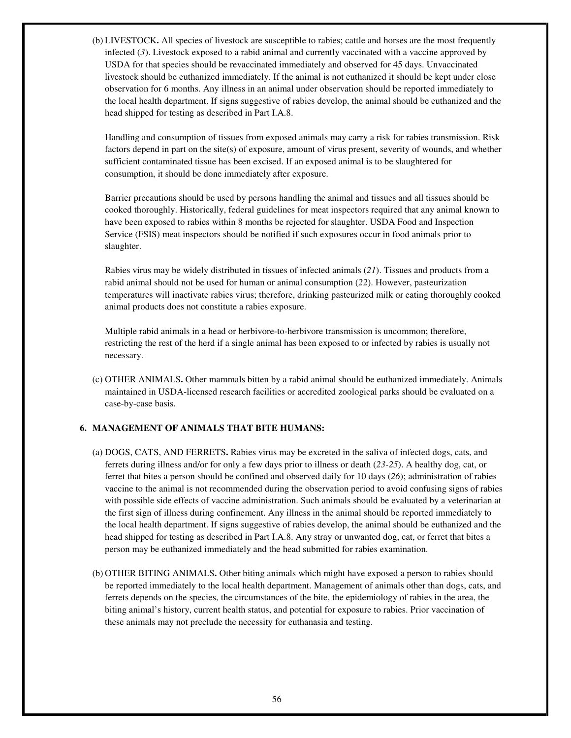(b) LIVESTOCK**.** All species of livestock are susceptible to rabies; cattle and horses are the most frequently infected (*3*). Livestock exposed to a rabid animal and currently vaccinated with a vaccine approved by USDA for that species should be revaccinated immediately and observed for 45 days. Unvaccinated livestock should be euthanized immediately. If the animal is not euthanized it should be kept under close observation for 6 months. Any illness in an animal under observation should be reported immediately to the local health department. If signs suggestive of rabies develop, the animal should be euthanized and the head shipped for testing as described in Part I.A.8.

Handling and consumption of tissues from exposed animals may carry a risk for rabies transmission. Risk factors depend in part on the site(s) of exposure, amount of virus present, severity of wounds, and whether sufficient contaminated tissue has been excised. If an exposed animal is to be slaughtered for consumption, it should be done immediately after exposure.

Barrier precautions should be used by persons handling the animal and tissues and all tissues should be cooked thoroughly. Historically, federal guidelines for meat inspectors required that any animal known to have been exposed to rabies within 8 months be rejected for slaughter. USDA Food and Inspection Service (FSIS) meat inspectors should be notified if such exposures occur in food animals prior to slaughter.

Rabies virus may be widely distributed in tissues of infected animals (*21*). Tissues and products from a rabid animal should not be used for human or animal consumption (*22*). However, pasteurization temperatures will inactivate rabies virus; therefore, drinking pasteurized milk or eating thoroughly cooked animal products does not constitute a rabies exposure.

Multiple rabid animals in a head or herbivore-to-herbivore transmission is uncommon; therefore, restricting the rest of the herd if a single animal has been exposed to or infected by rabies is usually not necessary.

(c) OTHER ANIMALS**.** Other mammals bitten by a rabid animal should be euthanized immediately. Animals maintained in USDA-licensed research facilities or accredited zoological parks should be evaluated on a case-by-case basis.

#### **6. MANAGEMENT OF ANIMALS THAT BITE HUMANS:**

- (a) DOGS, CATS, AND FERRETS**.** Rabies virus may be excreted in the saliva of infected dogs, cats, and ferrets during illness and/or for only a few days prior to illness or death (*23-25*). A healthy dog, cat, or ferret that bites a person should be confined and observed daily for 10 days (*26*); administration of rabies vaccine to the animal is not recommended during the observation period to avoid confusing signs of rabies with possible side effects of vaccine administration. Such animals should be evaluated by a veterinarian at the first sign of illness during confinement. Any illness in the animal should be reported immediately to the local health department. If signs suggestive of rabies develop, the animal should be euthanized and the head shipped for testing as described in Part I.A.8. Any stray or unwanted dog, cat, or ferret that bites a person may be euthanized immediately and the head submitted for rabies examination.
- (b) OTHER BITING ANIMALS**.** Other biting animals which might have exposed a person to rabies should be reported immediately to the local health department. Management of animals other than dogs, cats, and ferrets depends on the species, the circumstances of the bite, the epidemiology of rabies in the area, the biting animal's history, current health status, and potential for exposure to rabies. Prior vaccination of these animals may not preclude the necessity for euthanasia and testing.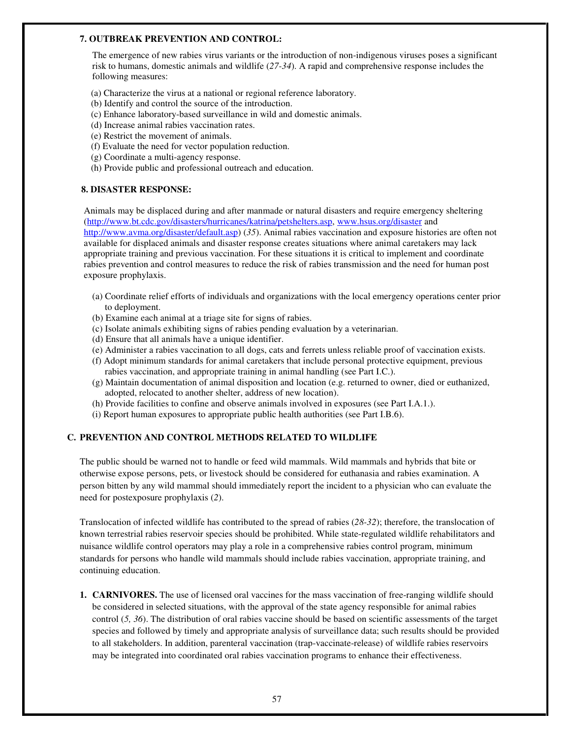#### **7. OUTBREAK PREVENTION AND CONTROL:**

The emergence of new rabies virus variants or the introduction of non-indigenous viruses poses a significant risk to humans, domestic animals and wildlife (*27-34*). A rapid and comprehensive response includes the following measures:

- (a) Characterize the virus at a national or regional reference laboratory.
- (b) Identify and control the source of the introduction.
- (c) Enhance laboratory-based surveillance in wild and domestic animals.
- (d) Increase animal rabies vaccination rates.
- (e) Restrict the movement of animals.
- (f) Evaluate the need for vector population reduction.
- (g) Coordinate a multi-agency response.
- (h) Provide public and professional outreach and education.

#### **8. DISASTER RESPONSE:**

Animals may be displaced during and after manmade or natural disasters and require emergency sheltering (http://www.bt.cdc.gov/disasters/hurricanes/katrina/petshelters.asp, www.hsus.org/disaster and http://www.avma.org/disaster/default.asp) (*35*). Animal rabies vaccination and exposure histories are often not available for displaced animals and disaster response creates situations where animal caretakers may lack appropriate training and previous vaccination. For these situations it is critical to implement and coordinate rabies prevention and control measures to reduce the risk of rabies transmission and the need for human post exposure prophylaxis.

- (a) Coordinate relief efforts of individuals and organizations with the local emergency operations center prior to deployment.
- (b) Examine each animal at a triage site for signs of rabies.
- (c) Isolate animals exhibiting signs of rabies pending evaluation by a veterinarian.
- (d) Ensure that all animals have a unique identifier.
- (e) Administer a rabies vaccination to all dogs, cats and ferrets unless reliable proof of vaccination exists.
- (f) Adopt minimum standards for animal caretakers that include personal protective equipment, previous rabies vaccination, and appropriate training in animal handling (see Part I.C.).
- (g) Maintain documentation of animal disposition and location (e.g. returned to owner, died or euthanized, adopted, relocated to another shelter, address of new location).
- (h) Provide facilities to confine and observe animals involved in exposures (see Part I.A.1.).
- (i) Report human exposures to appropriate public health authorities (see Part I.B.6).

#### **C. PREVENTION AND CONTROL METHODS RELATED TO WILDLIFE**

 The public should be warned not to handle or feed wild mammals. Wild mammals and hybrids that bite or otherwise expose persons, pets, or livestock should be considered for euthanasia and rabies examination. A person bitten by any wild mammal should immediately report the incident to a physician who can evaluate the need for postexposure prophylaxis (*2*).

 Translocation of infected wildlife has contributed to the spread of rabies (*28-32*); therefore, the translocation of known terrestrial rabies reservoir species should be prohibited. While state-regulated wildlife rehabilitators and nuisance wildlife control operators may play a role in a comprehensive rabies control program, minimum standards for persons who handle wild mammals should include rabies vaccination, appropriate training, and continuing education.

**1. CARNIVORES.** The use of licensed oral vaccines for the mass vaccination of free-ranging wildlife should be considered in selected situations, with the approval of the state agency responsible for animal rabies control (*5, 36*). The distribution of oral rabies vaccine should be based on scientific assessments of the target species and followed by timely and appropriate analysis of surveillance data; such results should be provided to all stakeholders. In addition, parenteral vaccination (trap-vaccinate-release) of wildlife rabies reservoirs may be integrated into coordinated oral rabies vaccination programs to enhance their effectiveness.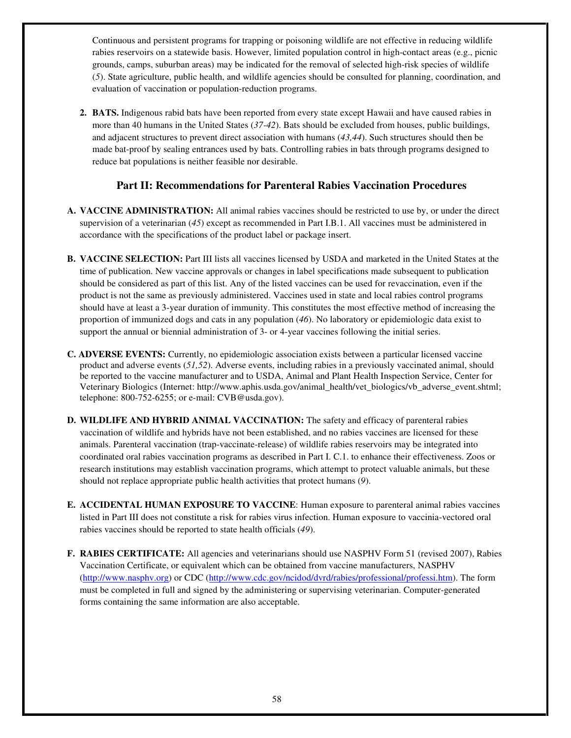Continuous and persistent programs for trapping or poisoning wildlife are not effective in reducing wildlife rabies reservoirs on a statewide basis. However, limited population control in high-contact areas (e.g., picnic grounds, camps, suburban areas) may be indicated for the removal of selected high-risk species of wildlife (*5*). State agriculture, public health, and wildlife agencies should be consulted for planning, coordination, and evaluation of vaccination or population-reduction programs.

**2. BATS.** Indigenous rabid bats have been reported from every state except Hawaii and have caused rabies in more than 40 humans in the United States (*37-42*). Bats should be excluded from houses, public buildings, and adjacent structures to prevent direct association with humans (*43,44*). Such structures should then be made bat-proof by sealing entrances used by bats. Controlling rabies in bats through programs designed to reduce bat populations is neither feasible nor desirable.

#### **Part II: Recommendations for Parenteral Rabies Vaccination Procedures**

- **A. VACCINE ADMINISTRATION:** All animal rabies vaccines should be restricted to use by, or under the direct supervision of a veterinarian (*45*) except as recommended in Part I.B.1. All vaccines must be administered in accordance with the specifications of the product label or package insert.
- **B. VACCINE SELECTION:** Part III lists all vaccines licensed by USDA and marketed in the United States at the time of publication. New vaccine approvals or changes in label specifications made subsequent to publication should be considered as part of this list. Any of the listed vaccines can be used for revaccination, even if the product is not the same as previously administered. Vaccines used in state and local rabies control programs should have at least a 3-year duration of immunity. This constitutes the most effective method of increasing the proportion of immunized dogs and cats in any population (*46*). No laboratory or epidemiologic data exist to support the annual or biennial administration of 3- or 4-year vaccines following the initial series.
- **C. ADVERSE EVENTS:** Currently, no epidemiologic association exists between a particular licensed vaccine product and adverse events (*51,52*). Adverse events, including rabies in a previously vaccinated animal, should be reported to the vaccine manufacturer and to USDA, Animal and Plant Health Inspection Service, Center for Veterinary Biologics (Internet: http://www.aphis.usda.gov/animal\_health/vet\_biologics/vb\_adverse\_event.shtml; telephone: 800-752-6255; or e-mail: CVB@usda.gov).
- **D. WILDLIFE AND HYBRID ANIMAL VACCINATION:** The safety and efficacy of parenteral rabies vaccination of wildlife and hybrids have not been established, and no rabies vaccines are licensed for these animals. Parenteral vaccination (trap-vaccinate-release) of wildlife rabies reservoirs may be integrated into coordinated oral rabies vaccination programs as described in Part I. C.1. to enhance their effectiveness. Zoos or research institutions may establish vaccination programs, which attempt to protect valuable animals, but these should not replace appropriate public health activities that protect humans (*9*).
- **E. ACCIDENTAL HUMAN EXPOSURE TO VACCINE**: Human exposure to parenteral animal rabies vaccines listed in Part III does not constitute a risk for rabies virus infection. Human exposure to vaccinia-vectored oral rabies vaccines should be reported to state health officials (*49*).
- **F. RABIES CERTIFICATE:** All agencies and veterinarians should use NASPHV Form 51 (revised 2007), Rabies Vaccination Certificate, or equivalent which can be obtained from vaccine manufacturers, NASPHV (http://www.nasphv.org) or CDC (http://www.cdc.gov/ncidod/dvrd/rabies/professional/professi.htm). The form must be completed in full and signed by the administering or supervising veterinarian. Computer-generated forms containing the same information are also acceptable.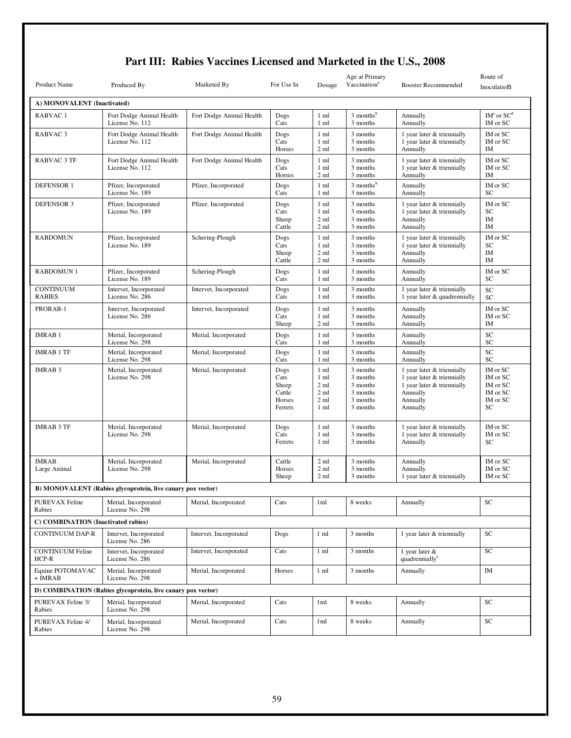| Part III: Rabies Vaccines Licensed and Marketed in the U.S., 2008 |                                             |                          |                                                      |                                                                                                |                                                                      |                                                                                                                            |                                                                |
|-------------------------------------------------------------------|---------------------------------------------|--------------------------|------------------------------------------------------|------------------------------------------------------------------------------------------------|----------------------------------------------------------------------|----------------------------------------------------------------------------------------------------------------------------|----------------------------------------------------------------|
| Product Name                                                      | Produced By                                 | Marketed By              | For Use In                                           | Dosage                                                                                         | Age at Primary<br>Vaccination <sup>a</sup>                           | <b>Booster Recommended</b>                                                                                                 | Route of<br>Inoculation                                        |
| A) MONOVALENT (Inactivated)                                       |                                             |                          |                                                      |                                                                                                |                                                                      |                                                                                                                            |                                                                |
| RABVAC <sub>1</sub>                                               | Fort Dodge Animal Health<br>License No. 112 | Fort Dodge Animal Health | Dogs<br>Cats                                         | $1 \text{ ml}$<br>1 ml                                                                         | 3 months <sup>b</sup><br>3 months                                    | Annually<br>Annually                                                                                                       | $IMc$ or $SCd$<br>IM or SC                                     |
| RABVAC <sub>3</sub>                                               | Fort Dodge Animal Health<br>License No. 112 | Fort Dodge Animal Health | Dogs<br>Cats<br>Horses                               | $1 \text{ ml}$<br>$1 \text{ ml}$<br>$2 \text{ ml}$                                             | 3 months<br>3 months<br>3 months                                     | 1 year later & triennially<br>1 year later & triennially<br>Annually                                                       | IM or SC<br>IM or SC<br>IM                                     |
| RABVAC 3 TF                                                       | Fort Dodge Animal Health<br>License No. 112 | Fort Dodge Animal Health | Dogs<br>Cats<br>Horses                               | $1 \text{ ml}$<br>$1 \text{ ml}$<br>$2 \text{ ml}$                                             | 3 months<br>3 months<br>3 months                                     | 1 year later & triennially<br>1 year later & triennially<br>Annually                                                       | IM or SC<br>IM or SC<br>IM                                     |
| <b>DEFENSOR 1</b>                                                 | Pfizer, Incorporated<br>License No. 189     | Pfizer, Incorporated     | Dogs<br>Cats                                         | $1 \text{ ml}$<br>$1 \text{ ml}$                                                               | $3$ months <sup>b</sup><br>3 months                                  | Annually<br>Annually                                                                                                       | IM or SC<br>SC                                                 |
| <b>DEFENSOR 3</b>                                                 | Pfizer, Incorporated<br>License No. 189     | Pfizer, Incorporated     | Dogs<br>Cats<br>Sheep<br>Cattle                      | $1 \text{ ml}$<br>$1 \text{ ml}$<br>$2 \text{ ml}$<br>$2 \text{ ml}$                           | 3 months<br>3 months<br>3 months<br>3 months                         | 1 year later & triennially<br>1 year later & triennially<br>Annually<br>Annually                                           | IM or SC<br>SС<br>IM<br>IM                                     |
| <b>RABDOMUN</b>                                                   | Pfizer, Incorporated<br>License No. 189     | Schering-Plough          | Dogs<br>Cats<br>Sheep<br>Cattle                      | $1 \text{ ml}$<br>$1 \text{ ml}$<br>$2 \text{ ml}$<br>$2 \text{ ml}$                           | 3 months<br>3 months<br>3 months<br>3 months                         | 1 year later & triennially<br>1 year later & triennially<br>Annually<br>Annually                                           | IM or SC<br>SС<br>IM<br>IM                                     |
| <b>RABDOMUN1</b>                                                  | Pfizer, Incorporated<br>License No. 189     | Schering-Plough          | Dogs<br>Cats                                         | $1 \text{ ml}$<br>1 ml                                                                         | 3 months<br>3 months                                                 | Annually<br>Annually                                                                                                       | IM or SC<br>SC                                                 |
| <b>CONTINUUM</b><br><b>RABIES</b>                                 | Intervet, Incorporated<br>License No. 286   | Intervet, Incorporated   | Dogs<br>Cats                                         | $1 \text{ ml}$<br>1 ml                                                                         | 3 months<br>3 months                                                 | 1 year later & triennially<br>1 year later & quadrennially                                                                 | ${\rm SC}$<br>SC                                               |
| PRORAB-1                                                          | Intervet, Incorporated<br>License No. 286   | Intervet, Incorporated   | Dogs<br>Cats<br>Sheep                                | $1 \text{ ml}$<br>1 <sub>m1</sub><br>2 <sub>m1</sub>                                           | 3 months<br>3 months<br>3 months                                     | Annually<br>Annually<br>Annually                                                                                           | IM or SC<br>IM or SC<br>IM                                     |
| <b>IMRAB1</b>                                                     | Merial, Incorporated<br>License No. 298     | Merial, Incorporated     | Dogs<br>Cats                                         | 1 <sub>m1</sub><br>$1 \text{ ml}$                                                              | 3 months<br>3 months                                                 | Annually<br>Annually                                                                                                       | SC<br>SC                                                       |
| <b>IMRAB 1 TF</b>                                                 | Merial, Incorporated<br>License No. 298     | Merial, Incorporated     | Dogs<br>Cats                                         | $1 \text{ ml}$<br>1 ml                                                                         | 3 months<br>3 months                                                 | Annually<br>Annually                                                                                                       | SC<br>SC                                                       |
| <b>IMRAB3</b>                                                     | Merial, Incorporated<br>License No. 298     | Merial, Incorporated     | Dogs<br>Cats<br>Sheep<br>Cattle<br>Horses<br>Ferrets | $1 \text{ ml}$<br>$1 \text{ ml}$<br>$2 \text{ ml}$<br>$2 \text{ ml}$<br>$2 \text{ ml}$<br>1 ml | 3 months<br>3 months<br>3 months<br>3 months<br>3 months<br>3 months | 1 year later & triennially<br>1 year later & triennially<br>1 year later & triennially<br>Annually<br>Annually<br>Annually | IM or SC<br>IM or SC<br>IM or SC<br>IM or SC<br>IM or SC<br>SС |
| <b>IMRAB 3 TF</b>                                                 | Merial, Incorporated<br>License No. 298     | Merial, Incorporated     | Dogs<br>Cats<br>Ferrets                              | $1 \text{ ml}$<br>$1 \text{ ml}$<br>1 ml                                                       | 3 months<br>3 months<br>3 months                                     | 1 year later & triennially<br>1 year later & triennially<br>Annually                                                       | IM or SC<br>IM or SC<br>SC                                     |
| <b>IMRAB</b><br>Large Animal                                      | Merial, Incorporated<br>License No. 298     | Merial, Incorporated     | Cattle<br>Horses<br>Sheep                            | $2 \text{ ml}$<br>$2 \text{ ml}$<br>2 ml                                                       | 3 months<br>3 months<br>3 months                                     | Annually<br>Annually<br>1 year later & triennially                                                                         | IM or SC<br>IM or SC<br>IM or SC                               |
| B) MONOVALENT (Rabies glycoprotein, live canary pox vector)       |                                             |                          |                                                      |                                                                                                |                                                                      |                                                                                                                            |                                                                |
| <b>PUREVAX Feline</b><br>Rabies                                   | Merial, Incorporated<br>License No. 298     | Merial, Incorporated     | Cats                                                 | 1 <sub>ml</sub>                                                                                | 8 weeks                                                              | Annually                                                                                                                   | SC                                                             |
| C) COMBINATION (Inactivated rabies)                               |                                             |                          |                                                      |                                                                                                |                                                                      |                                                                                                                            |                                                                |
| <b>CONTINUUM DAP-R</b>                                            | Intervet, Incorporated<br>License No. 286   | Intervet, Incorporated   | Dogs                                                 | $1 \text{ ml}$                                                                                 | 3 months                                                             | 1 year later & triennially                                                                                                 | SC                                                             |
| <b>CONTINUUM Feline</b><br>HCP-R                                  | Intervet, Incorporated<br>License No. 286   | Intervet, Incorporated   | Cats                                                 | $1 \text{ ml}$                                                                                 | 3 months                                                             | 1 year later $&$<br>quadrennially <sup>e</sup>                                                                             | SC                                                             |
| Equine POTOMAVAC<br>$+ IMRAB$                                     | Merial, Incorporated<br>License No. 298     | Merial, Incorporated     | Horses                                               | $1 \text{ ml}$                                                                                 | 3 months                                                             | Annually                                                                                                                   | IM                                                             |
| D) COMBINATION (Rabies glycoprotein, live canary pox vector)      |                                             |                          |                                                      |                                                                                                |                                                                      |                                                                                                                            |                                                                |
| PUREVAX Feline 3/<br>Rabies                                       | Merial, Incorporated<br>License No. 298     | Merial, Incorporated     | Cats                                                 | 1 <sub>ml</sub>                                                                                | 8 weeks                                                              | Annually                                                                                                                   | SC                                                             |
| PUREVAX Feline 4/<br>Rabies                                       | Merial, Incorporated<br>License No. 298     | Merial, Incorporated     | Cats                                                 | 1 <sub>ml</sub>                                                                                | 8 weeks                                                              | Annually                                                                                                                   | SC                                                             |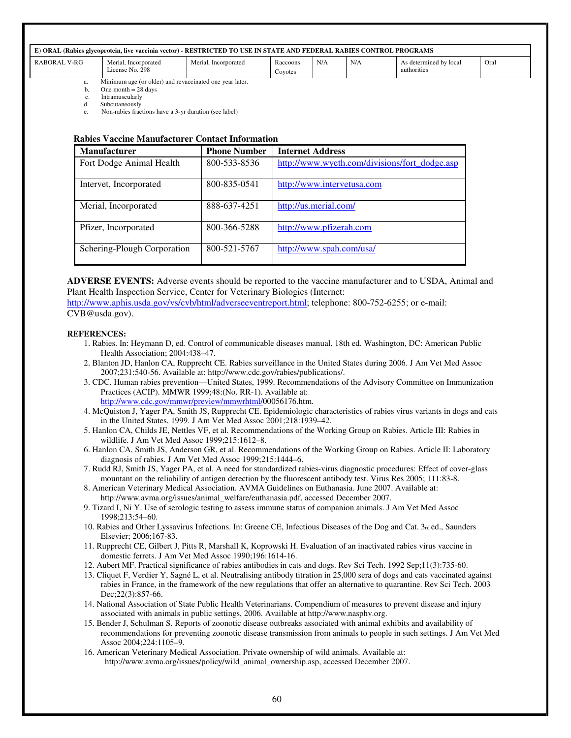| E) ORAL (Rabies glycoprotein, live vaccinia vector) - RESTRICTED TO USE IN STATE AND FEDERAL RABIES CONTROL PROGRAMS |                                                         |                      |                     |     |     |                                       |      |
|----------------------------------------------------------------------------------------------------------------------|---------------------------------------------------------|----------------------|---------------------|-----|-----|---------------------------------------|------|
| RABORAL V-RG                                                                                                         | Merial, Incorporated<br>License No. 298                 | Merial, Incorporated | Raccoons<br>Covotes | N/A | N/A | As determined by local<br>authorities | Oral |
|                                                                                                                      | Minimum age (or older) and revaccinated one year later. |                      |                     |     |     |                                       |      |

b. One month  $= 28$  days

c. Intramuscularly

d. Subcutaneously

e. Non-rabies fractions have a 3-yr duration (see label)

#### **Rabies Vaccine Manufacturer Contact Information**

| <b>Manufacturer</b>         | <b>Phone Number</b> | <b>Internet Address</b>                       |
|-----------------------------|---------------------|-----------------------------------------------|
| Fort Dodge Animal Health    | 800-533-8536        | http://www.wyeth.com/divisions/fort_dodge.asp |
| Intervet, Incorporated      | 800-835-0541        | http://www.intervetusa.com                    |
| Merial, Incorporated        | 888-637-4251        | http://us.merial.com/                         |
| Pfizer, Incorporated        | 800-366-5288        | http://www.pfizerah.com                       |
| Schering-Plough Corporation | 800-521-5767        | http://www.spah.com/usa/                      |

**ADVERSE EVENTS:** Adverse events should be reported to the vaccine manufacturer and to USDA, Animal and Plant Health Inspection Service, Center for Veterinary Biologics (Internet:

http://www.aphis.usda.gov/vs/cvb/html/adverseeventreport.html; telephone: 800-752-6255; or e-mail: CVB@usda.gov).

#### **REFERENCES:**

- 1. Rabies. In: Heymann D, ed. Control of communicable diseases manual. 18th ed. Washington, DC: American Public Health Association; 2004:438–47.
- 2. Blanton JD, Hanlon CA, Rupprecht CE. Rabies surveillance in the United States during 2006. J Am Vet Med Assoc 2007;231:540-56. Available at: http://www.cdc.gov/rabies/publications/.
- 3. CDC. Human rabies prevention—United States, 1999. Recommendations of the Advisory Committee on Immunization Practices (ACIP). MMWR 1999;48:(No. RR-1). Available at: http://www.cdc.gov/mmwr/preview/mmwrhtml/00056176.htm.
- 4. McQuiston J, Yager PA, Smith JS, Rupprecht CE. Epidemiologic characteristics of rabies virus variants in dogs and cats in the United States, 1999. J Am Vet Med Assoc 2001;218:1939–42.
- 5. Hanlon CA, Childs JE, Nettles VF, et al. Recommendations of the Working Group on Rabies. Article III: Rabies in wildlife. J Am Vet Med Assoc 1999;215:1612–8.
- 6. Hanlon CA, Smith JS, Anderson GR, et al. Recommendations of the Working Group on Rabies. Article II: Laboratory diagnosis of rabies. J Am Vet Med Assoc 1999;215:1444–6.
- 7. Rudd RJ, Smith JS, Yager PA, et al. A need for standardized rabies-virus diagnostic procedures: Effect of cover-glass mountant on the reliability of antigen detection by the fluorescent antibody test. Virus Res 2005; 111:83-8.
- 8. American Veterinary Medical Association. AVMA Guidelines on Euthanasia. June 2007. Available at: http://www.avma.org/issues/animal\_welfare/euthanasia.pdf, accessed December 2007.
- 9. Tizard I, Ni Y. Use of serologic testing to assess immune status of companion animals. J Am Vet Med Assoc 1998;213:54–60.
- 10. Rabies and Other Lyssavirus Infections. In: Greene CE, Infectious Diseases of the Dog and Cat. 3rd ed., Saunders Elsevier; 2006;167-83.
- 11. Rupprecht CE, Gilbert J, Pitts R, Marshall K, Koprowski H. Evaluation of an inactivated rabies virus vaccine in domestic ferrets. J Am Vet Med Assoc 1990;196:1614-16.
- 12. Aubert MF. Practical significance of rabies antibodies in cats and dogs. Rev Sci Tech. 1992 Sep;11(3):735-60.
- 13. Cliquet F, Verdier Y, Sagné L, et al. Neutralising antibody titration in 25,000 sera of dogs and cats vaccinated against rabies in France, in the framework of the new regulations that offer an alternative to quarantine. Rev Sci Tech. 2003 Dec; 22(3): 857-66.
- 14. National Association of State Public Health Veterinarians. Compendium of measures to prevent disease and injury associated with animals in public settings, 2006. Available at http://www.nasphv.org.
- 15. Bender J, Schulman S. Reports of zoonotic disease outbreaks associated with animal exhibits and availability of recommendations for preventing zoonotic disease transmission from animals to people in such settings. J Am Vet Med Assoc 2004;224:1105–9.
- 16. American Veterinary Medical Association. Private ownership of wild animals. Available at: http://www.avma.org/issues/policy/wild\_animal\_ownership.asp, accessed December 2007.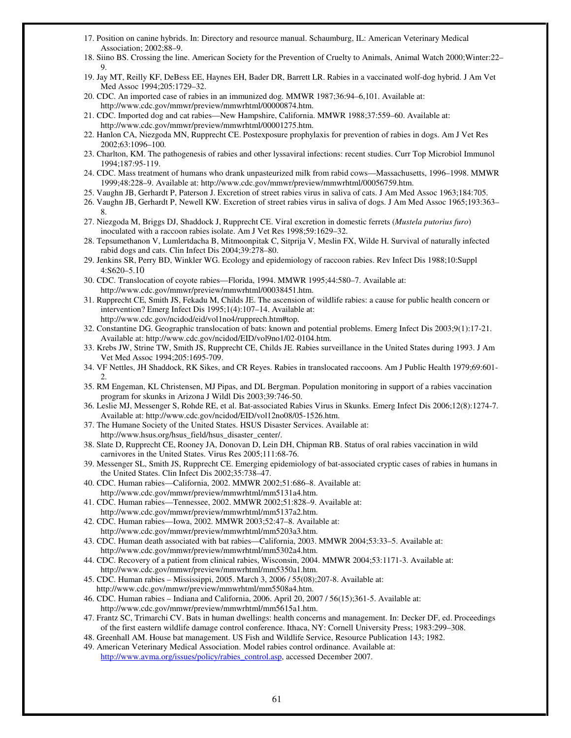- 17. Position on canine hybrids. In: Directory and resource manual. Schaumburg, IL: American Veterinary Medical Association; 2002;88–9.
- 18. Siino BS. Crossing the line. American Society for the Prevention of Cruelty to Animals, Animal Watch 2000;Winter:22– 9.
- 19. Jay MT, Reilly KF, DeBess EE, Haynes EH, Bader DR, Barrett LR. Rabies in a vaccinated wolf-dog hybrid. J Am Vet Med Assoc 1994;205:1729–32.
- 20. CDC. An imported case of rabies in an immunized dog. MMWR 1987;36:94–6,101. Available at: http://www.cdc.gov/mmwr/preview/mmwrhtml/00000874.htm.
- 21. CDC. Imported dog and cat rabies—New Hampshire, California. MMWR 1988;37:559–60. Available at: http://www.cdc.gov/mmwr/preview/mmwrhtml/00001275.htm.
- 22. Hanlon CA, Niezgoda MN, Rupprecht CE. Postexposure prophylaxis for prevention of rabies in dogs. Am J Vet Res 2002;63:1096–100.
- 23. Charlton, KM. The pathogenesis of rabies and other lyssaviral infections: recent studies. Curr Top Microbiol Immunol 1994;187:95-119.
- 24. CDC. Mass treatment of humans who drank unpasteurized milk from rabid cows—Massachusetts, 1996–1998. MMWR 1999;48:228–9. Available at: http://www.cdc.gov/mmwr/preview/mmwrhtml/00056759.htm.
- 25. Vaughn JB, Gerhardt P, Paterson J. Excretion of street rabies virus in saliva of cats. J Am Med Assoc 1963;184:705.
- 26. Vaughn JB, Gerhardt P, Newell KW. Excretion of street rabies virus in saliva of dogs. J Am Med Assoc 1965;193:363– 8.
- 27. Niezgoda M, Briggs DJ, Shaddock J, Rupprecht CE. Viral excretion in domestic ferrets (*Mustela putorius furo*) inoculated with a raccoon rabies isolate. Am J Vet Res 1998;59:1629–32.
- 28. Tepsumethanon V, Lumlertdacha B, Mitmoonpitak C, Sitprija V, Meslin FX, Wilde H. Survival of naturally infected rabid dogs and cats. Clin Infect Dis 2004;39:278–80.
- 29. Jenkins SR, Perry BD, Winkler WG. Ecology and epidemiology of raccoon rabies. Rev Infect Dis 1988;10:Suppl 4:S620–5.10
- 30. CDC. Translocation of coyote rabies—Florida, 1994. MMWR 1995;44:580–7. Available at: http://www.cdc.gov/mmwr/preview/mmwrhtml/00038451.htm.
- 31. Rupprecht CE, Smith JS, Fekadu M, Childs JE. The ascension of wildlife rabies: a cause for public health concern or intervention? Emerg Infect Dis 1995;1(4):107–14. Available at: http://www.cdc.gov/ncidod/eid/vol1no4/rupprech.htm#top.
- 32. Constantine DG. Geographic translocation of bats: known and potential problems. Emerg Infect Dis 2003;9(1):17-21. Available at: http://www.cdc.gov/ncidod/EID/vol9no1/02-0104.htm.
- 33. Krebs JW, Strine TW, Smith JS, Rupprecht CE, Childs JE. Rabies surveillance in the United States during 1993. J Am Vet Med Assoc 1994;205:1695-709.
- 34. VF Nettles, JH Shaddock, RK Sikes, and CR Reyes. Rabies in translocated raccoons. Am J Public Health 1979;69:601-  $2^{\circ}$
- 35. RM Engeman, KL Christensen, MJ Pipas, and DL Bergman. Population monitoring in support of a rabies vaccination program for skunks in Arizona J Wildl Dis 2003;39:746-50.
- 36. Leslie MJ, Messenger S, Rohde RE, et al. Bat-associated Rabies Virus in Skunks. Emerg Infect Dis 2006;12(8):1274-7. Available at: http://www.cdc.gov/ncidod/EID/vol12no08/05-1526.htm.
- 37. The Humane Society of the United States. HSUS Disaster Services. Available at: http://www.hsus.org/hsus\_field/hsus\_disaster\_center/.
- 38. Slate D, Rupprecht CE, Rooney JA, Donovan D, Lein DH, Chipman RB. Status of oral rabies vaccination in wild carnivores in the United States. Virus Res 2005;111:68-76.
- 39. Messenger SL, Smith JS, Rupprecht CE. Emerging epidemiology of bat-associated cryptic cases of rabies in humans in the United States. Clin Infect Dis 2002;35:738–47.
- 40. CDC. Human rabies—California, 2002. MMWR 2002;51:686–8. Available at: http://www.cdc.gov/mmwr/preview/mmwrhtml/mm5131a4.htm.
- 41. CDC. Human rabies—Tennessee, 2002. MMWR 2002;51:828–9. Available at: http://www.cdc.gov/mmwr/preview/mmwrhtml/mm5137a2.htm.
- 42. CDC. Human rabies—Iowa, 2002. MMWR 2003;52:47–8. Available at: http://www.cdc.gov/mmwr/preview/mmwrhtml/mm5203a3.htm.
- 43. CDC. Human death associated with bat rabies—California, 2003. MMWR 2004;53:33–5. Available at: http://www.cdc.gov/mmwr/preview/mmwrhtml/mm5302a4.htm.
- 44. CDC. Recovery of a patient from clinical rabies, Wisconsin, 2004. MMWR 2004;53:1171-3. Available at: http://www.cdc.gov/mmwr/preview/mmwrhtml/mm5350a1.htm.
- 45. CDC. Human rabies Mississippi, 2005. March 3, 2006 / 55(08);207-8. Available at:
- http://www.cdc.gov/mmwr/preview/mmwrhtml/mm5508a4.htm.
- 46. CDC. Human rabies Indiana and California, 2006. April 20, 2007 / 56(15);361-5. Available at: http://www.cdc.gov/mmwr/preview/mmwrhtml/mm5615a1.htm.
- 47. Frantz SC, Trimarchi CV. Bats in human dwellings: health concerns and management. In: Decker DF, ed. Proceedings of the first eastern wildlife damage control conference. Ithaca, NY: Cornell University Press; 1983:299–308.
- 48. Greenhall AM. House bat management. US Fish and Wildlife Service, Resource Publication 143; 1982.
- 49. American Veterinary Medical Association. Model rabies control ordinance. Available at: http://www.avma.org/issues/policy/rabies\_control.asp, accessed December 2007.